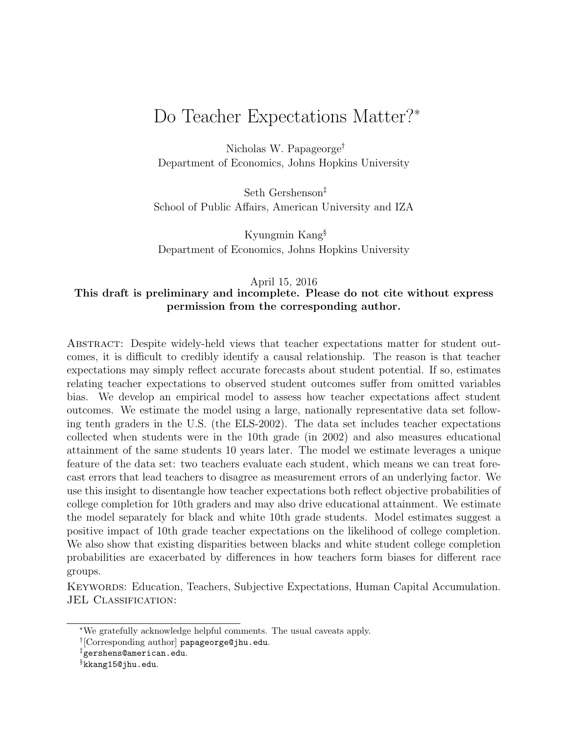# Do Teacher Expectations Matter?<sup>∗</sup>

Nicholas W. Papageorge† Department of Economics, Johns Hopkins University

Seth Gershenson‡ School of Public Affairs, American University and IZA

Kyungmin Kang§ Department of Economics, Johns Hopkins University

#### April 15, 2016 This draft is preliminary and incomplete. Please do not cite without express permission from the corresponding author.

Abstract: Despite widely-held views that teacher expectations matter for student outcomes, it is difficult to credibly identify a causal relationship. The reason is that teacher expectations may simply reflect accurate forecasts about student potential. If so, estimates relating teacher expectations to observed student outcomes suffer from omitted variables bias. We develop an empirical model to assess how teacher expectations affect student outcomes. We estimate the model using a large, nationally representative data set following tenth graders in the U.S. (the ELS-2002). The data set includes teacher expectations collected when students were in the 10th grade (in 2002) and also measures educational attainment of the same students 10 years later. The model we estimate leverages a unique feature of the data set: two teachers evaluate each student, which means we can treat forecast errors that lead teachers to disagree as measurement errors of an underlying factor. We use this insight to disentangle how teacher expectations both reflect objective probabilities of college completion for 10th graders and may also drive educational attainment. We estimate the model separately for black and white 10th grade students. Model estimates suggest a positive impact of 10th grade teacher expectations on the likelihood of college completion. We also show that existing disparities between blacks and white student college completion probabilities are exacerbated by differences in how teachers form biases for different race groups.

Keywords: Education, Teachers, Subjective Expectations, Human Capital Accumulation. JEL CLASSIFICATION:

<sup>∗</sup>We gratefully acknowledge helpful comments. The usual caveats apply.

<sup>†</sup> [Corresponding author] papageorge@jhu.edu.

<sup>‡</sup>gershens@american.edu.

<sup>§</sup>kkang15@jhu.edu.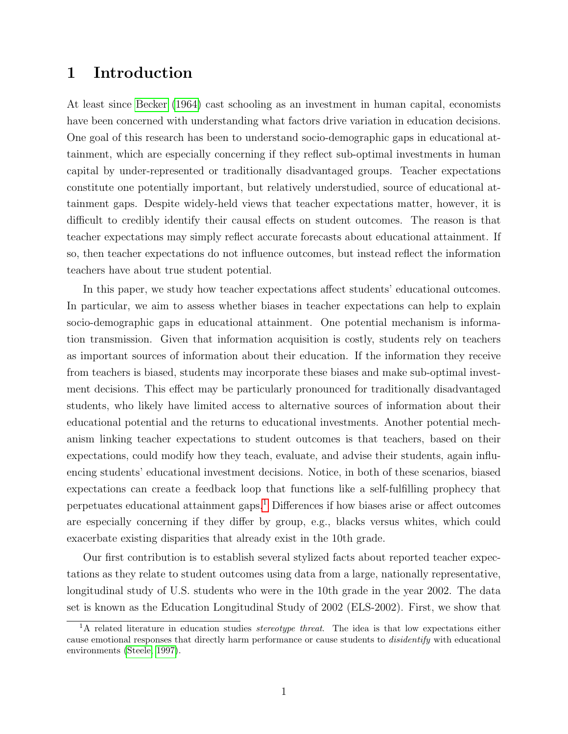# 1 Introduction

At least since [Becker](#page-27-0) [\(1964\)](#page-27-0) cast schooling as an investment in human capital, economists have been concerned with understanding what factors drive variation in education decisions. One goal of this research has been to understand socio-demographic gaps in educational attainment, which are especially concerning if they reflect sub-optimal investments in human capital by under-represented or traditionally disadvantaged groups. Teacher expectations constitute one potentially important, but relatively understudied, source of educational attainment gaps. Despite widely-held views that teacher expectations matter, however, it is difficult to credibly identify their causal effects on student outcomes. The reason is that teacher expectations may simply reflect accurate forecasts about educational attainment. If so, then teacher expectations do not influence outcomes, but instead reflect the information teachers have about true student potential.

In this paper, we study how teacher expectations affect students' educational outcomes. In particular, we aim to assess whether biases in teacher expectations can help to explain socio-demographic gaps in educational attainment. One potential mechanism is information transmission. Given that information acquisition is costly, students rely on teachers as important sources of information about their education. If the information they receive from teachers is biased, students may incorporate these biases and make sub-optimal investment decisions. This effect may be particularly pronounced for traditionally disadvantaged students, who likely have limited access to alternative sources of information about their educational potential and the returns to educational investments. Another potential mechanism linking teacher expectations to student outcomes is that teachers, based on their expectations, could modify how they teach, evaluate, and advise their students, again influencing students' educational investment decisions. Notice, in both of these scenarios, biased expectations can create a feedback loop that functions like a self-fulfilling prophecy that perpetuates educational attainment gaps.[1](#page-1-0) Differences if how biases arise or affect outcomes are especially concerning if they differ by group, e.g., blacks versus whites, which could exacerbate existing disparities that already exist in the 10th grade.

Our first contribution is to establish several stylized facts about reported teacher expectations as they relate to student outcomes using data from a large, nationally representative, longitudinal study of U.S. students who were in the 10th grade in the year 2002. The data set is known as the Education Longitudinal Study of 2002 (ELS-2002). First, we show that

<span id="page-1-0"></span> ${}^{1}$ A related literature in education studies *stereotype threat*. The idea is that low expectations either cause emotional responses that directly harm performance or cause students to disidentify with educational environments [\(Steele, 1997\)](#page-30-0).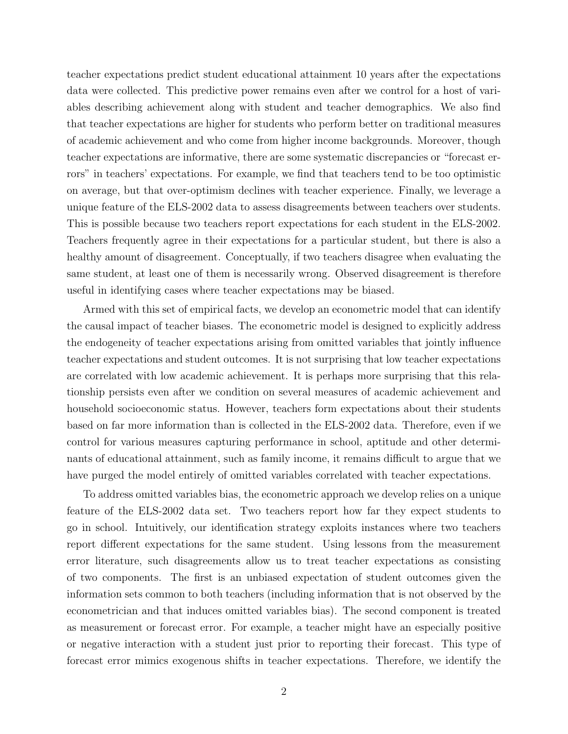teacher expectations predict student educational attainment 10 years after the expectations data were collected. This predictive power remains even after we control for a host of variables describing achievement along with student and teacher demographics. We also find that teacher expectations are higher for students who perform better on traditional measures of academic achievement and who come from higher income backgrounds. Moreover, though teacher expectations are informative, there are some systematic discrepancies or "forecast errors" in teachers' expectations. For example, we find that teachers tend to be too optimistic on average, but that over-optimism declines with teacher experience. Finally, we leverage a unique feature of the ELS-2002 data to assess disagreements between teachers over students. This is possible because two teachers report expectations for each student in the ELS-2002. Teachers frequently agree in their expectations for a particular student, but there is also a healthy amount of disagreement. Conceptually, if two teachers disagree when evaluating the same student, at least one of them is necessarily wrong. Observed disagreement is therefore useful in identifying cases where teacher expectations may be biased.

Armed with this set of empirical facts, we develop an econometric model that can identify the causal impact of teacher biases. The econometric model is designed to explicitly address the endogeneity of teacher expectations arising from omitted variables that jointly influence teacher expectations and student outcomes. It is not surprising that low teacher expectations are correlated with low academic achievement. It is perhaps more surprising that this relationship persists even after we condition on several measures of academic achievement and household socioeconomic status. However, teachers form expectations about their students based on far more information than is collected in the ELS-2002 data. Therefore, even if we control for various measures capturing performance in school, aptitude and other determinants of educational attainment, such as family income, it remains difficult to argue that we have purged the model entirely of omitted variables correlated with teacher expectations.

To address omitted variables bias, the econometric approach we develop relies on a unique feature of the ELS-2002 data set. Two teachers report how far they expect students to go in school. Intuitively, our identification strategy exploits instances where two teachers report different expectations for the same student. Using lessons from the measurement error literature, such disagreements allow us to treat teacher expectations as consisting of two components. The first is an unbiased expectation of student outcomes given the information sets common to both teachers (including information that is not observed by the econometrician and that induces omitted variables bias). The second component is treated as measurement or forecast error. For example, a teacher might have an especially positive or negative interaction with a student just prior to reporting their forecast. This type of forecast error mimics exogenous shifts in teacher expectations. Therefore, we identify the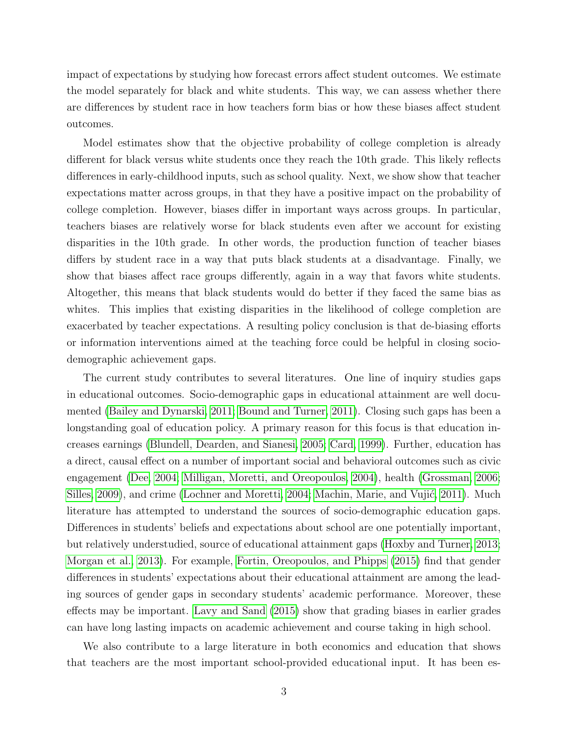impact of expectations by studying how forecast errors affect student outcomes. We estimate the model separately for black and white students. This way, we can assess whether there are differences by student race in how teachers form bias or how these biases affect student outcomes.

Model estimates show that the objective probability of college completion is already different for black versus white students once they reach the 10th grade. This likely reflects differences in early-childhood inputs, such as school quality. Next, we show show that teacher expectations matter across groups, in that they have a positive impact on the probability of college completion. However, biases differ in important ways across groups. In particular, teachers biases are relatively worse for black students even after we account for existing disparities in the 10th grade. In other words, the production function of teacher biases differs by student race in a way that puts black students at a disadvantage. Finally, we show that biases affect race groups differently, again in a way that favors white students. Altogether, this means that black students would do better if they faced the same bias as whites. This implies that existing disparities in the likelihood of college completion are exacerbated by teacher expectations. A resulting policy conclusion is that de-biasing efforts or information interventions aimed at the teaching force could be helpful in closing sociodemographic achievement gaps.

The current study contributes to several literatures. One line of inquiry studies gaps in educational outcomes. Socio-demographic gaps in educational attainment are well documented [\(Bailey and Dynarski, 2011;](#page-26-0) [Bound and Turner, 2011\)](#page-27-1). Closing such gaps has been a longstanding goal of education policy. A primary reason for this focus is that education increases earnings [\(Blundell, Dearden, and Sianesi, 2005;](#page-27-2) [Card, 1999\)](#page-27-3). Further, education has a direct, causal effect on a number of important social and behavioral outcomes such as civic engagement [\(Dee, 2004;](#page-28-0) [Milligan, Moretti, and Oreopoulos, 2004\)](#page-29-0), health [\(Grossman, 2006;](#page-28-1) [Silles, 2009\)](#page-30-1), and crime [\(Lochner and Moretti, 2004;](#page-29-1) Machin, Marie, and Vujić, 2011). Much literature has attempted to understand the sources of socio-demographic education gaps. Differences in students' beliefs and expectations about school are one potentially important, but relatively understudied, source of educational attainment gaps [\(Hoxby and Turner, 2013;](#page-28-2) [Morgan et al., 2013\)](#page-29-3). For example, [Fortin, Oreopoulos, and Phipps](#page-28-3) [\(2015\)](#page-28-3) find that gender differences in students' expectations about their educational attainment are among the leading sources of gender gaps in secondary students' academic performance. Moreover, these effects may be important. [Lavy and Sand](#page-29-4) [\(2015\)](#page-29-4) show that grading biases in earlier grades can have long lasting impacts on academic achievement and course taking in high school.

We also contribute to a large literature in both economics and education that shows that teachers are the most important school-provided educational input. It has been es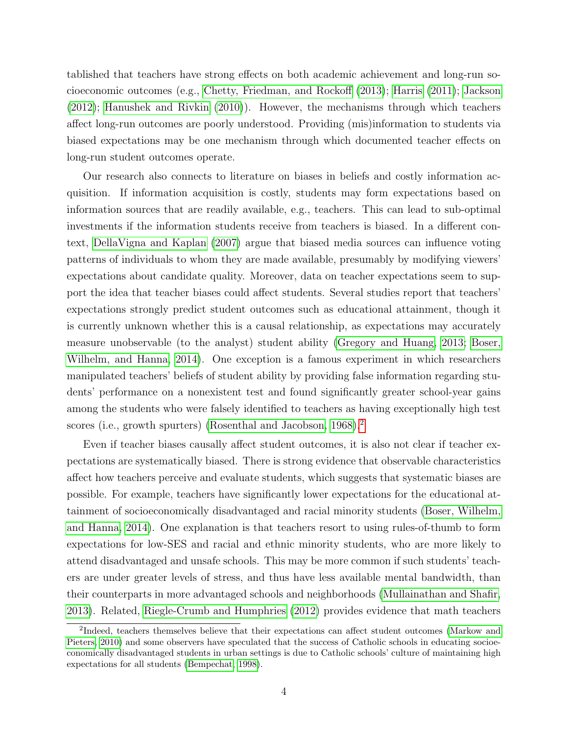tablished that teachers have strong effects on both academic achievement and long-run socioeconomic outcomes (e.g., [Chetty, Friedman, and Rockoff](#page-27-4) [\(2013\)](#page-27-4); [Harris](#page-28-4) [\(2011\)](#page-28-4); [Jackson](#page-29-5) [\(2012\)](#page-29-5); [Hanushek and Rivkin](#page-28-5) [\(2010\)](#page-28-5)). However, the mechanisms through which teachers affect long-run outcomes are poorly understood. Providing (mis)information to students via biased expectations may be one mechanism through which documented teacher effects on long-run student outcomes operate.

Our research also connects to literature on biases in beliefs and costly information acquisition. If information acquisition is costly, students may form expectations based on information sources that are readily available, e.g., teachers. This can lead to sub-optimal investments if the information students receive from teachers is biased. In a different context, [DellaVigna and Kaplan](#page-28-6) [\(2007\)](#page-28-6) argue that biased media sources can influence voting patterns of individuals to whom they are made available, presumably by modifying viewers' expectations about candidate quality. Moreover, data on teacher expectations seem to support the idea that teacher biases could affect students. Several studies report that teachers' expectations strongly predict student outcomes such as educational attainment, though it is currently unknown whether this is a causal relationship, as expectations may accurately measure unobservable (to the analyst) student ability [\(Gregory and Huang, 2013;](#page-28-7) [Boser,](#page-27-5) [Wilhelm, and Hanna, 2014\)](#page-27-5). One exception is a famous experiment in which researchers manipulated teachers' beliefs of student ability by providing false information regarding students' performance on a nonexistent test and found significantly greater school-year gains among the students who were falsely identified to teachers as having exceptionally high test scores (i.e., growth spurters) [\(Rosenthal and Jacobson, 1968\)](#page-30-2).<sup>[2](#page-4-0)</sup>

Even if teacher biases causally affect student outcomes, it is also not clear if teacher expectations are systematically biased. There is strong evidence that observable characteristics affect how teachers perceive and evaluate students, which suggests that systematic biases are possible. For example, teachers have significantly lower expectations for the educational attainment of socioeconomically disadvantaged and racial minority students [\(Boser, Wilhelm,](#page-27-5) [and Hanna, 2014\)](#page-27-5). One explanation is that teachers resort to using rules-of-thumb to form expectations for low-SES and racial and ethnic minority students, who are more likely to attend disadvantaged and unsafe schools. This may be more common if such students' teachers are under greater levels of stress, and thus have less available mental bandwidth, than their counterparts in more advantaged schools and neighborhoods [\(Mullainathan and Shafir,](#page-29-6) [2013\)](#page-29-6). Related, [Riegle-Crumb and Humphries](#page-30-3) [\(2012\)](#page-30-3) provides evidence that math teachers

<span id="page-4-0"></span><sup>&</sup>lt;sup>2</sup>Indeed, teachers themselves believe that their expectations can affect student outcomes [\(Markow and](#page-29-7) [Pieters, 2010\)](#page-29-7) and some observers have speculated that the success of Catholic schools in educating socioeconomically disadvantaged students in urban settings is due to Catholic schools' culture of maintaining high expectations for all students [\(Bempechat, 1998\)](#page-27-6).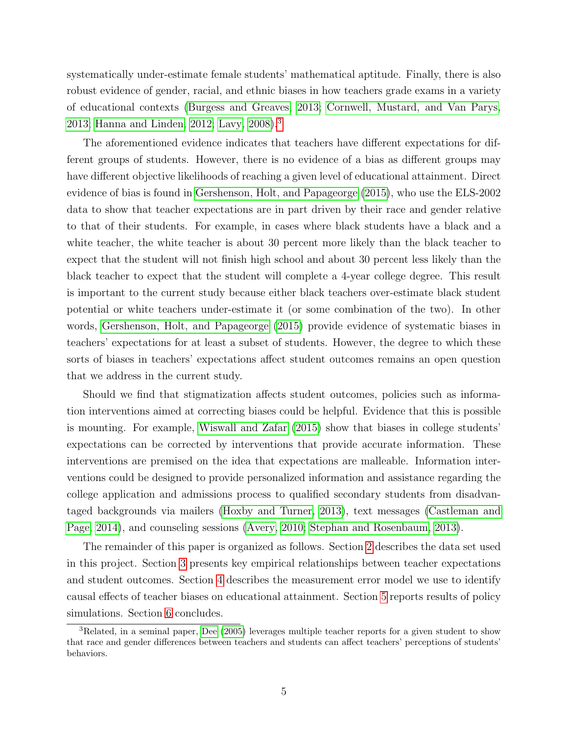systematically under-estimate female students' mathematical aptitude. Finally, there is also robust evidence of gender, racial, and ethnic biases in how teachers grade exams in a variety of educational contexts [\(Burgess and Greaves, 2013;](#page-27-7) [Cornwell, Mustard, and Van Parys,](#page-27-8) [2013;](#page-27-8) [Hanna and Linden, 2012;](#page-28-8) [Lavy, 2008\)](#page-29-8).[3](#page-5-0)

The aforementioned evidence indicates that teachers have different expectations for different groups of students. However, there is no evidence of a bias as different groups may have different objective likelihoods of reaching a given level of educational attainment. Direct evidence of bias is found in [Gershenson, Holt, and Papageorge](#page-28-9) [\(2015\)](#page-28-9), who use the ELS-2002 data to show that teacher expectations are in part driven by their race and gender relative to that of their students. For example, in cases where black students have a black and a white teacher, the white teacher is about 30 percent more likely than the black teacher to expect that the student will not finish high school and about 30 percent less likely than the black teacher to expect that the student will complete a 4-year college degree. This result is important to the current study because either black teachers over-estimate black student potential or white teachers under-estimate it (or some combination of the two). In other words, [Gershenson, Holt, and Papageorge](#page-28-9) [\(2015\)](#page-28-9) provide evidence of systematic biases in teachers' expectations for at least a subset of students. However, the degree to which these sorts of biases in teachers' expectations affect student outcomes remains an open question that we address in the current study.

Should we find that stigmatization affects student outcomes, policies such as information interventions aimed at correcting biases could be helpful. Evidence that this is possible is mounting. For example, [Wiswall and Zafar](#page-30-4) [\(2015\)](#page-30-4) show that biases in college students' expectations can be corrected by interventions that provide accurate information. These interventions are premised on the idea that expectations are malleable. Information interventions could be designed to provide personalized information and assistance regarding the college application and admissions process to qualified secondary students from disadvantaged backgrounds via mailers [\(Hoxby and Turner, 2013\)](#page-28-2), text messages [\(Castleman and](#page-27-9) [Page, 2014\)](#page-27-9), and counseling sessions [\(Avery, 2010;](#page-26-1) [Stephan and Rosenbaum, 2013\)](#page-30-5).

The remainder of this paper is organized as follows. Section [2](#page-6-0) describes the data set used in this project. Section [3](#page-8-0) presents key empirical relationships between teacher expectations and student outcomes. Section [4](#page-13-0) describes the measurement error model we use to identify causal effects of teacher biases on educational attainment. Section [5](#page-23-0) reports results of policy simulations. Section [6](#page-26-2) concludes.

<span id="page-5-0"></span><sup>3</sup>Related, in a seminal paper, [Dee](#page-28-10) [\(2005\)](#page-28-10) leverages multiple teacher reports for a given student to show that race and gender differences between teachers and students can affect teachers' perceptions of students' behaviors.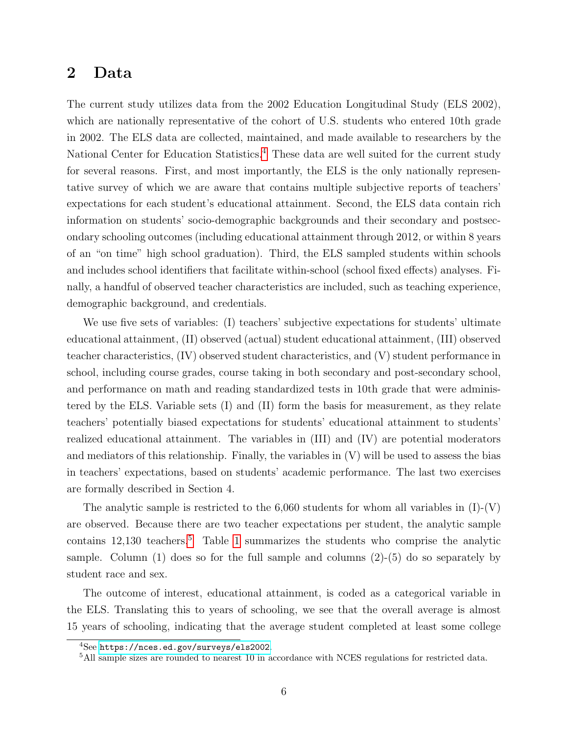### <span id="page-6-0"></span>2 Data

The current study utilizes data from the 2002 Education Longitudinal Study (ELS 2002), which are nationally representative of the cohort of U.S. students who entered 10th grade in 2002. The ELS data are collected, maintained, and made available to researchers by the National Center for Education Statistics.<sup>[4](#page-6-1)</sup> These data are well suited for the current study for several reasons. First, and most importantly, the ELS is the only nationally representative survey of which we are aware that contains multiple subjective reports of teachers' expectations for each student's educational attainment. Second, the ELS data contain rich information on students' socio-demographic backgrounds and their secondary and postsecondary schooling outcomes (including educational attainment through 2012, or within 8 years of an "on time" high school graduation). Third, the ELS sampled students within schools and includes school identifiers that facilitate within-school (school fixed effects) analyses. Finally, a handful of observed teacher characteristics are included, such as teaching experience, demographic background, and credentials.

We use five sets of variables: (I) teachers' subjective expectations for students' ultimate educational attainment, (II) observed (actual) student educational attainment, (III) observed teacher characteristics, (IV) observed student characteristics, and (V) student performance in school, including course grades, course taking in both secondary and post-secondary school, and performance on math and reading standardized tests in 10th grade that were administered by the ELS. Variable sets (I) and (II) form the basis for measurement, as they relate teachers' potentially biased expectations for students' educational attainment to students' realized educational attainment. The variables in (III) and (IV) are potential moderators and mediators of this relationship. Finally, the variables in (V) will be used to assess the bias in teachers' expectations, based on students' academic performance. The last two exercises are formally described in Section 4.

The analytic sample is restricted to the 6,060 students for whom all variables in  $(I)$ - $(V)$ are observed. Because there are two teacher expectations per student, the analytic sample contains  $12.130$  teachers.<sup>[5](#page-6-2)</sup> Table [1](#page-31-0) summarizes the students who comprise the analytic sample. Column  $(1)$  does so for the full sample and columns  $(2)-(5)$  do so separately by student race and sex.

The outcome of interest, educational attainment, is coded as a categorical variable in the ELS. Translating this to years of schooling, we see that the overall average is almost 15 years of schooling, indicating that the average student completed at least some college

<span id="page-6-1"></span><sup>4</sup>See <https://nces.ed.gov/surveys/els2002>.

<span id="page-6-2"></span><sup>&</sup>lt;sup>5</sup>All sample sizes are rounded to nearest 10 in accordance with NCES regulations for restricted data.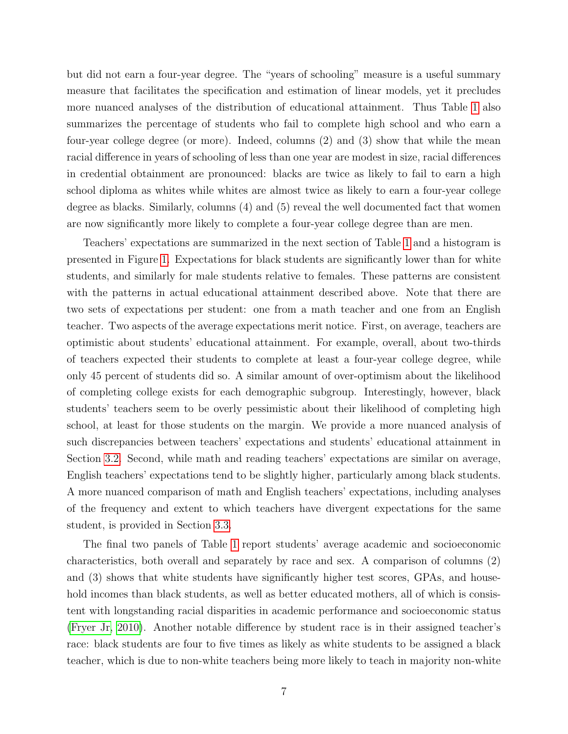but did not earn a four-year degree. The "years of schooling" measure is a useful summary measure that facilitates the specification and estimation of linear models, yet it precludes more nuanced analyses of the distribution of educational attainment. Thus Table [1](#page-31-0) also summarizes the percentage of students who fail to complete high school and who earn a four-year college degree (or more). Indeed, columns (2) and (3) show that while the mean racial difference in years of schooling of less than one year are modest in size, racial differences in credential obtainment are pronounced: blacks are twice as likely to fail to earn a high school diploma as whites while whites are almost twice as likely to earn a four-year college degree as blacks. Similarly, columns (4) and (5) reveal the well documented fact that women are now significantly more likely to complete a four-year college degree than are men.

Teachers' expectations are summarized in the next section of Table [1](#page-31-0) and a histogram is presented in Figure [1.](#page-40-0) Expectations for black students are significantly lower than for white students, and similarly for male students relative to females. These patterns are consistent with the patterns in actual educational attainment described above. Note that there are two sets of expectations per student: one from a math teacher and one from an English teacher. Two aspects of the average expectations merit notice. First, on average, teachers are optimistic about students' educational attainment. For example, overall, about two-thirds of teachers expected their students to complete at least a four-year college degree, while only 45 percent of students did so. A similar amount of over-optimism about the likelihood of completing college exists for each demographic subgroup. Interestingly, however, black students' teachers seem to be overly pessimistic about their likelihood of completing high school, at least for those students on the margin. We provide a more nuanced analysis of such discrepancies between teachers' expectations and students' educational attainment in Section [3.2.](#page-10-0) Second, while math and reading teachers' expectations are similar on average, English teachers' expectations tend to be slightly higher, particularly among black students. A more nuanced comparison of math and English teachers' expectations, including analyses of the frequency and extent to which teachers have divergent expectations for the same student, is provided in Section [3.3.](#page-12-0)

The final two panels of Table [1](#page-31-0) report students' average academic and socioeconomic characteristics, both overall and separately by race and sex. A comparison of columns (2) and (3) shows that white students have significantly higher test scores, GPAs, and household incomes than black students, as well as better educated mothers, all of which is consistent with longstanding racial disparities in academic performance and socioeconomic status [\(Fryer Jr, 2010\)](#page-28-11). Another notable difference by student race is in their assigned teacher's race: black students are four to five times as likely as white students to be assigned a black teacher, which is due to non-white teachers being more likely to teach in majority non-white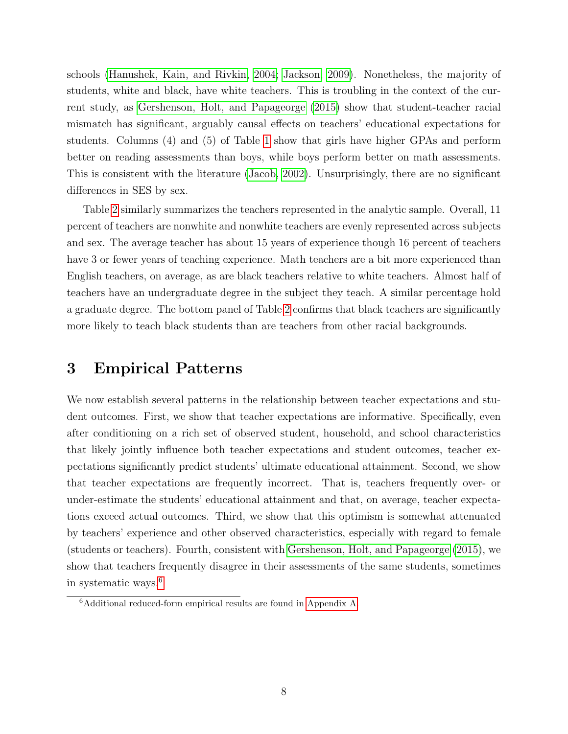schools [\(Hanushek, Kain, and Rivkin, 2004;](#page-28-12) [Jackson, 2009\)](#page-29-9). Nonetheless, the majority of students, white and black, have white teachers. This is troubling in the context of the current study, as [Gershenson, Holt, and Papageorge](#page-28-9) [\(2015\)](#page-28-9) show that student-teacher racial mismatch has significant, arguably causal effects on teachers' educational expectations for students. Columns (4) and (5) of Table [1](#page-31-0) show that girls have higher GPAs and perform better on reading assessments than boys, while boys perform better on math assessments. This is consistent with the literature [\(Jacob, 2002\)](#page-29-10). Unsurprisingly, there are no significant differences in SES by sex.

Table [2](#page-32-0) similarly summarizes the teachers represented in the analytic sample. Overall, 11 percent of teachers are nonwhite and nonwhite teachers are evenly represented across subjects and sex. The average teacher has about 15 years of experience though 16 percent of teachers have 3 or fewer years of teaching experience. Math teachers are a bit more experienced than English teachers, on average, as are black teachers relative to white teachers. Almost half of teachers have an undergraduate degree in the subject they teach. A similar percentage hold a graduate degree. The bottom panel of Table [2](#page-32-0) confirms that black teachers are significantly more likely to teach black students than are teachers from other racial backgrounds.

## <span id="page-8-0"></span>3 Empirical Patterns

We now establish several patterns in the relationship between teacher expectations and student outcomes. First, we show that teacher expectations are informative. Specifically, even after conditioning on a rich set of observed student, household, and school characteristics that likely jointly influence both teacher expectations and student outcomes, teacher expectations significantly predict students' ultimate educational attainment. Second, we show that teacher expectations are frequently incorrect. That is, teachers frequently over- or under-estimate the students' educational attainment and that, on average, teacher expectations exceed actual outcomes. Third, we show that this optimism is somewhat attenuated by teachers' experience and other observed characteristics, especially with regard to female (students or teachers). Fourth, consistent with [Gershenson, Holt, and Papageorge](#page-28-9) [\(2015\)](#page-28-9), we show that teachers frequently disagree in their assessments of the same students, sometimes in systematic ways.[6](#page-8-1)

<span id="page-8-1"></span><sup>6</sup>Additional reduced-form empirical results are found in [Appendix A.](#page-47-0)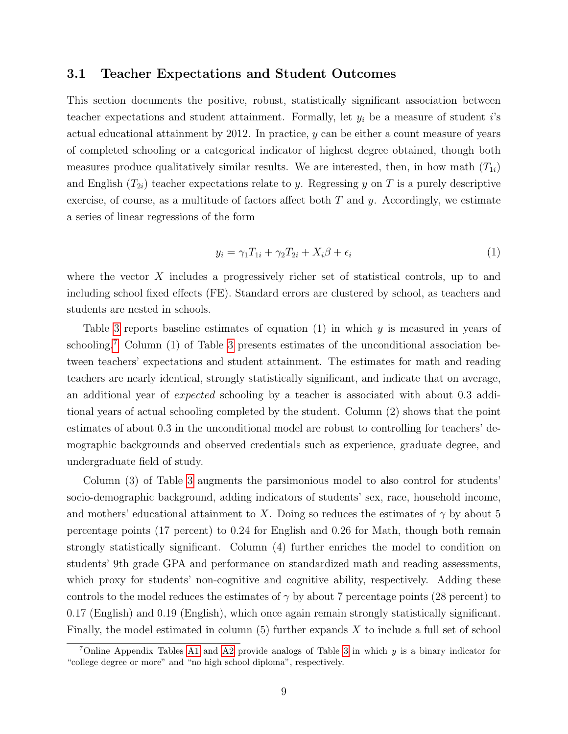#### 3.1 Teacher Expectations and Student Outcomes

This section documents the positive, robust, statistically significant association between teacher expectations and student attainment. Formally, let  $y_i$  be a measure of student i's actual educational attainment by 2012. In practice, y can be either a count measure of years of completed schooling or a categorical indicator of highest degree obtained, though both measures produce qualitatively similar results. We are interested, then, in how math  $(T_{1i})$ and English  $(T_{2i})$  teacher expectations relate to y. Regressing y on T is a purely descriptive exercise, of course, as a multitude of factors affect both  $T$  and  $y$ . Accordingly, we estimate a series of linear regressions of the form

<span id="page-9-1"></span>
$$
y_i = \gamma_1 T_{1i} + \gamma_2 T_{2i} + X_i \beta + \epsilon_i \tag{1}
$$

where the vector  $X$  includes a progressively richer set of statistical controls, up to and including school fixed effects (FE). Standard errors are clustered by school, as teachers and students are nested in schools.

Table [3](#page-33-0) reports baseline estimates of equation  $(1)$  in which  $y$  is measured in years of schooling.<sup>[7](#page-9-0)</sup> Column (1) of Table [3](#page-33-0) presents estimates of the unconditional association between teachers' expectations and student attainment. The estimates for math and reading teachers are nearly identical, strongly statistically significant, and indicate that on average, an additional year of expected schooling by a teacher is associated with about 0.3 additional years of actual schooling completed by the student. Column (2) shows that the point estimates of about 0.3 in the unconditional model are robust to controlling for teachers' demographic backgrounds and observed credentials such as experience, graduate degree, and undergraduate field of study.

Column (3) of Table [3](#page-33-0) augments the parsimonious model to also control for students' socio-demographic background, adding indicators of students' sex, race, household income, and mothers' educational attainment to X. Doing so reduces the estimates of  $\gamma$  by about 5 percentage points (17 percent) to 0.24 for English and 0.26 for Math, though both remain strongly statistically significant. Column (4) further enriches the model to condition on students' 9th grade GPA and performance on standardized math and reading assessments, which proxy for students' non-cognitive and cognitive ability, respectively. Adding these controls to the model reduces the estimates of  $\gamma$  by about 7 percentage points (28 percent) to 0.17 (English) and 0.19 (English), which once again remain strongly statistically significant. Finally, the model estimated in column (5) further expands X to include a full set of school

<span id="page-9-0"></span> $\sqrt{7}$ Online Appendix Tables [A1](#page-47-1) and [A2](#page-47-2) provide analogs of Table [3](#page-33-0) in which y is a binary indicator for "college degree or more" and "no high school diploma", respectively.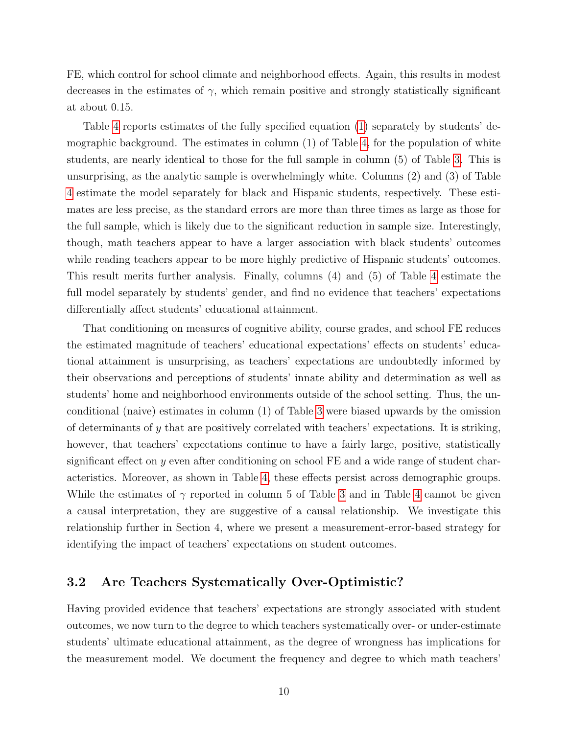FE, which control for school climate and neighborhood effects. Again, this results in modest decreases in the estimates of  $\gamma$ , which remain positive and strongly statistically significant at about 0.15.

Table [4](#page-33-1) reports estimates of the fully specified equation [\(1\)](#page-9-1) separately by students' demographic background. The estimates in column (1) of Table [4,](#page-33-1) for the population of white students, are nearly identical to those for the full sample in column (5) of Table [3.](#page-33-0) This is unsurprising, as the analytic sample is overwhelmingly white. Columns (2) and (3) of Table [4](#page-33-1) estimate the model separately for black and Hispanic students, respectively. These estimates are less precise, as the standard errors are more than three times as large as those for the full sample, which is likely due to the significant reduction in sample size. Interestingly, though, math teachers appear to have a larger association with black students' outcomes while reading teachers appear to be more highly predictive of Hispanic students' outcomes. This result merits further analysis. Finally, columns (4) and (5) of Table [4](#page-33-1) estimate the full model separately by students' gender, and find no evidence that teachers' expectations differentially affect students' educational attainment.

That conditioning on measures of cognitive ability, course grades, and school FE reduces the estimated magnitude of teachers' educational expectations' effects on students' educational attainment is unsurprising, as teachers' expectations are undoubtedly informed by their observations and perceptions of students' innate ability and determination as well as students' home and neighborhood environments outside of the school setting. Thus, the unconditional (naive) estimates in column (1) of Table [3](#page-33-0) were biased upwards by the omission of determinants of y that are positively correlated with teachers' expectations. It is striking, however, that teachers' expectations continue to have a fairly large, positive, statistically significant effect on y even after conditioning on school  $FE$  and a wide range of student characteristics. Moreover, as shown in Table [4,](#page-33-1) these effects persist across demographic groups. While the estimates of  $\gamma$  reported in column 5 of Table [3](#page-33-0) and in Table [4](#page-33-1) cannot be given a causal interpretation, they are suggestive of a causal relationship. We investigate this relationship further in Section 4, where we present a measurement-error-based strategy for identifying the impact of teachers' expectations on student outcomes.

#### <span id="page-10-0"></span>3.2 Are Teachers Systematically Over-Optimistic?

Having provided evidence that teachers' expectations are strongly associated with student outcomes, we now turn to the degree to which teachers systematically over- or under-estimate students' ultimate educational attainment, as the degree of wrongness has implications for the measurement model. We document the frequency and degree to which math teachers'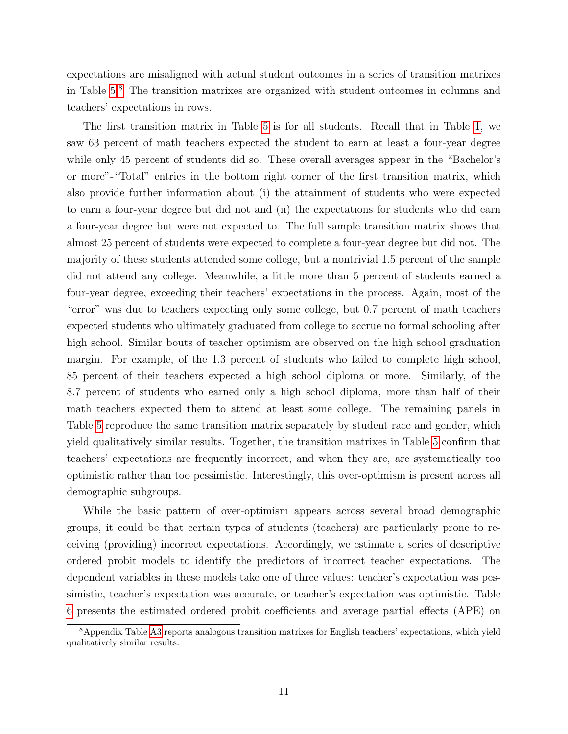expectations are misaligned with actual student outcomes in a series of transition matrixes in Table [5.](#page-34-0)[8](#page-11-0) The transition matrixes are organized with student outcomes in columns and teachers' expectations in rows.

The first transition matrix in Table [5](#page-34-0) is for all students. Recall that in Table [1,](#page-31-0) we saw 63 percent of math teachers expected the student to earn at least a four-year degree while only 45 percent of students did so. These overall averages appear in the "Bachelor's or more"-"Total" entries in the bottom right corner of the first transition matrix, which also provide further information about (i) the attainment of students who were expected to earn a four-year degree but did not and (ii) the expectations for students who did earn a four-year degree but were not expected to. The full sample transition matrix shows that almost 25 percent of students were expected to complete a four-year degree but did not. The majority of these students attended some college, but a nontrivial 1.5 percent of the sample did not attend any college. Meanwhile, a little more than 5 percent of students earned a four-year degree, exceeding their teachers' expectations in the process. Again, most of the "error" was due to teachers expecting only some college, but 0.7 percent of math teachers expected students who ultimately graduated from college to accrue no formal schooling after high school. Similar bouts of teacher optimism are observed on the high school graduation margin. For example, of the 1.3 percent of students who failed to complete high school, 85 percent of their teachers expected a high school diploma or more. Similarly, of the 8.7 percent of students who earned only a high school diploma, more than half of their math teachers expected them to attend at least some college. The remaining panels in Table [5](#page-34-0) reproduce the same transition matrix separately by student race and gender, which yield qualitatively similar results. Together, the transition matrixes in Table [5](#page-34-0) confirm that teachers' expectations are frequently incorrect, and when they are, are systematically too optimistic rather than too pessimistic. Interestingly, this over-optimism is present across all demographic subgroups.

While the basic pattern of over-optimism appears across several broad demographic groups, it could be that certain types of students (teachers) are particularly prone to receiving (providing) incorrect expectations. Accordingly, we estimate a series of descriptive ordered probit models to identify the predictors of incorrect teacher expectations. The dependent variables in these models take one of three values: teacher's expectation was pessimistic, teacher's expectation was accurate, or teacher's expectation was optimistic. Table [6](#page-35-0) presents the estimated ordered probit coefficients and average partial effects (APE) on

<span id="page-11-0"></span><sup>8</sup>Appendix Table [A3](#page-48-0) reports analogous transition matrixes for English teachers' expectations, which yield qualitatively similar results.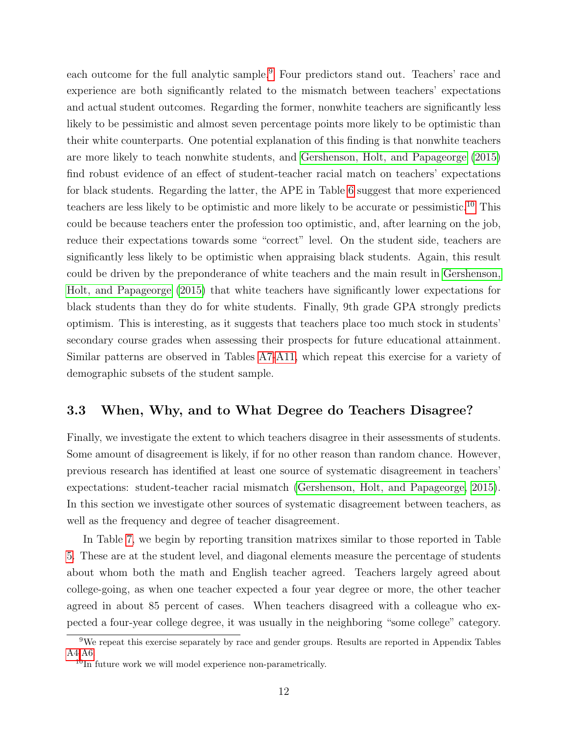each outcome for the full analytic sample.<sup>[9](#page-12-1)</sup> Four predictors stand out. Teachers' race and experience are both significantly related to the mismatch between teachers' expectations and actual student outcomes. Regarding the former, nonwhite teachers are significantly less likely to be pessimistic and almost seven percentage points more likely to be optimistic than their white counterparts. One potential explanation of this finding is that nonwhite teachers are more likely to teach nonwhite students, and [Gershenson, Holt, and Papageorge](#page-28-9) [\(2015\)](#page-28-9) find robust evidence of an effect of student-teacher racial match on teachers' expectations for black students. Regarding the latter, the APE in Table [6](#page-35-0) suggest that more experienced teachers are less likely to be optimistic and more likely to be accurate or pessimistic.[10](#page-12-2) This could be because teachers enter the profession too optimistic, and, after learning on the job, reduce their expectations towards some "correct" level. On the student side, teachers are significantly less likely to be optimistic when appraising black students. Again, this result could be driven by the preponderance of white teachers and the main result in [Gershenson,](#page-28-9) [Holt, and Papageorge](#page-28-9) [\(2015\)](#page-28-9) that white teachers have significantly lower expectations for black students than they do for white students. Finally, 9th grade GPA strongly predicts optimism. This is interesting, as it suggests that teachers place too much stock in students' secondary course grades when assessing their prospects for future educational attainment. Similar patterns are observed in Tables [A7-](#page-52-0)[A11,](#page-56-0) which repeat this exercise for a variety of demographic subsets of the student sample.

#### <span id="page-12-0"></span>3.3 When, Why, and to What Degree do Teachers Disagree?

Finally, we investigate the extent to which teachers disagree in their assessments of students. Some amount of disagreement is likely, if for no other reason than random chance. However, previous research has identified at least one source of systematic disagreement in teachers' expectations: student-teacher racial mismatch [\(Gershenson, Holt, and Papageorge, 2015\)](#page-28-9). In this section we investigate other sources of systematic disagreement between teachers, as well as the frequency and degree of teacher disagreement.

In Table [7,](#page-36-0) we begin by reporting transition matrixes similar to those reported in Table [5.](#page-34-0) These are at the student level, and diagonal elements measure the percentage of students about whom both the math and English teacher agreed. Teachers largely agreed about college-going, as when one teacher expected a four year degree or more, the other teacher agreed in about 85 percent of cases. When teachers disagreed with a colleague who expected a four-year college degree, it was usually in the neighboring "some college" category.

<span id="page-12-1"></span><sup>9</sup>We repeat this exercise separately by race and gender groups. Results are reported in Appendix Tables [A4](#page-49-0)[-A6.](#page-51-0)

<span id="page-12-2"></span> $10$ In future work we will model experience non-parametrically.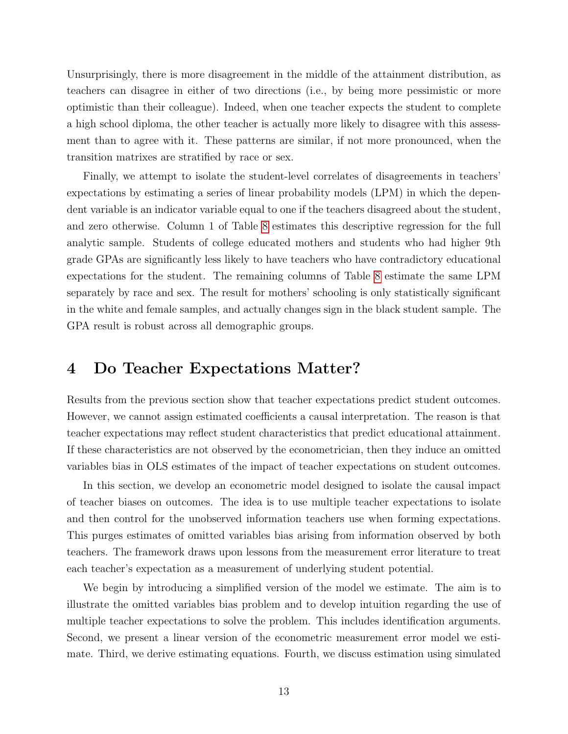Unsurprisingly, there is more disagreement in the middle of the attainment distribution, as teachers can disagree in either of two directions (i.e., by being more pessimistic or more optimistic than their colleague). Indeed, when one teacher expects the student to complete a high school diploma, the other teacher is actually more likely to disagree with this assessment than to agree with it. These patterns are similar, if not more pronounced, when the transition matrixes are stratified by race or sex.

Finally, we attempt to isolate the student-level correlates of disagreements in teachers' expectations by estimating a series of linear probability models (LPM) in which the dependent variable is an indicator variable equal to one if the teachers disagreed about the student, and zero otherwise. Column 1 of Table [8](#page-37-0) estimates this descriptive regression for the full analytic sample. Students of college educated mothers and students who had higher 9th grade GPAs are significantly less likely to have teachers who have contradictory educational expectations for the student. The remaining columns of Table [8](#page-37-0) estimate the same LPM separately by race and sex. The result for mothers' schooling is only statistically significant in the white and female samples, and actually changes sign in the black student sample. The GPA result is robust across all demographic groups.

### <span id="page-13-0"></span>4 Do Teacher Expectations Matter?

Results from the previous section show that teacher expectations predict student outcomes. However, we cannot assign estimated coefficients a causal interpretation. The reason is that teacher expectations may reflect student characteristics that predict educational attainment. If these characteristics are not observed by the econometrician, then they induce an omitted variables bias in OLS estimates of the impact of teacher expectations on student outcomes.

In this section, we develop an econometric model designed to isolate the causal impact of teacher biases on outcomes. The idea is to use multiple teacher expectations to isolate and then control for the unobserved information teachers use when forming expectations. This purges estimates of omitted variables bias arising from information observed by both teachers. The framework draws upon lessons from the measurement error literature to treat each teacher's expectation as a measurement of underlying student potential.

We begin by introducing a simplified version of the model we estimate. The aim is to illustrate the omitted variables bias problem and to develop intuition regarding the use of multiple teacher expectations to solve the problem. This includes identification arguments. Second, we present a linear version of the econometric measurement error model we estimate. Third, we derive estimating equations. Fourth, we discuss estimation using simulated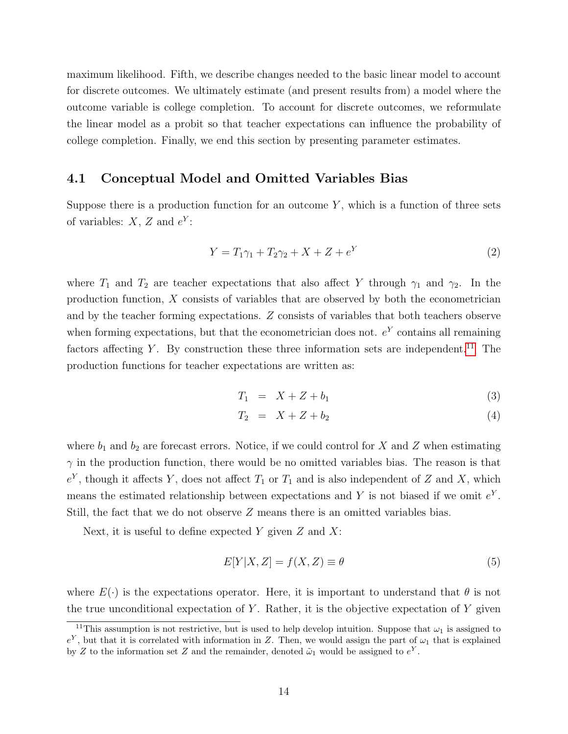maximum likelihood. Fifth, we describe changes needed to the basic linear model to account for discrete outcomes. We ultimately estimate (and present results from) a model where the outcome variable is college completion. To account for discrete outcomes, we reformulate the linear model as a probit so that teacher expectations can influence the probability of college completion. Finally, we end this section by presenting parameter estimates.

#### 4.1 Conceptual Model and Omitted Variables Bias

Suppose there is a production function for an outcome  $Y$ , which is a function of three sets of variables:  $X, Z$  and  $e^Y$ :

$$
Y = T_1 \gamma_1 + T_2 \gamma_2 + X + Z + e^Y \tag{2}
$$

where  $T_1$  and  $T_2$  are teacher expectations that also affect Y through  $\gamma_1$  and  $\gamma_2$ . In the production function, X consists of variables that are observed by both the econometrician and by the teacher forming expectations. Z consists of variables that both teachers observe when forming expectations, but that the econometrician does not.  $e<sup>Y</sup>$  contains all remaining factors affecting Y. By construction these three information sets are independent.<sup>[11](#page-14-0)</sup> The production functions for teacher expectations are written as:

$$
T_1 = X + Z + b_1 \tag{3}
$$

$$
T_2 = X + Z + b_2 \tag{4}
$$

where  $b_1$  and  $b_2$  are forecast errors. Notice, if we could control for X and Z when estimating  $\gamma$  in the production function, there would be no omitted variables bias. The reason is that  $e<sup>Y</sup>$ , though it affects Y, does not affect  $T_1$  or  $T_1$  and is also independent of Z and X, which means the estimated relationship between expectations and Y is not biased if we omit  $e<sup>Y</sup>$ . Still, the fact that we do not observe Z means there is an omitted variables bias.

Next, it is useful to define expected  $Y$  given  $Z$  and  $X$ :

$$
E[Y|X,Z] = f(X,Z) \equiv \theta \tag{5}
$$

where  $E(\cdot)$  is the expectations operator. Here, it is important to understand that  $\theta$  is not the true unconditional expectation of Y. Rather, it is the objective expectation of Y given

<span id="page-14-0"></span><sup>&</sup>lt;sup>11</sup>This assumption is not restrictive, but is used to help develop intuition. Suppose that  $\omega_1$  is assigned to  $e^Y$ , but that it is correlated with information in Z. Then, we would assign the part of  $\omega_1$  that is explained by Z to the information set Z and the remainder, denoted  $\tilde{\omega}_1$  would be assigned to  $e^Y$ .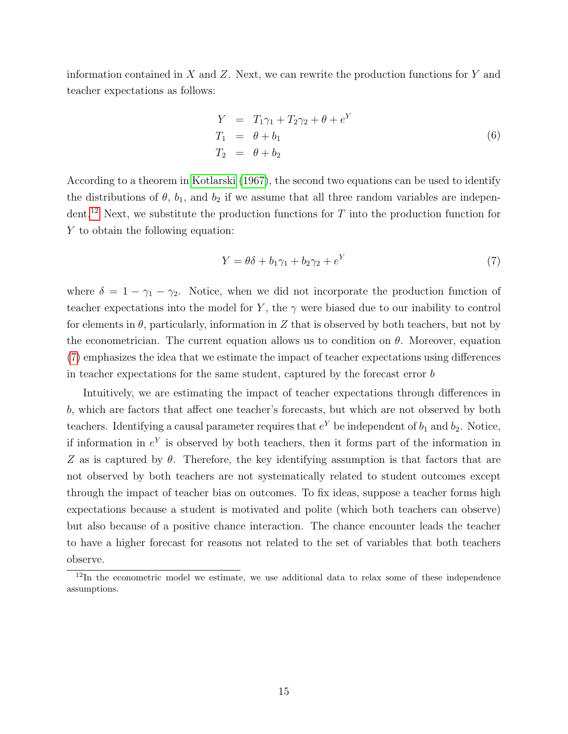information contained in  $X$  and  $Z$ . Next, we can rewrite the production functions for  $Y$  and teacher expectations as follows:

$$
Y = T_1 \gamma_1 + T_2 \gamma_2 + \theta + e^Y
$$
  
\n
$$
T_1 = \theta + b_1
$$
  
\n
$$
T_2 = \theta + b_2
$$
\n(6)

According to a theorem in [Kotlarski](#page-29-11) [\(1967\)](#page-29-11), the second two equations can be used to identify the distributions of  $\theta$ ,  $b_1$ , and  $b_2$  if we assume that all three random variables are indepen-dent.<sup>[12](#page-15-0)</sup> Next, we substitute the production functions for  $T$  into the production function for Y to obtain the following equation:

<span id="page-15-1"></span>
$$
Y = \theta \delta + b_1 \gamma_1 + b_2 \gamma_2 + e^Y \tag{7}
$$

where  $\delta = 1 - \gamma_1 - \gamma_2$ . Notice, when we did not incorporate the production function of teacher expectations into the model for Y, the  $\gamma$  were biased due to our inability to control for elements in  $\theta$ , particularly, information in Z that is observed by both teachers, but not by the econometrician. The current equation allows us to condition on  $\theta$ . Moreover, equation [\(7\)](#page-15-1) emphasizes the idea that we estimate the impact of teacher expectations using differences in teacher expectations for the same student, captured by the forecast error b

Intuitively, we are estimating the impact of teacher expectations through differences in b, which are factors that affect one teacher's forecasts, but which are not observed by both teachers. Identifying a causal parameter requires that  $e^Y$  be independent of  $b_1$  and  $b_2$ . Notice, if information in  $e<sup>Y</sup>$  is observed by both teachers, then it forms part of the information in Z as is captured by  $\theta$ . Therefore, the key identifying assumption is that factors that are not observed by both teachers are not systematically related to student outcomes except through the impact of teacher bias on outcomes. To fix ideas, suppose a teacher forms high expectations because a student is motivated and polite (which both teachers can observe) but also because of a positive chance interaction. The chance encounter leads the teacher to have a higher forecast for reasons not related to the set of variables that both teachers observe.

<span id="page-15-0"></span> $12$ In the econometric model we estimate, we use additional data to relax some of these independence assumptions.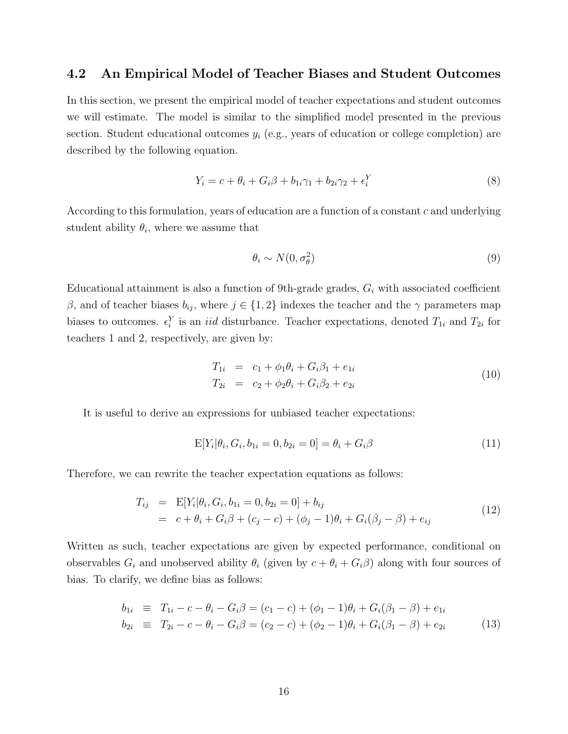#### 4.2 An Empirical Model of Teacher Biases and Student Outcomes

In this section, we present the empirical model of teacher expectations and student outcomes we will estimate. The model is similar to the simplified model presented in the previous section. Student educational outcomes  $y_i$  (e.g., years of education or college completion) are described by the following equation.

<span id="page-16-0"></span>
$$
Y_i = c + \theta_i + G_i\beta + b_{1i}\gamma_1 + b_{2i}\gamma_2 + \epsilon_i^Y
$$
\n(8)

According to this formulation, years of education are a function of a constant  $c$  and underlying student ability  $\theta_i$ , where we assume that

$$
\theta_i \sim N(0, \sigma_\theta^2) \tag{9}
$$

Educational attainment is also a function of 9th-grade grades,  $G_i$  with associated coefficient β, and of teacher biases  $b_{ij}$ , where  $j \in \{1, 2\}$  indexes the teacher and the γ parameters map biases to outcomes.  $\epsilon_i^Y$  is an *iid* disturbance. Teacher expectations, denoted  $T_{1i}$  and  $T_{2i}$  for teachers 1 and 2, respectively, are given by:

$$
T_{1i} = c_1 + \phi_1 \theta_i + G_i \beta_1 + e_{1i}
$$
  
\n
$$
T_{2i} = c_2 + \phi_2 \theta_i + G_i \beta_2 + e_{2i}
$$
\n(10)

It is useful to derive an expressions for unbiased teacher expectations:

$$
E[Y_i|\theta_i, G_i, b_{1i} = 0, b_{2i} = 0] = \theta_i + G_i\beta
$$
\n(11)

Therefore, we can rewrite the teacher expectation equations as follows:

$$
T_{ij} = \mathbb{E}[Y_i|\theta_i, G_i, b_{1i} = 0, b_{2i} = 0] + b_{ij}
$$
  
=  $c + \theta_i + G_i\beta + (c_j - c) + (\phi_j - 1)\theta_i + G_i(\beta_j - \beta) + e_{ij}$  (12)

Written as such, teacher expectations are given by expected performance, conditional on observables  $G_i$  and unobserved ability  $\theta_i$  (given by  $c + \theta_i + G_i\beta$ ) along with four sources of bias. To clarify, we define bias as follows:

$$
b_{1i} \equiv T_{1i} - c - \theta_i - G_i \beta = (c_1 - c) + (\phi_1 - 1)\theta_i + G_i(\beta_1 - \beta) + e_{1i}
$$
  
\n
$$
b_{2i} \equiv T_{2i} - c - \theta_i - G_i \beta = (c_2 - c) + (\phi_2 - 1)\theta_i + G_i(\beta_1 - \beta) + e_{2i}
$$
 (13)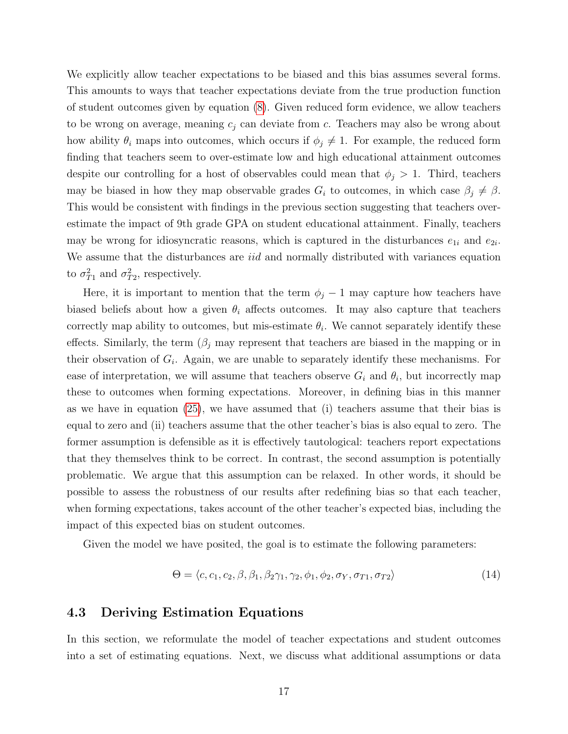We explicitly allow teacher expectations to be biased and this bias assumes several forms. This amounts to ways that teacher expectations deviate from the true production function of student outcomes given by equation [\(8\)](#page-16-0). Given reduced form evidence, we allow teachers to be wrong on average, meaning  $c_j$  can deviate from c. Teachers may also be wrong about how ability  $\theta_i$  maps into outcomes, which occurs if  $\phi_j \neq 1$ . For example, the reduced form finding that teachers seem to over-estimate low and high educational attainment outcomes despite our controlling for a host of observables could mean that  $\phi_j > 1$ . Third, teachers may be biased in how they map observable grades  $G_i$  to outcomes, in which case  $\beta_j \neq \beta$ . This would be consistent with findings in the previous section suggesting that teachers overestimate the impact of 9th grade GPA on student educational attainment. Finally, teachers may be wrong for idiosyncratic reasons, which is captured in the disturbances  $e_{1i}$  and  $e_{2i}$ . We assume that the disturbances are *iid* and normally distributed with variances equation to  $\sigma_{T_1}^2$  and  $\sigma_{T_2}^2$ , respectively.

Here, it is important to mention that the term  $\phi_j - 1$  may capture how teachers have biased beliefs about how a given  $\theta_i$  affects outcomes. It may also capture that teachers correctly map ability to outcomes, but mis-estimate  $\theta_i$ . We cannot separately identify these effects. Similarly, the term  $(\beta_i)$  may represent that teachers are biased in the mapping or in their observation of  $G_i$ . Again, we are unable to separately identify these mechanisms. For ease of interpretation, we will assume that teachers observe  $G_i$  and  $\theta_i$ , but incorrectly map these to outcomes when forming expectations. Moreover, in defining bias in this manner as we have in equation [\(25\)](#page-21-0), we have assumed that (i) teachers assume that their bias is equal to zero and (ii) teachers assume that the other teacher's bias is also equal to zero. The former assumption is defensible as it is effectively tautological: teachers report expectations that they themselves think to be correct. In contrast, the second assumption is potentially problematic. We argue that this assumption can be relaxed. In other words, it should be possible to assess the robustness of our results after redefining bias so that each teacher, when forming expectations, takes account of the other teacher's expected bias, including the impact of this expected bias on student outcomes.

Given the model we have posited, the goal is to estimate the following parameters:

$$
\Theta = \langle c, c_1, c_2, \beta, \beta_1, \beta_2 \gamma_1, \gamma_2, \phi_1, \phi_2, \sigma_Y, \sigma_{T1}, \sigma_{T2} \rangle \tag{14}
$$

#### 4.3 Deriving Estimation Equations

In this section, we reformulate the model of teacher expectations and student outcomes into a set of estimating equations. Next, we discuss what additional assumptions or data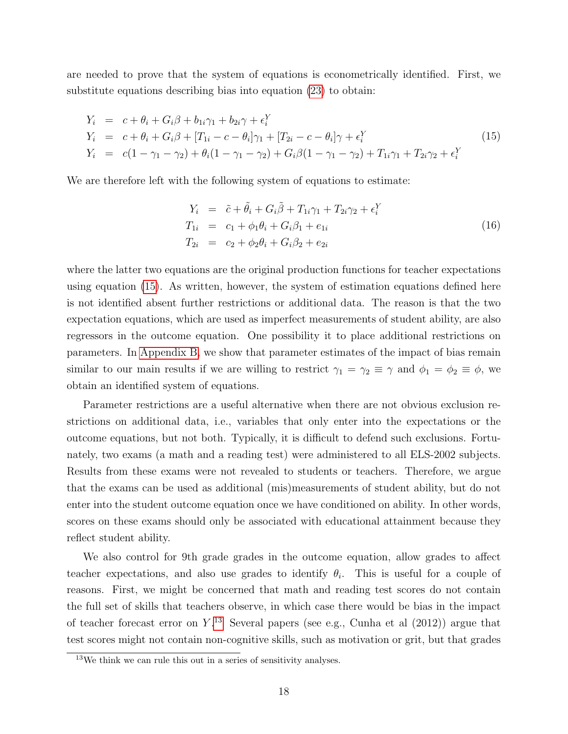are needed to prove that the system of equations is econometrically identified. First, we substitute equations describing bias into equation [\(23\)](#page-21-1) to obtain:

<span id="page-18-0"></span>
$$
Y_i = c + \theta_i + G_i \beta + b_{1i} \gamma_1 + b_{2i} \gamma + \epsilon_i^Y
$$
  
\n
$$
Y_i = c + \theta_i + G_i \beta + [T_{1i} - c - \theta_i] \gamma_1 + [T_{2i} - c - \theta_i] \gamma + \epsilon_i^Y
$$
  
\n
$$
Y_i = c(1 - \gamma_1 - \gamma_2) + \theta_i (1 - \gamma_1 - \gamma_2) + G_i \beta (1 - \gamma_1 - \gamma_2) + T_{1i} \gamma_1 + T_{2i} \gamma_2 + \epsilon_i^Y
$$
\n(15)

We are therefore left with the following system of equations to estimate:

$$
Y_i = \tilde{c} + \tilde{\theta}_i + G_i \tilde{\beta} + T_{1i} \gamma_1 + T_{2i} \gamma_2 + \epsilon_i^Y T_{1i} = c_1 + \phi_1 \theta_i + G_i \beta_1 + e_{1i} T_{2i} = c_2 + \phi_2 \theta_i + G_i \beta_2 + e_{2i}
$$
(16)

where the latter two equations are the original production functions for teacher expectations using equation [\(15\)](#page-18-0). As written, however, the system of estimation equations defined here is not identified absent further restrictions or additional data. The reason is that the two expectation equations, which are used as imperfect measurements of student ability, are also regressors in the outcome equation. One possibility it to place additional restrictions on parameters. In [Appendix B,](#page-57-0) we show that parameter estimates of the impact of bias remain similar to our main results if we are willing to restrict  $\gamma_1 = \gamma_2 \equiv \gamma$  and  $\phi_1 = \phi_2 \equiv \phi$ , we obtain an identified system of equations.

Parameter restrictions are a useful alternative when there are not obvious exclusion restrictions on additional data, i.e., variables that only enter into the expectations or the outcome equations, but not both. Typically, it is difficult to defend such exclusions. Fortunately, two exams (a math and a reading test) were administered to all ELS-2002 subjects. Results from these exams were not revealed to students or teachers. Therefore, we argue that the exams can be used as additional (mis)measurements of student ability, but do not enter into the student outcome equation once we have conditioned on ability. In other words, scores on these exams should only be associated with educational attainment because they reflect student ability.

We also control for 9th grade grades in the outcome equation, allow grades to affect teacher expectations, and also use grades to identify  $\theta_i$ . This is useful for a couple of reasons. First, we might be concerned that math and reading test scores do not contain the full set of skills that teachers observe, in which case there would be bias in the impact of teacher forecast error on  $Y^{13}$  $Y^{13}$  $Y^{13}$  Several papers (see e.g., Cunha et al (2012)) argue that test scores might not contain non-cognitive skills, such as motivation or grit, but that grades

<span id="page-18-1"></span> $13$ We think we can rule this out in a series of sensitivity analyses.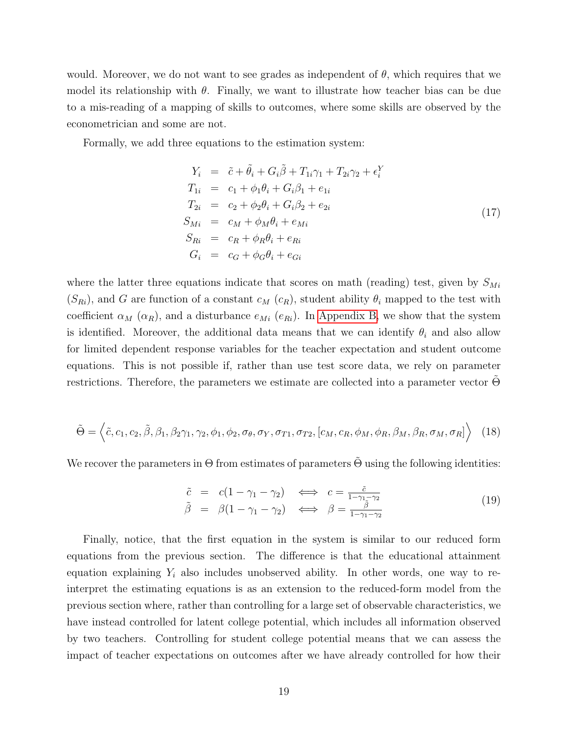would. Moreover, we do not want to see grades as independent of  $\theta$ , which requires that we model its relationship with  $\theta$ . Finally, we want to illustrate how teacher bias can be due to a mis-reading of a mapping of skills to outcomes, where some skills are observed by the econometrician and some are not.

Formally, we add three equations to the estimation system:

$$
Y_i = \tilde{c} + \tilde{\theta}_i + G_i \tilde{\beta} + T_{1i} \gamma_1 + T_{2i} \gamma_2 + \epsilon_i^Y
$$
  
\n
$$
T_{1i} = c_1 + \phi_1 \theta_i + G_i \beta_1 + e_{1i}
$$
  
\n
$$
T_{2i} = c_2 + \phi_2 \theta_i + G_i \beta_2 + e_{2i}
$$
  
\n
$$
S_{Mi} = c_M + \phi_M \theta_i + e_{Mi}
$$
  
\n
$$
S_{Ri} = c_R + \phi_R \theta_i + e_{Ri}
$$
  
\n
$$
G_i = c_G + \phi_G \theta_i + e_{Gi}
$$
\n(17)

where the latter three equations indicate that scores on math (reading) test, given by  $S_{Mi}$  $(S_{Ri})$ , and G are function of a constant  $c_M$   $(c_R)$ , student ability  $\theta_i$  mapped to the test with coefficient  $\alpha_M$  ( $\alpha_R$ ), and a disturbance  $e_{Mi}$  ( $e_{Ri}$ ). In [Appendix B,](#page-57-0) we show that the system is identified. Moreover, the additional data means that we can identify  $\theta_i$  and also allow for limited dependent response variables for the teacher expectation and student outcome equations. This is not possible if, rather than use test score data, we rely on parameter restrictions. Therefore, the parameters we estimate are collected into a parameter vector  $Θ$ 

<span id="page-19-0"></span>
$$
\tilde{\Theta} = \left\langle \tilde{c}, c_1, c_2, \tilde{\beta}, \beta_1, \beta_2 \gamma_1, \gamma_2, \phi_1, \phi_2, \sigma_\theta, \sigma_Y, \sigma_{T1}, \sigma_{T2}, [c_M, c_R, \phi_M, \phi_R, \beta_M, \beta_R, \sigma_M, \sigma_R] \right\rangle \tag{18}
$$

We recover the parameters in  $\Theta$  from estimates of parameters  $\Theta$  using the following identities:

$$
\begin{array}{rcl}\n\tilde{c} & = & c(1 - \gamma_1 - \gamma_2) \quad \Longleftrightarrow \quad c = \frac{\tilde{c}}{1 - \gamma_1 - \gamma_2} \\
\tilde{\beta} & = & \beta(1 - \gamma_1 - \gamma_2) \quad \Longleftrightarrow \quad \beta = \frac{\tilde{\beta}}{1 - \gamma_1 - \gamma_2}\n\end{array}\n\tag{19}
$$

Finally, notice, that the first equation in the system is similar to our reduced form equations from the previous section. The difference is that the educational attainment equation explaining  $Y_i$  also includes unobserved ability. In other words, one way to reinterpret the estimating equations is as an extension to the reduced-form model from the previous section where, rather than controlling for a large set of observable characteristics, we have instead controlled for latent college potential, which includes all information observed by two teachers. Controlling for student college potential means that we can assess the impact of teacher expectations on outcomes after we have already controlled for how their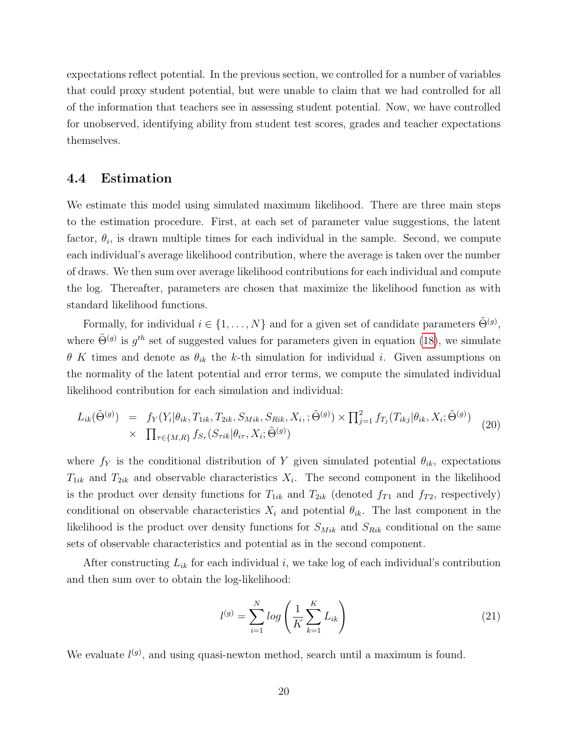expectations reflect potential. In the previous section, we controlled for a number of variables that could proxy student potential, but were unable to claim that we had controlled for all of the information that teachers see in assessing student potential. Now, we have controlled for unobserved, identifying ability from student test scores, grades and teacher expectations themselves.

#### 4.4 Estimation

We estimate this model using simulated maximum likelihood. There are three main steps to the estimation procedure. First, at each set of parameter value suggestions, the latent factor,  $\theta_i$ , is drawn multiple times for each individual in the sample. Second, we compute each individual's average likelihood contribution, where the average is taken over the number of draws. We then sum over average likelihood contributions for each individual and compute the log. Thereafter, parameters are chosen that maximize the likelihood function as with standard likelihood functions.

Formally, for individual  $i \in \{1, ..., N\}$  and for a given set of candidate parameters  $\tilde{\Theta}^{(g)}$ , where  $\tilde{\Theta}^{(g)}$  is  $g^{th}$  set of suggested values for parameters given in equation [\(18\)](#page-19-0), we simulate  $\theta$  K times and denote as  $\theta_{ik}$  the k-th simulation for individual i. Given assumptions on the normality of the latent potential and error terms, we compute the simulated individual likelihood contribution for each simulation and individual:

$$
L_{ik}(\tilde{\Theta}^{(g)}) = f_Y(Y_i|\theta_{ik}, T_{1ik}, T_{2ik}, S_{Mik}, S_{Rik}, X_i; \tilde{\Theta}^{(g)}) \times \prod_{j=1}^2 f_{T_j}(T_{ikj}|\theta_{ik}, X_i; \tilde{\Theta}^{(g)})
$$
  
 
$$
\times \prod_{\tau \in \{M, R\}} f_{S_{\tau}}(S_{\tau ik}|\theta_{i\tau}, X_i; \tilde{\Theta}^{(g)})
$$
(20)

where  $f_Y$  is the conditional distribution of Y given simulated potential  $\theta_{ik}$ , expectations  $T_{1ik}$  and  $T_{2ik}$  and observable characteristics  $X_i$ . The second component in the likelihood is the product over density functions for  $T_{1ik}$  and  $T_{2ik}$  (denoted  $f_{T1}$  and  $f_{T2}$ , respectively) conditional on observable characteristics  $X_i$  and potential  $\theta_{ik}$ . The last component in the likelihood is the product over density functions for  $S_{Mik}$  and  $S_{Rik}$  conditional on the same sets of observable characteristics and potential as in the second component.

After constructing  $L_{ik}$  for each individual i, we take log of each individual's contribution and then sum over to obtain the log-likelihood:

$$
l^{(g)} = \sum_{i=1}^{N} \log \left( \frac{1}{K} \sum_{k=1}^{K} L_{ik} \right)
$$
 (21)

We evaluate  $l^{(g)}$ , and using quasi-newton method, search until a maximum is found.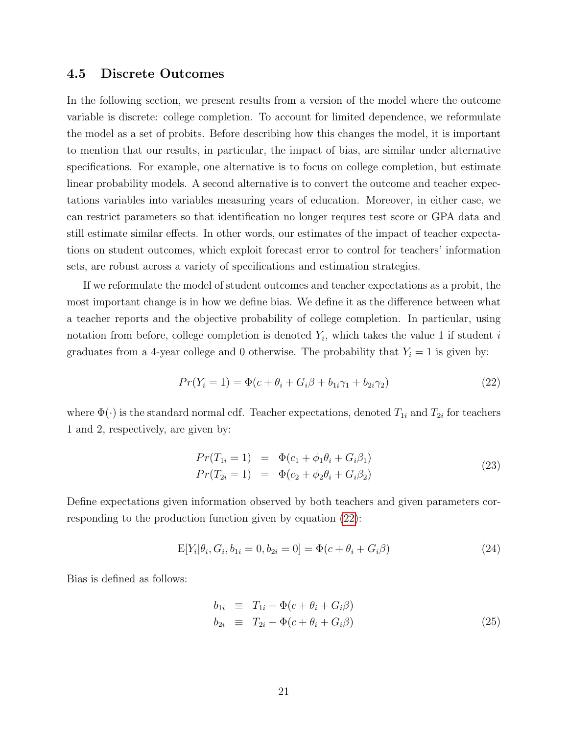#### 4.5 Discrete Outcomes

In the following section, we present results from a version of the model where the outcome variable is discrete: college completion. To account for limited dependence, we reformulate the model as a set of probits. Before describing how this changes the model, it is important to mention that our results, in particular, the impact of bias, are similar under alternative specifications. For example, one alternative is to focus on college completion, but estimate linear probability models. A second alternative is to convert the outcome and teacher expectations variables into variables measuring years of education. Moreover, in either case, we can restrict parameters so that identification no longer requres test score or GPA data and still estimate similar effects. In other words, our estimates of the impact of teacher expectations on student outcomes, which exploit forecast error to control for teachers' information sets, are robust across a variety of specifications and estimation strategies.

If we reformulate the model of student outcomes and teacher expectations as a probit, the most important change is in how we define bias. We define it as the difference between what a teacher reports and the objective probability of college completion. In particular, using notation from before, college completion is denoted  $Y_i$ , which takes the value 1 if student i graduates from a 4-year college and 0 otherwise. The probability that  $Y_i = 1$  is given by:

<span id="page-21-2"></span>
$$
Pr(Y_i = 1) = \Phi(c + \theta_i + G_i\beta + b_{1i}\gamma_1 + b_{2i}\gamma_2)
$$
\n(22)

where  $\Phi(\cdot)$  is the standard normal cdf. Teacher expectations, denoted  $T_{1i}$  and  $T_{2i}$  for teachers 1 and 2, respectively, are given by:

<span id="page-21-1"></span>
$$
Pr(T_{1i} = 1) = \Phi(c_1 + \phi_1 \theta_i + G_i \beta_1)
$$
  
\n
$$
Pr(T_{2i} = 1) = \Phi(c_2 + \phi_2 \theta_i + G_i \beta_2)
$$
\n(23)

Define expectations given information observed by both teachers and given parameters corresponding to the production function given by equation [\(22\)](#page-21-2):

$$
E[Y_i|\theta_i, G_i, b_{1i} = 0, b_{2i} = 0] = \Phi(c + \theta_i + G_i\beta)
$$
\n(24)

Bias is defined as follows:

<span id="page-21-0"></span>
$$
b_{1i} \equiv T_{1i} - \Phi(c + \theta_i + G_i \beta)
$$
  
\n
$$
b_{2i} \equiv T_{2i} - \Phi(c + \theta_i + G_i \beta)
$$
\n(25)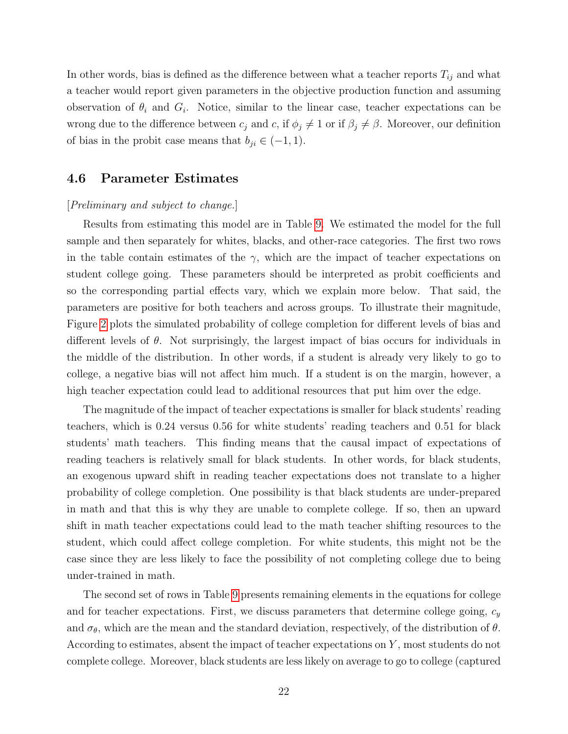In other words, bias is defined as the difference between what a teacher reports  $T_{ij}$  and what a teacher would report given parameters in the objective production function and assuming observation of  $\theta_i$  and  $G_i$ . Notice, similar to the linear case, teacher expectations can be wrong due to the difference between  $c_j$  and  $c$ , if  $\phi_j \neq 1$  or if  $\beta_j \neq \beta$ . Moreover, our definition of bias in the probit case means that  $b_{ji} \in (-1,1)$ .

#### 4.6 Parameter Estimates

#### [Preliminary and subject to change.]

Results from estimating this model are in Table [9.](#page-38-0) We estimated the model for the full sample and then separately for whites, blacks, and other-race categories. The first two rows in the table contain estimates of the  $\gamma$ , which are the impact of teacher expectations on student college going. These parameters should be interpreted as probit coefficients and so the corresponding partial effects vary, which we explain more below. That said, the parameters are positive for both teachers and across groups. To illustrate their magnitude, Figure [2](#page-41-0) plots the simulated probability of college completion for different levels of bias and different levels of  $\theta$ . Not surprisingly, the largest impact of bias occurs for individuals in the middle of the distribution. In other words, if a student is already very likely to go to college, a negative bias will not affect him much. If a student is on the margin, however, a high teacher expectation could lead to additional resources that put him over the edge.

The magnitude of the impact of teacher expectations is smaller for black students' reading teachers, which is 0.24 versus 0.56 for white students' reading teachers and 0.51 for black students' math teachers. This finding means that the causal impact of expectations of reading teachers is relatively small for black students. In other words, for black students, an exogenous upward shift in reading teacher expectations does not translate to a higher probability of college completion. One possibility is that black students are under-prepared in math and that this is why they are unable to complete college. If so, then an upward shift in math teacher expectations could lead to the math teacher shifting resources to the student, which could affect college completion. For white students, this might not be the case since they are less likely to face the possibility of not completing college due to being under-trained in math.

The second set of rows in Table [9](#page-38-0) presents remaining elements in the equations for college and for teacher expectations. First, we discuss parameters that determine college going,  $c_y$ and  $\sigma_{\theta}$ , which are the mean and the standard deviation, respectively, of the distribution of  $\theta$ . According to estimates, absent the impact of teacher expectations on Y , most students do not complete college. Moreover, black students are less likely on average to go to college (captured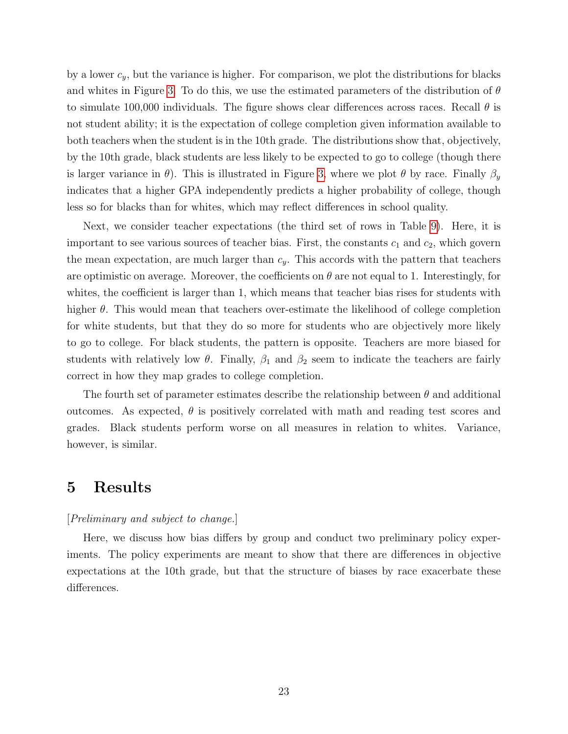by a lower  $c_y$ , but the variance is higher. For comparison, we plot the distributions for blacks and whites in Figure [3.](#page-42-0) To do this, we use the estimated parameters of the distribution of  $\theta$ to simulate 100,000 individuals. The figure shows clear differences across races. Recall  $\theta$  is not student ability; it is the expectation of college completion given information available to both teachers when the student is in the 10th grade. The distributions show that, objectively, by the 10th grade, black students are less likely to be expected to go to college (though there is larger variance in  $\theta$ ). This is illustrated in Figure [3,](#page-42-0) where we plot  $\theta$  by race. Finally  $\beta_y$ indicates that a higher GPA independently predicts a higher probability of college, though less so for blacks than for whites, which may reflect differences in school quality.

Next, we consider teacher expectations (the third set of rows in Table [9\)](#page-38-0). Here, it is important to see various sources of teacher bias. First, the constants  $c_1$  and  $c_2$ , which govern the mean expectation, are much larger than  $c_y$ . This accords with the pattern that teachers are optimistic on average. Moreover, the coefficients on  $\theta$  are not equal to 1. Interestingly, for whites, the coefficient is larger than 1, which means that teacher bias rises for students with higher  $\theta$ . This would mean that teachers over-estimate the likelihood of college completion for white students, but that they do so more for students who are objectively more likely to go to college. For black students, the pattern is opposite. Teachers are more biased for students with relatively low  $\theta$ . Finally,  $\beta_1$  and  $\beta_2$  seem to indicate the teachers are fairly correct in how they map grades to college completion.

The fourth set of parameter estimates describe the relationship between  $\theta$  and additional outcomes. As expected,  $\theta$  is positively correlated with math and reading test scores and grades. Black students perform worse on all measures in relation to whites. Variance, however, is similar.

### <span id="page-23-0"></span>5 Results

#### [Preliminary and subject to change.]

Here, we discuss how bias differs by group and conduct two preliminary policy experiments. The policy experiments are meant to show that there are differences in objective expectations at the 10th grade, but that the structure of biases by race exacerbate these differences.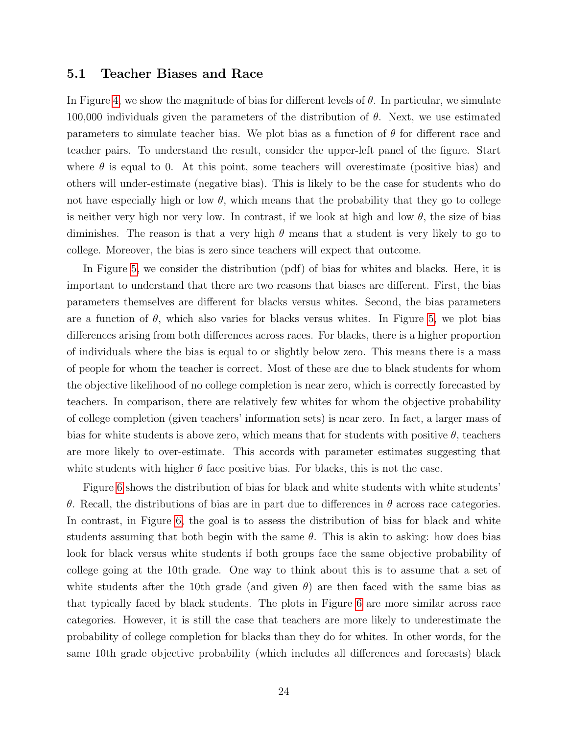#### 5.1 Teacher Biases and Race

In Figure [4,](#page-43-0) we show the magnitude of bias for different levels of  $\theta$ . In particular, we simulate 100,000 individuals given the parameters of the distribution of  $\theta$ . Next, we use estimated parameters to simulate teacher bias. We plot bias as a function of  $\theta$  for different race and teacher pairs. To understand the result, consider the upper-left panel of the figure. Start where  $\theta$  is equal to 0. At this point, some teachers will overestimate (positive bias) and others will under-estimate (negative bias). This is likely to be the case for students who do not have especially high or low  $\theta$ , which means that the probability that they go to college is neither very high nor very low. In contrast, if we look at high and low  $\theta$ , the size of bias diminishes. The reason is that a very high  $\theta$  means that a student is very likely to go to college. Moreover, the bias is zero since teachers will expect that outcome.

In Figure [5,](#page-44-0) we consider the distribution (pdf) of bias for whites and blacks. Here, it is important to understand that there are two reasons that biases are different. First, the bias parameters themselves are different for blacks versus whites. Second, the bias parameters are a function of  $\theta$ , which also varies for blacks versus whites. In Figure [5,](#page-44-0) we plot bias differences arising from both differences across races. For blacks, there is a higher proportion of individuals where the bias is equal to or slightly below zero. This means there is a mass of people for whom the teacher is correct. Most of these are due to black students for whom the objective likelihood of no college completion is near zero, which is correctly forecasted by teachers. In comparison, there are relatively few whites for whom the objective probability of college completion (given teachers' information sets) is near zero. In fact, a larger mass of bias for white students is above zero, which means that for students with positive  $\theta$ , teachers are more likely to over-estimate. This accords with parameter estimates suggesting that white students with higher  $\theta$  face positive bias. For blacks, this is not the case.

Figure [6](#page-45-0) shows the distribution of bias for black and white students with white students' θ. Recall, the distributions of bias are in part due to differences in θ across race categories. In contrast, in Figure [6,](#page-45-0) the goal is to assess the distribution of bias for black and white students assuming that both begin with the same  $\theta$ . This is akin to asking: how does bias look for black versus white students if both groups face the same objective probability of college going at the 10th grade. One way to think about this is to assume that a set of white students after the 10th grade (and given  $\theta$ ) are then faced with the same bias as that typically faced by black students. The plots in Figure [6](#page-45-0) are more similar across race categories. However, it is still the case that teachers are more likely to underestimate the probability of college completion for blacks than they do for whites. In other words, for the same 10th grade objective probability (which includes all differences and forecasts) black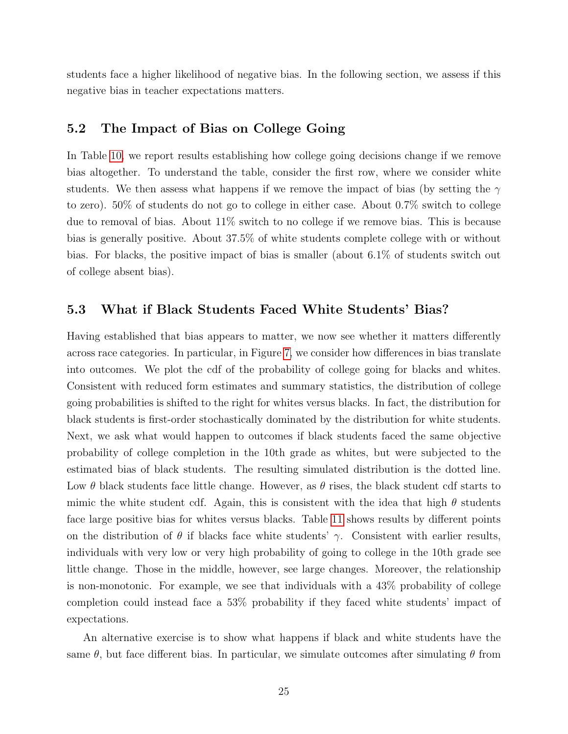students face a higher likelihood of negative bias. In the following section, we assess if this negative bias in teacher expectations matters.

#### 5.2 The Impact of Bias on College Going

In Table [10,](#page-39-0) we report results establishing how college going decisions change if we remove bias altogether. To understand the table, consider the first row, where we consider white students. We then assess what happens if we remove the impact of bias (by setting the  $\gamma$ to zero). 50% of students do not go to college in either case. About 0.7% switch to college due to removal of bias. About 11% switch to no college if we remove bias. This is because bias is generally positive. About 37.5% of white students complete college with or without bias. For blacks, the positive impact of bias is smaller (about 6.1% of students switch out of college absent bias).

#### 5.3 What if Black Students Faced White Students' Bias?

Having established that bias appears to matter, we now see whether it matters differently across race categories. In particular, in Figure [7,](#page-46-0) we consider how differences in bias translate into outcomes. We plot the cdf of the probability of college going for blacks and whites. Consistent with reduced form estimates and summary statistics, the distribution of college going probabilities is shifted to the right for whites versus blacks. In fact, the distribution for black students is first-order stochastically dominated by the distribution for white students. Next, we ask what would happen to outcomes if black students faced the same objective probability of college completion in the 10th grade as whites, but were subjected to the estimated bias of black students. The resulting simulated distribution is the dotted line. Low  $\theta$  black students face little change. However, as  $\theta$  rises, the black student cdf starts to mimic the white student cdf. Again, this is consistent with the idea that high  $\theta$  students face large positive bias for whites versus blacks. Table [11](#page-39-1) shows results by different points on the distribution of  $\theta$  if blacks face white students'  $\gamma$ . Consistent with earlier results, individuals with very low or very high probability of going to college in the 10th grade see little change. Those in the middle, however, see large changes. Moreover, the relationship is non-monotonic. For example, we see that individuals with a 43% probability of college completion could instead face a 53% probability if they faced white students' impact of expectations.

An alternative exercise is to show what happens if black and white students have the same  $\theta$ , but face different bias. In particular, we simulate outcomes after simulating  $\theta$  from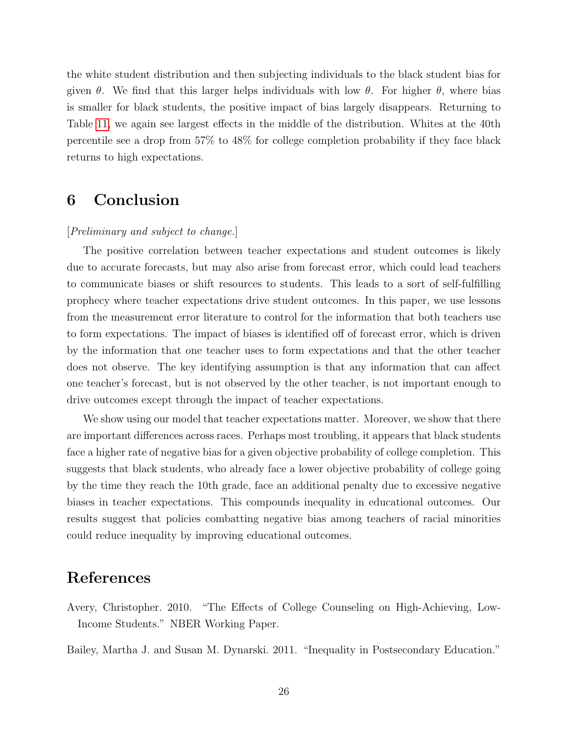the white student distribution and then subjecting individuals to the black student bias for given  $\theta$ . We find that this larger helps individuals with low  $\theta$ . For higher  $\theta$ , where bias is smaller for black students, the positive impact of bias largely disappears. Returning to Table [11,](#page-39-1) we again see largest effects in the middle of the distribution. Whites at the 40th percentile see a drop from 57% to 48% for college completion probability if they face black returns to high expectations.

# <span id="page-26-2"></span>6 Conclusion

#### [Preliminary and subject to change.]

The positive correlation between teacher expectations and student outcomes is likely due to accurate forecasts, but may also arise from forecast error, which could lead teachers to communicate biases or shift resources to students. This leads to a sort of self-fulfilling prophecy where teacher expectations drive student outcomes. In this paper, we use lessons from the measurement error literature to control for the information that both teachers use to form expectations. The impact of biases is identified off of forecast error, which is driven by the information that one teacher uses to form expectations and that the other teacher does not observe. The key identifying assumption is that any information that can affect one teacher's forecast, but is not observed by the other teacher, is not important enough to drive outcomes except through the impact of teacher expectations.

We show using our model that teacher expectations matter. Moreover, we show that there are important differences across races. Perhaps most troubling, it appears that black students face a higher rate of negative bias for a given objective probability of college completion. This suggests that black students, who already face a lower objective probability of college going by the time they reach the 10th grade, face an additional penalty due to excessive negative biases in teacher expectations. This compounds inequality in educational outcomes. Our results suggest that policies combatting negative bias among teachers of racial minorities could reduce inequality by improving educational outcomes.

## References

<span id="page-26-1"></span>Avery, Christopher. 2010. "The Effects of College Counseling on High-Achieving, Low-Income Students." NBER Working Paper.

<span id="page-26-0"></span>Bailey, Martha J. and Susan M. Dynarski. 2011. "Inequality in Postsecondary Education."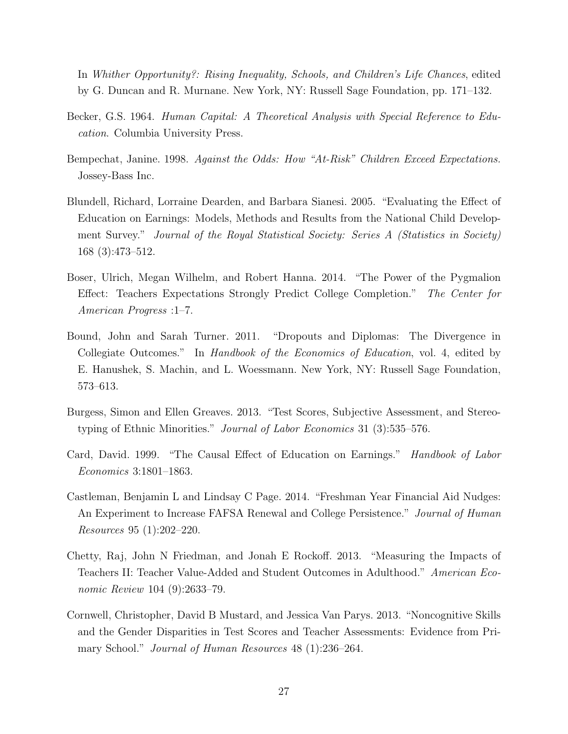In Whither Opportunity?: Rising Inequality, Schools, and Children's Life Chances, edited by G. Duncan and R. Murnane. New York, NY: Russell Sage Foundation, pp. 171–132.

- <span id="page-27-0"></span>Becker, G.S. 1964. Human Capital: A Theoretical Analysis with Special Reference to Education. Columbia University Press.
- <span id="page-27-6"></span>Bempechat, Janine. 1998. Against the Odds: How "At-Risk" Children Exceed Expectations. Jossey-Bass Inc.
- <span id="page-27-2"></span>Blundell, Richard, Lorraine Dearden, and Barbara Sianesi. 2005. "Evaluating the Effect of Education on Earnings: Models, Methods and Results from the National Child Development Survey." Journal of the Royal Statistical Society: Series A (Statistics in Society) 168 (3):473–512.
- <span id="page-27-5"></span>Boser, Ulrich, Megan Wilhelm, and Robert Hanna. 2014. "The Power of the Pygmalion Effect: Teachers Expectations Strongly Predict College Completion." The Center for American Progress :1–7.
- <span id="page-27-1"></span>Bound, John and Sarah Turner. 2011. "Dropouts and Diplomas: The Divergence in Collegiate Outcomes." In *Handbook of the Economics of Education*, vol. 4, edited by E. Hanushek, S. Machin, and L. Woessmann. New York, NY: Russell Sage Foundation, 573–613.
- <span id="page-27-7"></span>Burgess, Simon and Ellen Greaves. 2013. "Test Scores, Subjective Assessment, and Stereotyping of Ethnic Minorities." Journal of Labor Economics 31 (3):535–576.
- <span id="page-27-3"></span>Card, David. 1999. "The Causal Effect of Education on Earnings." Handbook of Labor Economics 3:1801–1863.
- <span id="page-27-9"></span>Castleman, Benjamin L and Lindsay C Page. 2014. "Freshman Year Financial Aid Nudges: An Experiment to Increase FAFSA Renewal and College Persistence." Journal of Human Resources 95 (1):202–220.
- <span id="page-27-4"></span>Chetty, Raj, John N Friedman, and Jonah E Rockoff. 2013. "Measuring the Impacts of Teachers II: Teacher Value-Added and Student Outcomes in Adulthood." American Economic Review 104 (9):2633–79.
- <span id="page-27-8"></span>Cornwell, Christopher, David B Mustard, and Jessica Van Parys. 2013. "Noncognitive Skills and the Gender Disparities in Test Scores and Teacher Assessments: Evidence from Primary School." *Journal of Human Resources* 48 (1):236–264.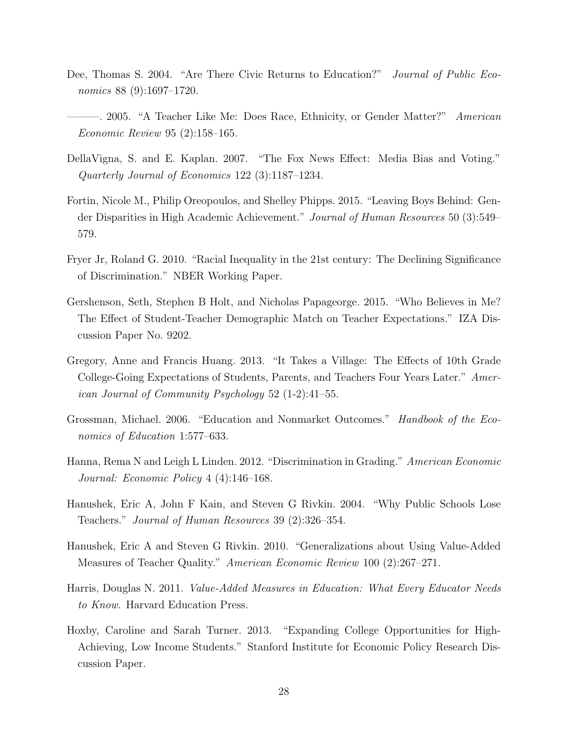- <span id="page-28-0"></span>Dee, Thomas S. 2004. "Are There Civic Returns to Education?" *Journal of Public Eco*nomics 88 (9):1697–1720.
- <span id="page-28-10"></span>-. 2005. "A Teacher Like Me: Does Race, Ethnicity, or Gender Matter?" American Economic Review 95 (2):158–165.
- <span id="page-28-6"></span>DellaVigna, S. and E. Kaplan. 2007. "The Fox News Effect: Media Bias and Voting." Quarterly Journal of Economics 122 (3):1187–1234.
- <span id="page-28-3"></span>Fortin, Nicole M., Philip Oreopoulos, and Shelley Phipps. 2015. "Leaving Boys Behind: Gender Disparities in High Academic Achievement." Journal of Human Resources 50 (3):549– 579.
- <span id="page-28-11"></span>Fryer Jr, Roland G. 2010. "Racial Inequality in the 21st century: The Declining Significance of Discrimination." NBER Working Paper.
- <span id="page-28-9"></span>Gershenson, Seth, Stephen B Holt, and Nicholas Papageorge. 2015. "Who Believes in Me? The Effect of Student-Teacher Demographic Match on Teacher Expectations." IZA Discussion Paper No. 9202.
- <span id="page-28-7"></span>Gregory, Anne and Francis Huang. 2013. "It Takes a Village: The Effects of 10th Grade College-Going Expectations of Students, Parents, and Teachers Four Years Later." American Journal of Community Psychology 52 (1-2):41–55.
- <span id="page-28-1"></span>Grossman, Michael. 2006. "Education and Nonmarket Outcomes." *Handbook of the Eco*nomics of Education 1:577–633.
- <span id="page-28-8"></span>Hanna, Rema N and Leigh L Linden. 2012. "Discrimination in Grading." American Economic Journal: Economic Policy 4 (4):146–168.
- <span id="page-28-12"></span>Hanushek, Eric A, John F Kain, and Steven G Rivkin. 2004. "Why Public Schools Lose Teachers." Journal of Human Resources 39 (2):326–354.
- <span id="page-28-5"></span>Hanushek, Eric A and Steven G Rivkin. 2010. "Generalizations about Using Value-Added Measures of Teacher Quality." American Economic Review 100 (2):267–271.
- <span id="page-28-4"></span>Harris, Douglas N. 2011. Value-Added Measures in Education: What Every Educator Needs to Know. Harvard Education Press.
- <span id="page-28-2"></span>Hoxby, Caroline and Sarah Turner. 2013. "Expanding College Opportunities for High-Achieving, Low Income Students." Stanford Institute for Economic Policy Research Discussion Paper.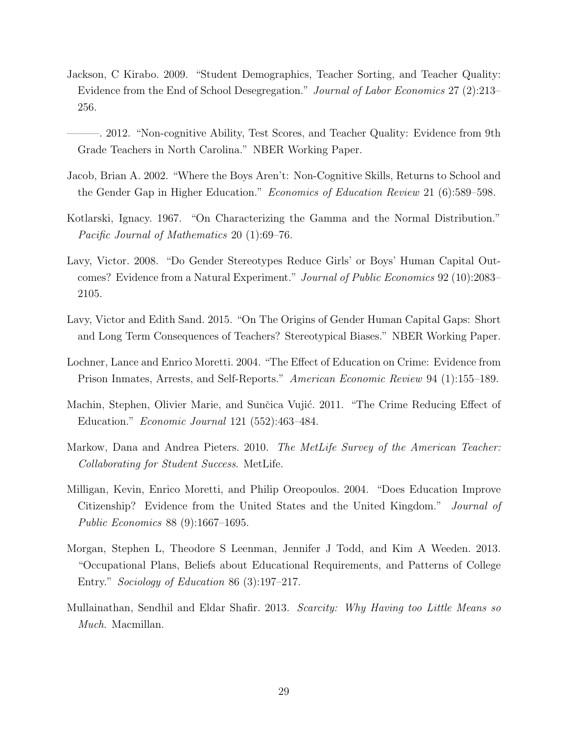- <span id="page-29-9"></span>Jackson, C Kirabo. 2009. "Student Demographics, Teacher Sorting, and Teacher Quality: Evidence from the End of School Desegregation." Journal of Labor Economics 27 (2):213– 256.
- <span id="page-29-5"></span>———. 2012. "Non-cognitive Ability, Test Scores, and Teacher Quality: Evidence from 9th Grade Teachers in North Carolina." NBER Working Paper.
- <span id="page-29-10"></span>Jacob, Brian A. 2002. "Where the Boys Aren't: Non-Cognitive Skills, Returns to School and the Gender Gap in Higher Education." Economics of Education Review 21 (6):589–598.
- <span id="page-29-11"></span>Kotlarski, Ignacy. 1967. "On Characterizing the Gamma and the Normal Distribution." Pacific Journal of Mathematics 20 (1):69–76.
- <span id="page-29-8"></span>Lavy, Victor. 2008. "Do Gender Stereotypes Reduce Girls' or Boys' Human Capital Outcomes? Evidence from a Natural Experiment." Journal of Public Economics 92 (10):2083– 2105.
- <span id="page-29-4"></span>Lavy, Victor and Edith Sand. 2015. "On The Origins of Gender Human Capital Gaps: Short and Long Term Consequences of Teachers? Stereotypical Biases." NBER Working Paper.
- <span id="page-29-1"></span>Lochner, Lance and Enrico Moretti. 2004. "The Effect of Education on Crime: Evidence from Prison Inmates, Arrests, and Self-Reports." American Economic Review 94 (1):155–189.
- <span id="page-29-2"></span>Machin, Stephen, Olivier Marie, and Sunčica Vujić. 2011. "The Crime Reducing Effect of Education." Economic Journal 121 (552):463–484.
- <span id="page-29-7"></span>Markow, Dana and Andrea Pieters. 2010. The MetLife Survey of the American Teacher: Collaborating for Student Success. MetLife.
- <span id="page-29-0"></span>Milligan, Kevin, Enrico Moretti, and Philip Oreopoulos. 2004. "Does Education Improve Citizenship? Evidence from the United States and the United Kingdom." Journal of Public Economics 88 (9):1667–1695.
- <span id="page-29-3"></span>Morgan, Stephen L, Theodore S Leenman, Jennifer J Todd, and Kim A Weeden. 2013. "Occupational Plans, Beliefs about Educational Requirements, and Patterns of College Entry." Sociology of Education 86 (3):197–217.
- <span id="page-29-6"></span>Mullainathan, Sendhil and Eldar Shafir. 2013. Scarcity: Why Having too Little Means so Much. Macmillan.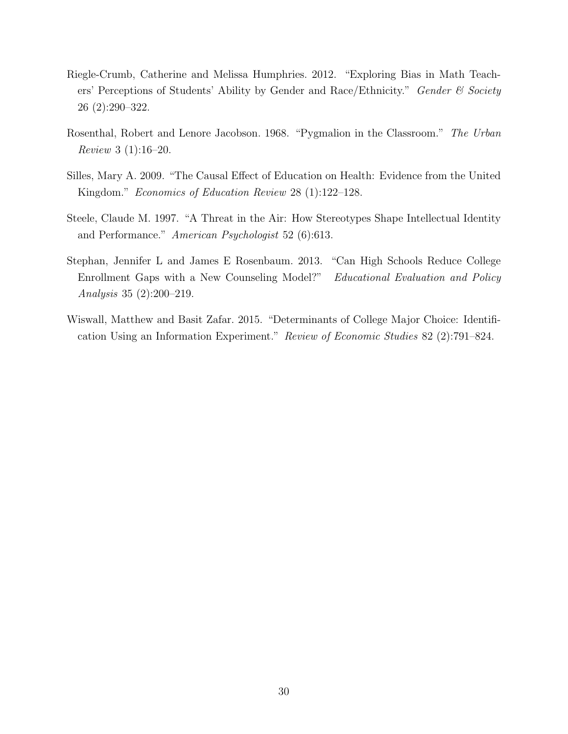- <span id="page-30-3"></span>Riegle-Crumb, Catherine and Melissa Humphries. 2012. "Exploring Bias in Math Teachers' Perceptions of Students' Ability by Gender and Race/Ethnicity." Gender & Society 26 (2):290–322.
- <span id="page-30-2"></span>Rosenthal, Robert and Lenore Jacobson. 1968. "Pygmalion in the Classroom." The Urban Review 3 (1):16–20.
- <span id="page-30-1"></span>Silles, Mary A. 2009. "The Causal Effect of Education on Health: Evidence from the United Kingdom." Economics of Education Review 28 (1):122–128.
- <span id="page-30-0"></span>Steele, Claude M. 1997. "A Threat in the Air: How Stereotypes Shape Intellectual Identity and Performance." American Psychologist 52 (6):613.
- <span id="page-30-5"></span>Stephan, Jennifer L and James E Rosenbaum. 2013. "Can High Schools Reduce College Enrollment Gaps with a New Counseling Model?" Educational Evaluation and Policy Analysis 35 (2):200–219.
- <span id="page-30-4"></span>Wiswall, Matthew and Basit Zafar. 2015. "Determinants of College Major Choice: Identification Using an Information Experiment." Review of Economic Studies 82 (2):791–824.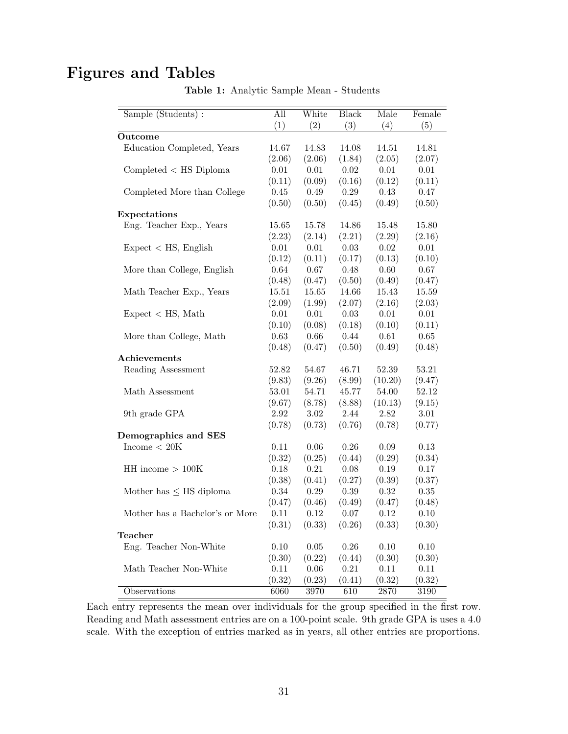# <span id="page-31-0"></span>Figures and Tables

| Sample (Students):              | All       | White    | <b>Black</b> | Male    | Female |
|---------------------------------|-----------|----------|--------------|---------|--------|
|                                 | (1)       | (2)      | (3)          | (4)     | (5)    |
| Outcome                         |           |          |              |         |        |
| Education Completed, Years      | 14.67     | 14.83    | 14.08        | 14.51   | 14.81  |
|                                 | (2.06)    | (2.06)   | (1.84)       | (2.05)  | (2.07) |
| $Completed <$ HS Diploma        | 0.01      | 0.01     | 0.02         | 0.01    | 0.01   |
|                                 | (0.11)    | (0.09)   | (0.16)       | (0.12)  | (0.11) |
| Completed More than College     | 0.45      | 0.49     | 0.29         | 0.43    | 0.47   |
|                                 | (0.50)    | (0.50)   | (0.45)       | (0.49)  | (0.50) |
| Expectations                    |           |          |              |         |        |
| Eng. Teacher Exp., Years        | 15.65     | 15.78    | 14.86        | 15.48   | 15.80  |
|                                 | (2.23)    | (2.14)   | (2.21)       | (2.29)  | (2.16) |
| Expected < HS, English          | 0.01      | 0.01     | 0.03         | 0.02    | 0.01   |
|                                 | (0.12)    | (0.11)   | (0.17)       | (0.13)  | (0.10) |
| More than College, English      | 0.64      | 0.67     | 0.48         | 0.60    | 0.67   |
|                                 | (0.48)    | (0.47)   | (0.50)       | (0.49)  | (0.47) |
| Math Teacher Exp., Years        | $15.51\,$ | 15.65    | 14.66        | 15.43   | 15.59  |
|                                 | (2.09)    | (1.99)   | (2.07)       | (2.16)  | (2.03) |
| Expected < HS, Math             | 0.01      | 0.01     | 0.03         | 0.01    | 0.01   |
|                                 | (0.10)    | (0.08)   | (0.18)       | (0.10)  | (0.11) |
| More than College, Math         | 0.63      | 0.66     | 0.44         | 0.61    | 0.65   |
|                                 | (0.48)    | (0.47)   | (0.50)       | (0.49)  | (0.48) |
| Achievements                    |           |          |              |         |        |
| Reading Assessment              | 52.82     | 54.67    | 46.71        | 52.39   | 53.21  |
|                                 | (9.83)    | (9.26)   | (8.99)       | (10.20) | (9.47) |
| Math Assessment                 | $53.01\,$ | 54.71    | 45.77        | 54.00   | 52.12  |
|                                 | (9.67)    | (8.78)   | (8.88)       | (10.13) | (9.15) |
| 9th grade GPA                   | 2.92      | 3.02     | 2.44         | 2.82    | 3.01   |
|                                 | (0.78)    | (0.73)   | (0.76)       | (0.78)  | (0.77) |
| Demographics and SES            |           |          |              |         |        |
| Income $< 20K$                  | 0.11      | 0.06     | 0.26         | 0.09    | 0.13   |
|                                 | (0.32)    | (0.25)   | (0.44)       | (0.29)  | (0.34) |
| $HH$ income $> 100K$            | 0.18      | 0.21     | 0.08         | 0.19    | 0.17   |
|                                 | (0.38)    | (0.41)   | (0.27)       | (0.39)  | (0.37) |
| Mother has $\leq$ HS diploma    | 0.34      | 0.29     | 0.39         | 0.32    | 0.35   |
|                                 | (0.47)    | (0.46)   | (0.49)       | (0.47)  | (0.48) |
| Mother has a Bachelor's or More | 0.11      | 0.12     | 0.07         | 0.12    | 0.10   |
|                                 | (0.31)    | (0.33)   | (0.26)       | (0.33)  | (0.30) |
| <b>Teacher</b>                  |           |          |              |         |        |
| Eng. Teacher Non-White          | $0.10\,$  | $0.05\,$ | $0.26\,$     | 0.10    | 0.10   |
|                                 | (0.30)    | (0.22)   | (0.44)       | (0.30)  | (0.30) |
| Math Teacher Non-White          | 0.11      | 0.06     | 0.21         | 0.11    | 0.11   |
|                                 | (0.32)    | (0.23)   | (0.41)       | (0.32)  | (0.32) |
| Observations                    | 6060      | 3970     | 610          | 2870    | 3190   |

Table 1: Analytic Sample Mean - Students

Each entry represents the mean over individuals for the group specified in the first row. Reading and Math assessment entries are on a 100-point scale. 9th grade GPA is uses a 4.0 scale. With the exception of entries marked as in years, all other entries are proportions.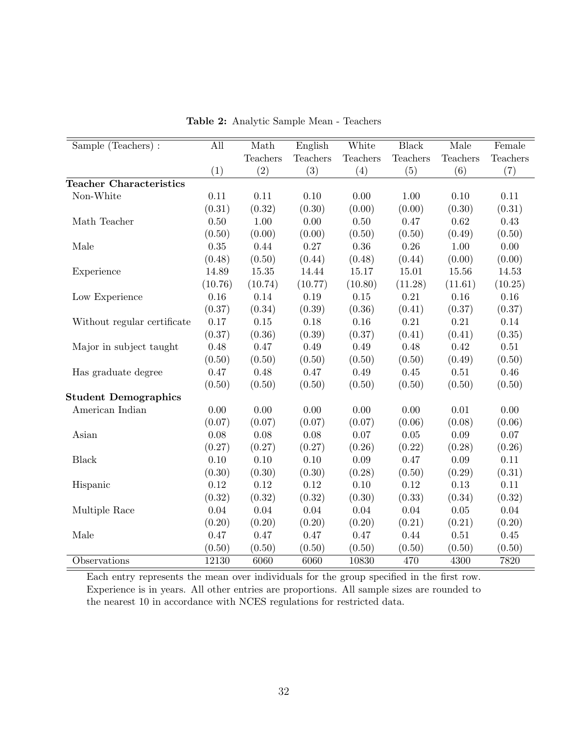<span id="page-32-0"></span>

| Sample (Teachers):             | All      | Math     | English  | White    | <b>Black</b> | Male       | Female   |
|--------------------------------|----------|----------|----------|----------|--------------|------------|----------|
|                                |          | Teachers | Teachers | Teachers | Teachers     | Teachers   | Teachers |
|                                | (1)      | (2)      | (3)      | (4)      | (5)          | (6)        | (7)      |
| <b>Teacher Characteristics</b> |          |          |          |          |              |            |          |
| Non-White                      | 0.11     | 0.11     | 0.10     | 0.00     | 1.00         | 0.10       | 0.11     |
|                                | (0.31)   | (0.32)   | (0.30)   | (0.00)   | (0.00)       | (0.30)     | (0.31)   |
| Math Teacher                   | 0.50     | 1.00     | 0.00     | 0.50     | 0.47         | 0.62       | 0.43     |
|                                | (0.50)   | (0.00)   | (0.00)   | (0.50)   | (0.50)       | (0.49)     | (0.50)   |
| Male                           | 0.35     | 0.44     | 0.27     | $0.36\,$ | 0.26         | 1.00       | 0.00     |
|                                | (0.48)   | (0.50)   | (0.44)   | (0.48)   | (0.44)       | (0.00)     | (0.00)   |
| Experience                     | 14.89    | 15.35    | 14.44    | 15.17    | 15.01        | 15.56      | 14.53    |
|                                | (10.76)  | (10.74)  | (10.77)  | (10.80)  | (11.28)      | (11.61)    | (10.25)  |
| Low Experience                 | 0.16     | $0.14\,$ | $0.19\,$ | $0.15\,$ | $0.21\,$     | 0.16       | 0.16     |
|                                | (0.37)   | (0.34)   | (0.39)   | (0.36)   | (0.41)       | (0.37)     | (0.37)   |
| Without regular certificate    | 0.17     | $0.15\,$ | 0.18     | 0.16     | 0.21         | $\rm 0.21$ | 0.14     |
|                                | (0.37)   | (0.36)   | (0.39)   | (0.37)   | (0.41)       | (0.41)     | (0.35)   |
| Major in subject taught        | 0.48     | 0.47     | 0.49     | 0.49     | 0.48         | 0.42       | $0.51\,$ |
|                                | (0.50)   | (0.50)   | (0.50)   | (0.50)   | (0.50)       | (0.49)     | (0.50)   |
| Has graduate degree            | 0.47     | 0.48     | 0.47     | 0.49     | $0.45\,$     | $0.51\,$   | $0.46\,$ |
|                                | (0.50)   | (0.50)   | (0.50)   | (0.50)   | (0.50)       | (0.50)     | (0.50)   |
| <b>Student Demographics</b>    |          |          |          |          |              |            |          |
| American Indian                | 0.00     | 0.00     | 0.00     | 0.00     | 0.00         | 0.01       | 0.00     |
|                                | (0.07)   | (0.07)   | (0.07)   | (0.07)   | (0.06)       | (0.08)     | (0.06)   |
| Asian                          | 0.08     | 0.08     | 0.08     | $0.07\,$ | $0.05\,$     | 0.09       | $0.07\,$ |
|                                | (0.27)   | (0.27)   | (0.27)   | (0.26)   | (0.22)       | (0.28)     | (0.26)   |
| <b>Black</b>                   | 0.10     | 0.10     | 0.10     | 0.09     | 0.47         | 0.09       | 0.11     |
|                                | (0.30)   | (0.30)   | (0.30)   | (0.28)   | (0.50)       | (0.29)     | (0.31)   |
| Hispanic                       | 0.12     | 0.12     | 0.12     | $0.10\,$ | 0.12         | 0.13       | 0.11     |
|                                | (0.32)   | (0.32)   | (0.32)   | (0.30)   | (0.33)       | (0.34)     | (0.32)   |
| Multiple Race                  | $0.04\,$ | 0.04     | $0.04\,$ | 0.04     | 0.04         | 0.05       | $0.04\,$ |
|                                | (0.20)   | (0.20)   | (0.20)   | (0.20)   | (0.21)       | (0.21)     | (0.20)   |
| Male                           | 0.47     | 0.47     | 0.47     | 0.47     | 0.44         | 0.51       | $0.45\,$ |
|                                | (0.50)   | (0.50)   | (0.50)   | (0.50)   | (0.50)       | (0.50)     | (0.50)   |
| Observations                   | 12130    | 6060     | 6060     | 10830    | 470          | 4300       | 7820     |

Table 2: Analytic Sample Mean - Teachers

Each entry represents the mean over individuals for the group specified in the first row. Experience is in years. All other entries are proportions. All sample sizes are rounded to the nearest 10 in accordance with NCES regulations for restricted data.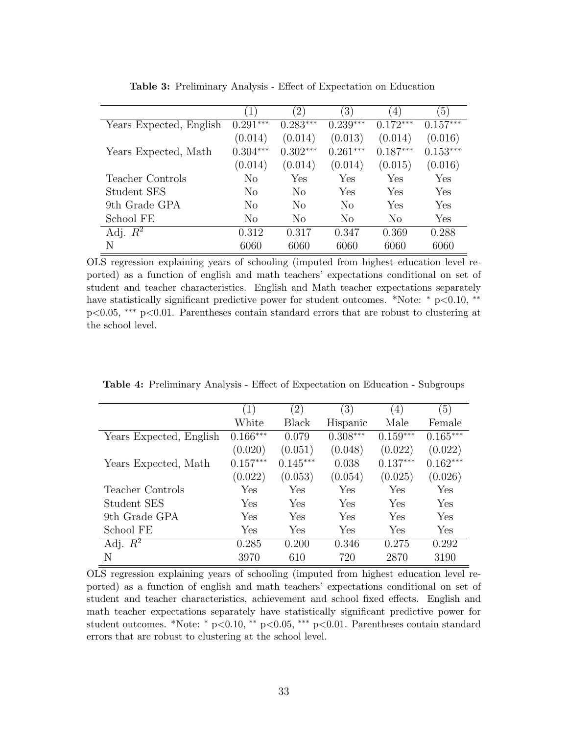<span id="page-33-0"></span>

|                         | $\left(1\right)$ | $\left 2\right\rangle$ | $\left(3\right)$ | $\overline{4}$ | $\left(5\right)$ |
|-------------------------|------------------|------------------------|------------------|----------------|------------------|
| Years Expected, English | $0.291***$       | $0.283***$             | $0.239***$       | $0.172***$     | $0.157***$       |
|                         | (0.014)          | (0.014)                | (0.013)          | (0.014)        | (0.016)          |
| Years Expected, Math    | $0.304***$       | $0.302***$             | $0.261***$       | $0.187***$     | $0.153***$       |
|                         | (0.014)          | (0.014)                | (0.014)          | (0.015)        | (0.016)          |
| Teacher Controls        | No               | Yes                    | Yes              | Yes            | Yes              |
| Student SES             | No               | No                     | Yes              | Yes            | Yes              |
| 9th Grade GPA           | N <sub>o</sub>   | N <sub>o</sub>         | No               | Yes            | Yes              |
| School FE               | N <sub>o</sub>   | N <sub>0</sub>         | No               | $\rm No$       | Yes              |
| Adj. $R^2$              | 0.312            | 0.317                  | 0.347            | 0.369          | 0.288            |
| N                       | 6060             | 6060                   | 6060             | 6060           | 6060             |

Table 3: Preliminary Analysis - Effect of Expectation on Education

OLS regression explaining years of schooling (imputed from highest education level reported) as a function of english and math teachers' expectations conditional on set of student and teacher characteristics. English and Math teacher expectations separately have statistically significant predictive power for student outcomes. \*Note: <sup>∗</sup> p<0.10, ∗∗ p<0.05, ∗∗∗ p<0.01. Parentheses contain standard errors that are robust to clustering at the school level.

|                         | (1)        | $\left( 2\right)$ | $\left( 3\right)$ | (4)        | (5)        |
|-------------------------|------------|-------------------|-------------------|------------|------------|
|                         | White      | Black             | Hispanic          | Male       | Female     |
| Years Expected, English | $0.166***$ | 0.079             | $0.308***$        | $0.159***$ | $0.165***$ |
|                         | (0.020)    | (0.051)           | (0.048)           | (0.022)    | (0.022)    |
| Years Expected, Math    | $0.157***$ | $0.145***$        | 0.038             | $0.137***$ | $0.162***$ |
|                         | (0.022)    | (0.053)           | (0.054)           | (0.025)    | (0.026)    |
| Teacher Controls        | Yes        | Yes               | Yes               | Yes        | Yes        |
| Student SES             | Yes        | Yes               | Yes               | Yes        | Yes        |
| 9th Grade GPA           | Yes        | Yes               | Yes               | Yes        | Yes        |
| School FE               | Yes        | Yes               | Yes               | Yes        | Yes        |
| Adj. $R^2$              | 0.285      | 0.200             | 0.346             | 0.275      | 0.292      |
| N                       | 3970       | 610               | 720               | 2870       | 3190       |

<span id="page-33-1"></span>Table 4: Preliminary Analysis - Effect of Expectation on Education - Subgroups

OLS regression explaining years of schooling (imputed from highest education level reported) as a function of english and math teachers' expectations conditional on set of student and teacher characteristics, achievement and school fixed effects. English and math teacher expectations separately have statistically significant predictive power for student outcomes. \*Note: <sup>∗</sup> p<0.10, ∗∗ p<0.05, ∗∗∗ p<0.01. Parentheses contain standard errors that are robust to clustering at the school level.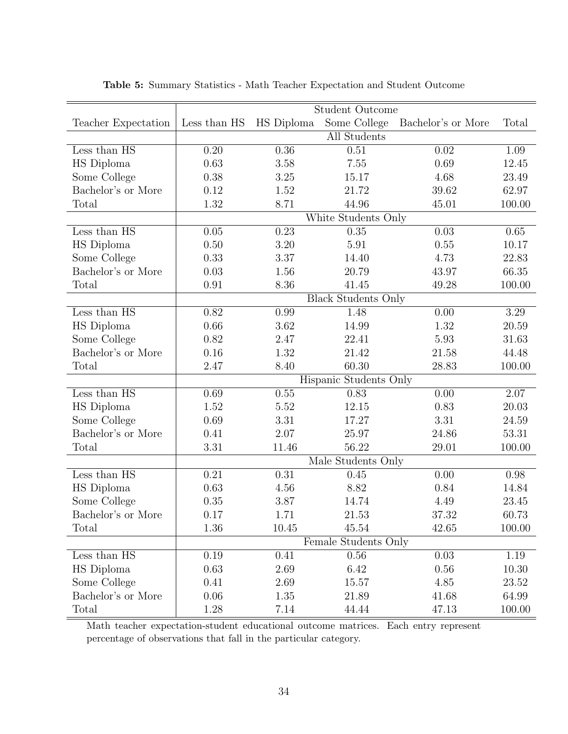<span id="page-34-0"></span>

|                                  | Student Outcome     |            |                            |                    |        |  |  |
|----------------------------------|---------------------|------------|----------------------------|--------------------|--------|--|--|
| Teacher Expectation              | Less than HS        | HS Diploma | Some College               | Bachelor's or More | Total  |  |  |
|                                  |                     |            | All Students               |                    |        |  |  |
| Less than HS                     | 0.20                | 0.36       | 0.51                       | 0.02               | 1.09   |  |  |
| HS Diploma                       | 0.63                | 3.58       | 7.55                       | 0.69               | 12.45  |  |  |
| Some College                     | 0.38                | 3.25       | 15.17                      | 4.68               | 23.49  |  |  |
| Bachelor's or More               | 0.12                | 1.52       | 21.72                      | 39.62              | 62.97  |  |  |
| Total                            | 1.32                | 8.71       | 44.96                      | 45.01              | 100.00 |  |  |
|                                  | White Students Only |            |                            |                    |        |  |  |
| Less than HS                     | 0.05                | 0.23       | 0.35                       | 0.03               | 0.65   |  |  |
| HS Diploma                       | 0.50                | 3.20       | 5.91                       | 0.55               | 10.17  |  |  |
| Some College                     | 0.33                | 3.37       | 14.40                      | 4.73               | 22.83  |  |  |
| Bachelor's or More               | 0.03                | 1.56       | 20.79                      | 43.97              | 66.35  |  |  |
| Total                            | 0.91                | 8.36       | 41.45                      | 49.28              | 100.00 |  |  |
|                                  |                     |            | <b>Black Students Only</b> |                    |        |  |  |
| Less than HS                     | 0.82                | 0.99       | 1.48                       | 0.00               | 3.29   |  |  |
| HS Diploma                       | 0.66                | 3.62       | 14.99                      | 1.32               | 20.59  |  |  |
| Some College                     | 0.82                | 2.47       | 22.41                      | 5.93               | 31.63  |  |  |
| Bachelor's or More               | 0.16                | 1.32       | 21.42                      | 21.58              | 44.48  |  |  |
| Total                            | 2.47                | 8.40       | 60.30                      | 28.83              | 100.00 |  |  |
|                                  |                     |            | Hispanic Students Only     |                    |        |  |  |
| Less than $\overline{\text{HS}}$ | 0.69                | 0.55       | 0.83                       | 0.00               | 2.07   |  |  |
| HS Diploma                       | 1.52                | 5.52       | 12.15                      | 0.83               | 20.03  |  |  |
| Some College                     | 0.69                | 3.31       | 17.27                      | 3.31               | 24.59  |  |  |
| Bachelor's or More               | 0.41                | 2.07       | 25.97                      | 24.86              | 53.31  |  |  |
| Total                            | 3.31                | 11.46      | 56.22                      | 29.01              | 100.00 |  |  |
|                                  |                     |            | Male Students Only         |                    |        |  |  |
| Less than HS                     | 0.21                | 0.31       | 0.45                       | 0.00               | 0.98   |  |  |
| HS Diploma                       | 0.63                | 4.56       | 8.82                       | 0.84               | 14.84  |  |  |
| Some College                     | 0.35                | 3.87       | 14.74                      | 4.49               | 23.45  |  |  |
| Bachelor's or More               | 0.17                | 1.71       | 21.53                      | 37.32              | 60.73  |  |  |
| Total                            | 1.36                | 10.45      | 45.54                      | 42.65              | 100.00 |  |  |
|                                  |                     |            | Female Students Only       |                    |        |  |  |
| Less than HS                     | 0.19                | 0.41       | 0.56                       | 0.03               | 1.19   |  |  |
| HS Diploma                       | 0.63                | 2.69       | 6.42                       | 0.56               | 10.30  |  |  |
| Some College                     | 0.41                | 2.69       | 15.57                      | 4.85               | 23.52  |  |  |
| Bachelor's or More               | 0.06                | 1.35       | 21.89                      | 41.68              | 64.99  |  |  |
| Total                            | 1.28                | 7.14       | 44.44                      | 47.13              | 100.00 |  |  |

Table 5: Summary Statistics - Math Teacher Expectation and Student Outcome

Math teacher expectation-student educational outcome matrices. Each entry represent percentage of observations that fall in the particular category.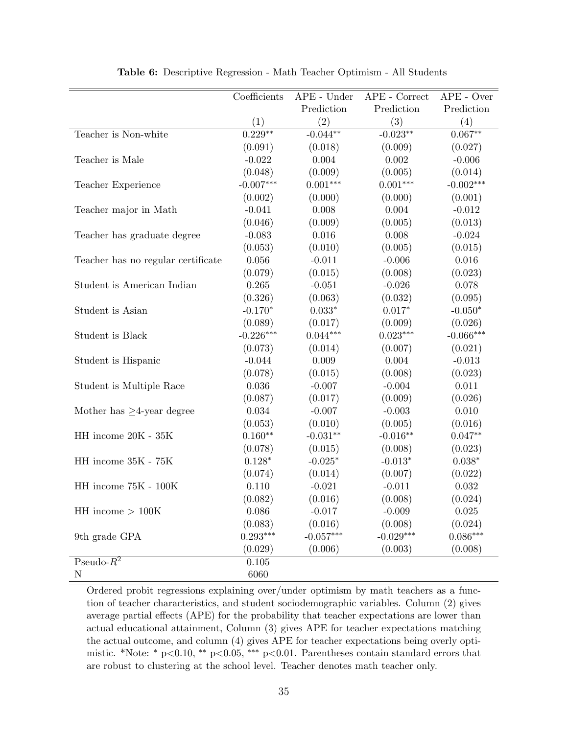<span id="page-35-0"></span>

|                                    | Coefficients | $APE$ - Under | $APE$ - $Correct$ | $APE$ - Over |
|------------------------------------|--------------|---------------|-------------------|--------------|
|                                    |              | Prediction    | Prediction        | Prediction   |
|                                    | (1)          | (2)           | (3)               | (4)          |
| Teacher is Non-white               | $0.229***$   | $-0.044**$    | $-0.023**$        | $0.067***$   |
|                                    | (0.091)      | (0.018)       | (0.009)           | (0.027)      |
| Teacher is Male                    | $-0.022$     | 0.004         | 0.002             | $-0.006$     |
|                                    | (0.048)      | (0.009)       | (0.005)           | (0.014)      |
| Teacher Experience                 | $-0.007***$  | $0.001***$    | $0.001***$        | $-0.002***$  |
|                                    | (0.002)      | (0.000)       | (0.000)           | (0.001)      |
| Teacher major in Math              | $-0.041$     | 0.008         | $0.004\,$         | $-0.012$     |
|                                    | (0.046)      | (0.009)       | (0.005)           | (0.013)      |
| Teacher has graduate degree        | $-0.083$     | $0.016\,$     | 0.008             | $-0.024$     |
|                                    | (0.053)      | (0.010)       | (0.005)           | (0.015)      |
| Teacher has no regular certificate | $0.056\,$    | $-0.011$      | $-0.006$          | 0.016        |
|                                    | (0.079)      | (0.015)       | (0.008)           | (0.023)      |
| Student is American Indian         | 0.265        | $-0.051$      | $-0.026$          | 0.078        |
|                                    | (0.326)      | (0.063)       | (0.032)           | (0.095)      |
| Student is Asian                   | $-0.170*$    | $0.033*$      | $0.017*$          | $-0.050*$    |
|                                    | (0.089)      | (0.017)       | (0.009)           | (0.026)      |
| Student is Black                   | $-0.226***$  | $0.044***$    | $0.023***$        | $-0.066***$  |
|                                    | (0.073)      | (0.014)       | (0.007)           | (0.021)      |
| Student is Hispanic                | $-0.044$     | 0.009         | 0.004             | $-0.013$     |
|                                    | (0.078)      | (0.015)       | (0.008)           | (0.023)      |
| Student is Multiple Race           | 0.036        | $-0.007$      | $-0.004$          | 0.011        |
|                                    | (0.087)      | (0.017)       | (0.009)           | (0.026)      |
| Mother has $\geq$ 4-year degree    | 0.034        | $-0.007$      | $-0.003$          | 0.010        |
|                                    | (0.053)      | (0.010)       | (0.005)           | (0.016)      |
| HH income 20K - 35K                | $0.160**$    | $-0.031**$    | $-0.016**$        | $0.047**$    |
|                                    | (0.078)      | (0.015)       | (0.008)           | (0.023)      |
| HH income 35K - 75K                | $0.128*$     | $-0.025*$     | $-0.013*$         | $0.038*$     |
|                                    | (0.074)      | (0.014)       | (0.007)           | (0.022)      |
| HH income 75K - 100K               | 0.110        | $-0.021$      | $-0.011$          | $\,0.032\,$  |
|                                    | (0.082)      | (0.016)       | (0.008)           | (0.024)      |
| $\rm HH$ income $>100\rm K$        | 0.086        | $-0.017$      | $-0.009$          | 0.025        |
|                                    | (0.083)      | (0.016)       | (0.008)           | (0.024)      |
| 9th grade GPA                      | $0.293***$   | $-0.057***$   | $-0.029***$       | $0.086***$   |
|                                    | (0.029)      | (0.006)       | (0.003)           | (0.008)      |
| $P$ seudo- $R^2$                   | 0.105        |               |                   |              |
| $\rm N$                            | 6060         |               |                   |              |

Table 6: Descriptive Regression - Math Teacher Optimism - All Students

Ordered probit regressions explaining over/under optimism by math teachers as a function of teacher characteristics, and student sociodemographic variables. Column (2) gives average partial effects (APE) for the probability that teacher expectations are lower than actual educational attainment, Column (3) gives APE for teacher expectations matching the actual outcome, and column (4) gives APE for teacher expectations being overly optimistic. \*Note: <sup>∗</sup> p<0.10, ∗∗ p<0.05, ∗∗∗ p<0.01. Parentheses contain standard errors that are robust to clustering at the school level. Teacher denotes math teacher only.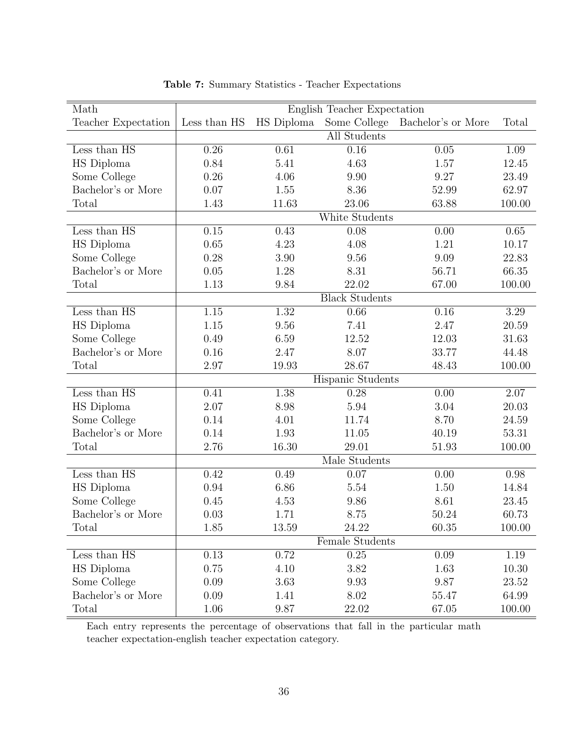<span id="page-36-0"></span>

| Math                             | English Teacher Expectation |            |                       |                    |        |  |
|----------------------------------|-----------------------------|------------|-----------------------|--------------------|--------|--|
| Teacher Expectation              | Less than HS                | HS Diploma | Some College          | Bachelor's or More | Total  |  |
|                                  |                             |            | All Students          |                    |        |  |
| Less than HS                     | 0.26                        | 0.61       | 0.16                  | 0.05               | 1.09   |  |
| HS Diploma                       | 0.84                        | 5.41       | 4.63                  | 1.57               | 12.45  |  |
| Some College                     | 0.26                        | 4.06       | 9.90                  | 9.27               | 23.49  |  |
| Bachelor's or More               | 0.07                        | 1.55       | 8.36                  | 52.99              | 62.97  |  |
| Total                            | 1.43                        | 11.63      | 23.06                 | 63.88              | 100.00 |  |
|                                  |                             |            | White Students        |                    |        |  |
| Less than HS                     | 0.15                        | 0.43       | 0.08                  | 0.00               | 0.65   |  |
| HS Diploma                       | 0.65                        | 4.23       | 4.08                  | 1.21               | 10.17  |  |
| Some College                     | 0.28                        | 3.90       | 9.56                  | 9.09               | 22.83  |  |
| Bachelor's or More               | 0.05                        | 1.28       | 8.31                  | 56.71              | 66.35  |  |
| Total                            | 1.13                        | 9.84       | 22.02                 | 67.00              | 100.00 |  |
|                                  |                             |            | <b>Black Students</b> |                    |        |  |
| Less than HS                     | 1.15                        | 1.32       | 0.66                  | 0.16               | 3.29   |  |
| HS Diploma                       | 1.15                        | 9.56       | 7.41                  | 2.47               | 20.59  |  |
| Some College                     | 0.49                        | 6.59       | 12.52                 | 12.03              | 31.63  |  |
| Bachelor's or More               | 0.16                        | 2.47       | 8.07                  | 33.77              | 44.48  |  |
| Total                            | 2.97                        | 19.93      | 28.67                 | 48.43              | 100.00 |  |
|                                  |                             |            | Hispanic Students     |                    |        |  |
| Less than HS                     | 0.41                        | 1.38       | 0.28                  | 0.00               | 2.07   |  |
| HS Diploma                       | 2.07                        | 8.98       | 5.94                  | 3.04               | 20.03  |  |
| Some College                     | 0.14                        | 4.01       | 11.74                 | 8.70               | 24.59  |  |
| Bachelor's or More               | 0.14                        | 1.93       | 11.05                 | 40.19              | 53.31  |  |
| Total                            | 2.76                        | 16.30      | 29.01                 | 51.93              | 100.00 |  |
|                                  |                             |            | Male Students         |                    |        |  |
| Less than $\overline{\text{HS}}$ | 0.42                        | 0.49       | 0.07                  | 0.00               | 0.98   |  |
| HS Diploma                       | 0.94                        | 6.86       | 5.54                  | 1.50               | 14.84  |  |
| Some College                     | 0.45                        | 4.53       | 9.86                  | 8.61               | 23.45  |  |
| Bachelor's or More               | 0.03                        | 1.71       | 8.75                  | 50.24              | 60.73  |  |
| Total                            | 1.85                        | 13.59      | 24.22                 | 60.35              | 100.00 |  |
|                                  |                             |            | Female Students       |                    |        |  |
| Less than HS                     | 0.13                        | 0.72       | 0.25                  | 0.09               | 1.19   |  |
| HS Diploma                       | 0.75                        | 4.10       | 3.82                  | 1.63               | 10.30  |  |
| Some College                     | 0.09                        | 3.63       | 9.93                  | 9.87               | 23.52  |  |
| Bachelor's or More               | 0.09                        | 1.41       | 8.02                  | 55.47              | 64.99  |  |
| Total                            | 1.06                        | 9.87       | 22.02                 | 67.05              | 100.00 |  |

Table 7: Summary Statistics - Teacher Expectations

Each entry represents the percentage of observations that fall in the particular math teacher expectation-english teacher expectation category.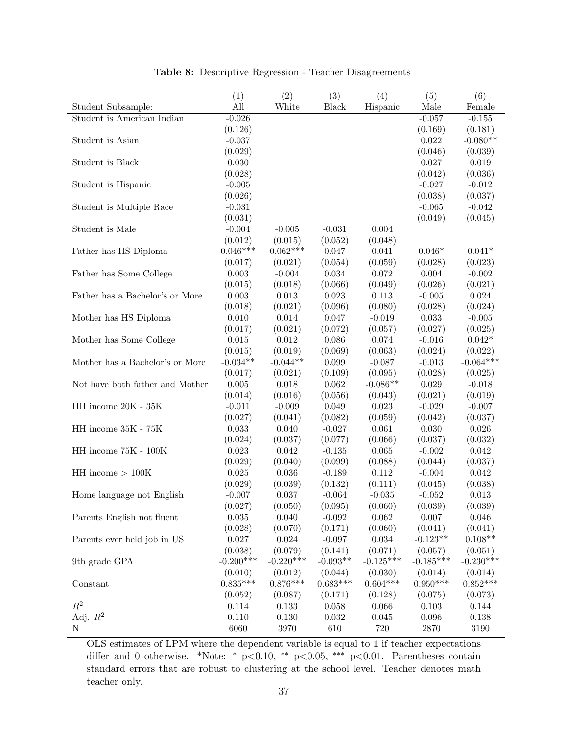<span id="page-37-0"></span>

|                                       | $\overline{(1)}$    | $\overline{(2)}$ | $\overline{(3)}$    | (4)                 | $\overline{(5)}$    | (6)              |
|---------------------------------------|---------------------|------------------|---------------------|---------------------|---------------------|------------------|
| Student Subsample:                    | All                 | White            | Black               | Hispanic            | Male                | Female           |
| Student is American Indian            | $-0.026$            |                  |                     |                     | $-0.057$            | $-0.155$         |
|                                       | (0.126)             |                  |                     |                     | (0.169)             | (0.181)          |
| Student is Asian                      | $-0.037$            |                  |                     |                     | 0.022               | $-0.080**$       |
|                                       | (0.029)             |                  |                     |                     | (0.046)             | (0.039)          |
| Student is Black                      | 0.030               |                  |                     |                     | 0.027               | $\,0.019\,$      |
|                                       | (0.028)             |                  |                     |                     | (0.042)             | (0.036)          |
| Student is Hispanic                   | $-0.005$            |                  |                     |                     | $-0.027$            | $-0.012$         |
|                                       | (0.026)             |                  |                     |                     | (0.038)             | (0.037)          |
| Student is Multiple Race              | $-0.031$            |                  |                     |                     | $-0.065$            | $-0.042$         |
|                                       | (0.031)             |                  |                     |                     | (0.049)             | (0.045)          |
| Student is Male                       | $-0.004$            | $-0.005$         | $-0.031$            | 0.004               |                     |                  |
|                                       | (0.012)             | (0.015)          | (0.052)             | (0.048)             |                     |                  |
| Father has HS Diploma                 | $0.046***$          | $0.062***$       | 0.047               | 0.041               | $0.046*$            | $0.041*$         |
|                                       | (0.017)             | (0.021)          | (0.054)             | (0.059)             | (0.028)             | (0.023)          |
| Father has Some College               | 0.003               | $-0.004$         | 0.034               | 0.072               | 0.004               | $-0.002$         |
|                                       | (0.015)             | (0.018)          | (0.066)             | (0.049)             | (0.026)             | (0.021)          |
| Father has a Bachelor's or More       | $0.003\,$           | 0.013            | 0.023               | 0.113               | $-0.005$            | $\,0.024\,$      |
|                                       | (0.018)             | (0.021)          | (0.096)             | (0.080)             | (0.028)             | (0.024)          |
| Mother has HS Diploma                 | 0.010               | 0.014            | 0.047               | $-0.019$            | 0.033               | $-0.005$         |
|                                       | (0.017)             | (0.021)          | (0.072)             | (0.057)             | (0.027)             | (0.025)          |
| Mother has Some College               | $0.015\,$           | 0.012            | 0.086               | 0.074               | $-0.016$            | $0.042*$         |
|                                       | (0.015)             | (0.019)          | (0.069)             | (0.063)             | (0.024)             | (0.022)          |
| Mother has a Bachelor's or More       | $-0.034**$          | $-0.044**$       | 0.099               | $-0.087$            | $-0.013$            | $-0.064***$      |
|                                       | (0.017)             | (0.021)          | (0.109)             | (0.095)             | (0.028)             | (0.025)          |
| Not have both father and Mother       | $0.005\,$           | 0.018            | 0.062               | $-0.086**$          | 0.029               | $-0.018$         |
|                                       | (0.014)             | (0.016)          | (0.056)             | (0.043)             | (0.021)             | (0.019)          |
| HH income 20K - 35K                   | $-0.011$            | $-0.009$         | 0.049               | $\,0.023\,$         | $-0.029$            | $-0.007$         |
|                                       | (0.027)             | (0.041)          | (0.082)             | (0.059)             | (0.042)             | (0.037)          |
| $\rm HH$ income $35\rm K$ - $75\rm K$ | 0.033               | 0.040            | $-0.027$            | 0.061               | 0.030               | 0.026            |
|                                       | (0.024)             | (0.037)          | (0.077)             | (0.066)             | (0.037)             | (0.032)          |
| $\rm HH$ income 75K - $100\rm K$      | 0.023               | 0.042            | $-0.135$            | 0.065               | $-0.002$            | 0.042            |
|                                       | (0.029)             | (0.040)          | (0.099)             | (0.088)             | (0.044)             | (0.037)          |
| $HH$ income $> 100K$                  | 0.025               | 0.036            | $-0.189$            | 0.112               | $-0.004$            | 0.042            |
|                                       | (0.029)             | (0.039)<br>0.037 | (0.132)             | (0.111)             | (0.045)             | (0.038)<br>0.013 |
| Home language not English             | $-0.007$<br>(0.027) | (0.050)          | $-0.064$<br>(0.095) | $-0.035$<br>(0.060) | $-0.052$<br>(0.039) | (0.039)          |
| Parents English not fluent            | $\,0.035\,$         | 0.040            | $-0.092$            | $\,0.062\,$         | 0.007               | $0.046\,$        |
|                                       | (0.028)             | (0.070)          | (0.171)             | (0.060)             | (0.041)             | (0.041)          |
| Parents ever held job in US           | 0.027               | $\,0.024\,$      | $-0.097$            | 0.034               | $-0.123**$          | $0.108**$        |
|                                       | (0.038)             | (0.079)          | (0.141)             | (0.071)             | (0.057)             | (0.051)          |
| 9th grade GPA                         | $-0.200***$         | $-0.220***$      | $-0.093**$          | $-0.125***$         | $-0.185***$         | $-0.230***$      |
|                                       | (0.010)             | (0.012)          | (0.044)             | (0.030)             | (0.014)             | (0.014)          |
| Constant                              | $0.835***$          | $0.876***$       | $0.683***$          | $0.604***$          | $0.950***$          | $0.852***$       |
|                                       | (0.052)             | (0.087)          | (0.171)             | (0.128)             | (0.075)             | (0.073)          |
| $\overline{R^2}$                      | 0.114               | 0.133            | 0.058               | 0.066               | 0.103               | 0.144            |
| Adj. $R^2$                            | 0.110               | 0.130            | $0.032\,$           | 0.045               | 0.096               | 0.138            |
| N                                     | 6060                | 3970             | 610                 | 720                 | 2870                | $3190\,$         |

Table 8: Descriptive Regression - Teacher Disagreements

OLS estimates of LPM where the dependent variable is equal to 1 if teacher expectations differ and 0 otherwise. \*Note: <sup>∗</sup> p<0.10, ∗∗ p<0.05, ∗∗∗ p<0.01. Parentheses contain standard errors that are robust to clustering at the school level. Teacher denotes math teacher only.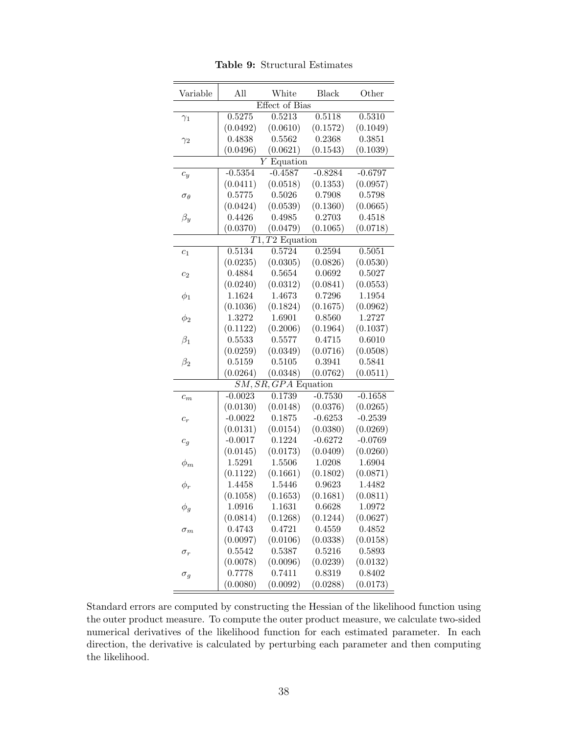<span id="page-38-0"></span>

| Variable          | All       | White                  | <b>Black</b> | Other     |
|-------------------|-----------|------------------------|--------------|-----------|
|                   |           | <b>Effect</b> of Bias  |              |           |
| $\gamma_1$        | 0.5275    | $\overline{0.5213}$    | 0.5118       | 0.5310    |
|                   | (0.0492)  | (0.0610)               | (0.1572)     | (0.1049)  |
| $\gamma_2$        | 0.4838    | 0.5562                 | 0.2368       | 0.3851    |
|                   | (0.0496)  | (0.0621)               | (0.1543)     | (0.1039)  |
|                   |           | Equation<br>Υ          |              |           |
| $c_y$             | $-0.5354$ | $-0.4587$              | $-0.8284$    | $-0.6797$ |
|                   | (0.0411)  | (0.0518)               | (0.1353)     | (0.0957)  |
| $\sigma_{\theta}$ | 0.5775    | 0.5026                 | 0.7908       | 0.5798    |
|                   | (0.0424)  | (0.0539)               | (0.1360)     | (0.0665)  |
| $\beta_y$         | 0.4426    | 0.4985                 | 0.2703       | 0.4518    |
|                   | (0.0370)  | (0.0479)               | (0.1065)     | (0.0718)  |
|                   |           | $T1, T2$ Equation      |              |           |
| $c_1$             | 0.5134    | 0.5724                 | 0.2594       | 0.5051    |
|                   | (0.0235)  | (0.0305)               | (0.0826)     | (0.0530)  |
| $c_2$             | 0.4884    | 0.5654                 | 0.0692       | 0.5027    |
|                   | (0.0240)  | (0.0312)               | (0.0841)     | (0.0553)  |
| $\phi_1$          | 1.1624    | 1.4673                 | 0.7296       | 1.1954    |
|                   | (0.1036)  | (0.1824)               | (0.1675)     | (0.0962)  |
| $\phi_2$          | 1.3272    | 1.6901                 | 0.8560       | 1.2727    |
|                   | (0.1122)  | (0.2006)               | (0.1964)     | (0.1037)  |
| $\beta_1$         | 0.5533    | 0.5577                 | 0.4715       | 0.6010    |
|                   | (0.0259)  | (0.0349)               | (0.0716)     | (0.0508)  |
| $\beta_2$         | 0.5159    | 0.5105                 | 0.3941       | 0.5841    |
|                   | (0.0264)  | (0.0348)               | (0.0762)     | (0.0511)  |
|                   |           | $SM, SR, GPA$ Equation |              |           |
| $c_m$             | $-0.0023$ | 0.1739                 | $-0.7530$    | $-0.1658$ |
|                   | (0.0130)  | (0.0148)               | (0.0376)     | (0.0265)  |
| $c_r$             | $-0.0022$ | 0.1875                 | $-0.6253$    | $-0.2539$ |
|                   | (0.0131)  | (0.0154)               | (0.0380)     | (0.0269)  |
| $c_q$             | $-0.0017$ | 0.1224                 | $-0.6272$    | $-0.0769$ |
|                   | (0.0145)  | (0.0173)               | (0.0409)     | (0.0260)  |
| $\phi_m$          | 1.5291    | 1.5506                 | 1.0208       | 1.6904    |
|                   | (0.1122)  | (0.1661)               | (0.1802)     | (0.0871)  |
| $\phi_r$          | 1.4458    | 1.5446                 | 0.9623       | 1.4482    |
|                   | (0.1058)  | (0.1653)               | (0.1681)     | (0.0811)  |
| $\phi_g$          | 1.0916    | 1.1631                 | 0.6628       | 1.0972    |
|                   | (0.0814)  | (0.1268)               | (0.1244)     | (0.0627)  |
| $\sigma_m$        | 0.4743    | 0.4721                 | 0.4559       | 0.4852    |
|                   | (0.0097)  | (0.0106)               | (0.0338)     | (0.0158)  |
| $\sigma_r$        | 0.5542    | 0.5387                 | 0.5216       | 0.5893    |
|                   | (0.0078)  | (0.0096)               | (0.0239)     | (0.0132)  |
| $\sigma_g$        | 0.7778    | 0.7411                 | 0.8319       | 0.8402    |
|                   | (0.0080)  | (0.0092)               | (0.0288)     | (0.0173)  |

Table 9: Structural Estimates

Standard errors are computed by constructing the Hessian of the likelihood function using the outer product measure. To compute the outer product measure, we calculate two-sided numerical derivatives of the likelihood function for each estimated parameter. In each direction, the derivative is calculated by perturbing each parameter and then computing the likelihood.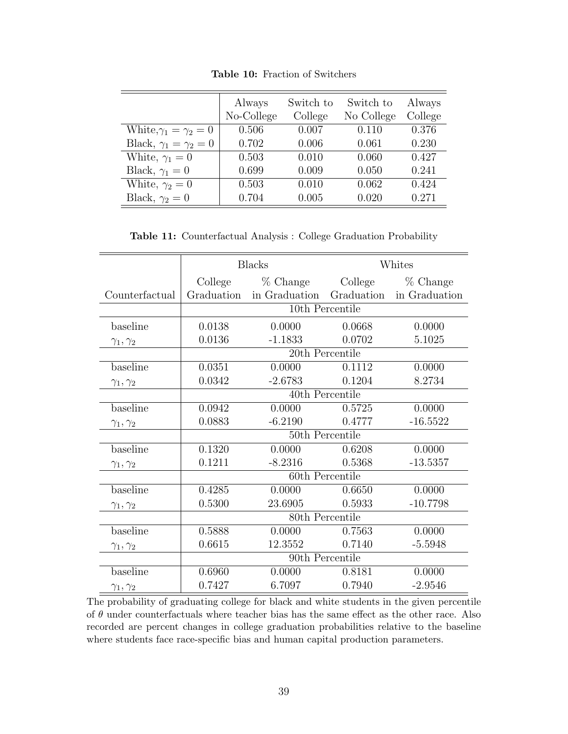<span id="page-39-0"></span>

|                                  | Always     | Switch to | Switch to  | Always  |
|----------------------------------|------------|-----------|------------|---------|
|                                  | No-College | College   | No College | College |
| White, $\gamma_1 = \gamma_2 = 0$ | 0.506      | 0.007     | 0.110      | 0.376   |
| Black, $\gamma_1 = \gamma_2 = 0$ | 0.702      | 0.006     | 0.061      | 0.230   |
| White, $\gamma_1 = 0$            | 0.503      | 0.010     | 0.060      | 0.427   |
| Black, $\gamma_1 = 0$            | 0.699      | 0.009     | 0.050      | 0.241   |
| White, $\gamma_2 = 0$            | 0.503      | 0.010     | 0.062      | 0.424   |
| Black, $\gamma_2 = 0$            | 0.704      | 0.005     | 0.020      | 0.271   |

Table 10: Fraction of Switchers

Table 11: Counterfactual Analysis : College Graduation Probability

<span id="page-39-1"></span>

|                      |         | <b>Blacks</b>            |                 | Whites        |
|----------------------|---------|--------------------------|-----------------|---------------|
|                      | College | $%$ Change               | College         | $%$ Change    |
| Counterfactual       |         | Graduation in Graduation | Graduation      | in Graduation |
|                      |         |                          | 10th Percentile |               |
| baseline             | 0.0138  | 0.0000                   | 0.0668          | 0.0000        |
| $\gamma_1, \gamma_2$ | 0.0136  | $-1.1833$                | 0.0702          | 5.1025        |
|                      |         |                          | 20th Percentile |               |
| baseline             | 0.0351  | 0.0000                   | 0.1112          | 0.0000        |
| $\gamma_1, \gamma_2$ | 0.0342  | $-2.6783$                | 0.1204          | 8.2734        |
|                      |         |                          | 40th Percentile |               |
| baseline             | 0.0942  | 0.0000                   | 0.5725          | 0.0000        |
| $\gamma_1, \gamma_2$ | 0.0883  | $-6.2190$                | 0.4777          | $-16.5522$    |
|                      |         |                          | 50th Percentile |               |
| baseline             | 0.1320  | 0.0000                   | 0.6208          | 0.0000        |
| $\gamma_1, \gamma_2$ | 0.1211  | $-8.2316$                | 0.5368          | $-13.5357$    |
|                      |         |                          | 60th Percentile |               |
| baseline             | 0.4285  | 0.0000                   | 0.6650          | 0.0000        |
| $\gamma_1, \gamma_2$ | 0.5300  | 23.6905                  | 0.5933          | $-10.7798$    |
|                      |         |                          | 80th Percentile |               |
| baseline             | 0.5888  | 0.0000                   | 0.7563          | 0.0000        |
| $\gamma_1, \gamma_2$ | 0.6615  | 12.3552                  | 0.7140          | $-5.5948$     |
|                      |         |                          | 90th Percentile |               |
| baseline             | 0.6960  | 0.0000                   | 0.8181          | 0.0000        |
| $\gamma_1, \gamma_2$ | 0.7427  | 6.7097                   | 0.7940          | $-2.9546$     |

The probability of graduating college for black and white students in the given percentile of  $\theta$  under counterfactuals where teacher bias has the same effect as the other race. Also recorded are percent changes in college graduation probabilities relative to the baseline where students face race-specific bias and human capital production parameters.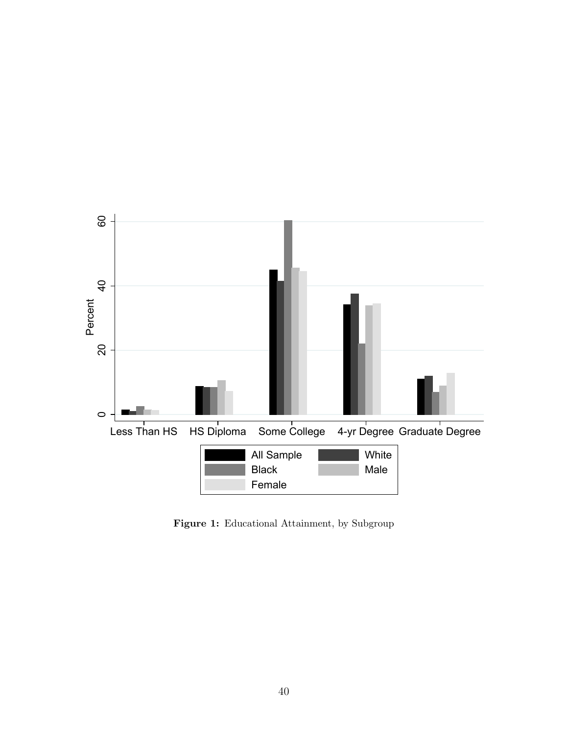<span id="page-40-0"></span>

Figure 1: Educational Attainment, by Subgroup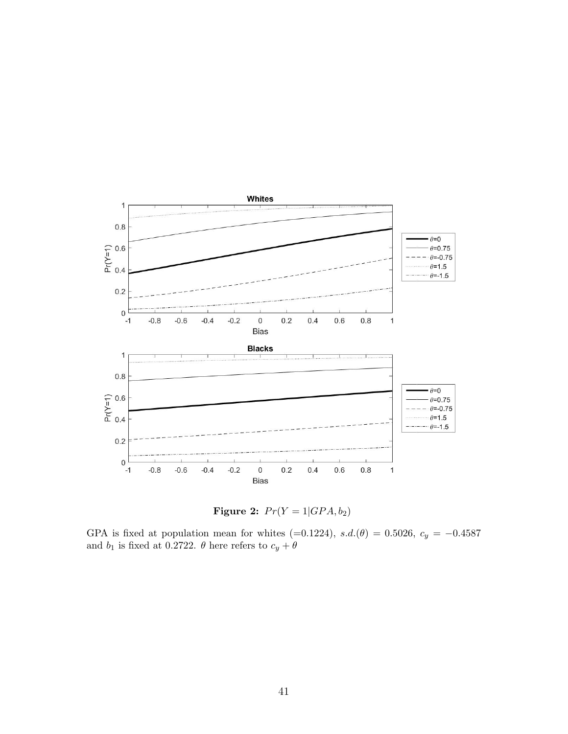<span id="page-41-0"></span>

Figure 2:  $Pr(Y = 1|GPA, b_2)$ 

GPA is fixed at population mean for whites (=0.1224),  $s.d.(\theta) = 0.5026$ ,  $c_y = -0.4587$ and  $b_1$  is fixed at 0.2722.  $\theta$  here refers to  $c_y+\theta$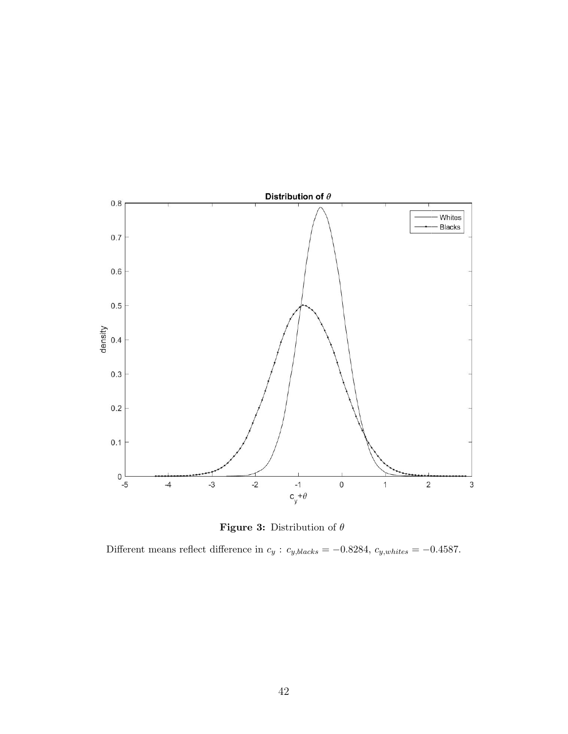<span id="page-42-0"></span>



Different means reflect difference in  $c_y$  :  $c_{y,blacks} = -0.8284$ ,  $c_{y,whites} = -0.4587$ .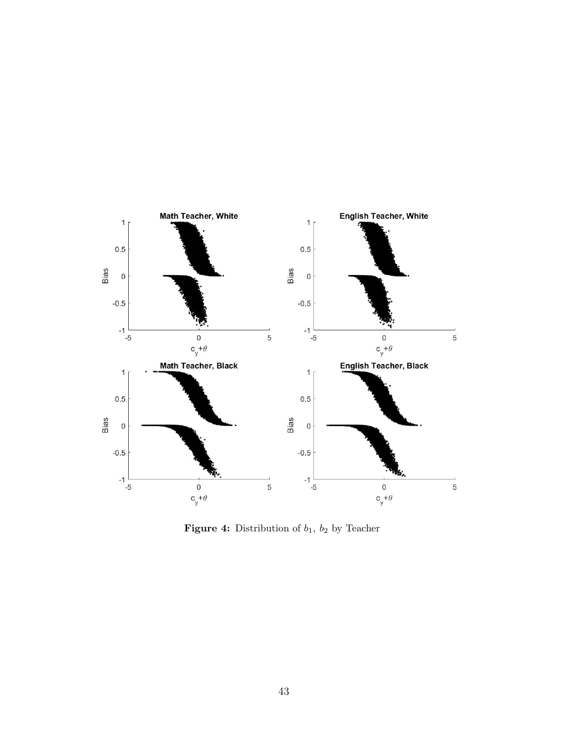<span id="page-43-0"></span>

**Figure 4:** Distribution of  $b_1$ ,  $b_2$  by Teacher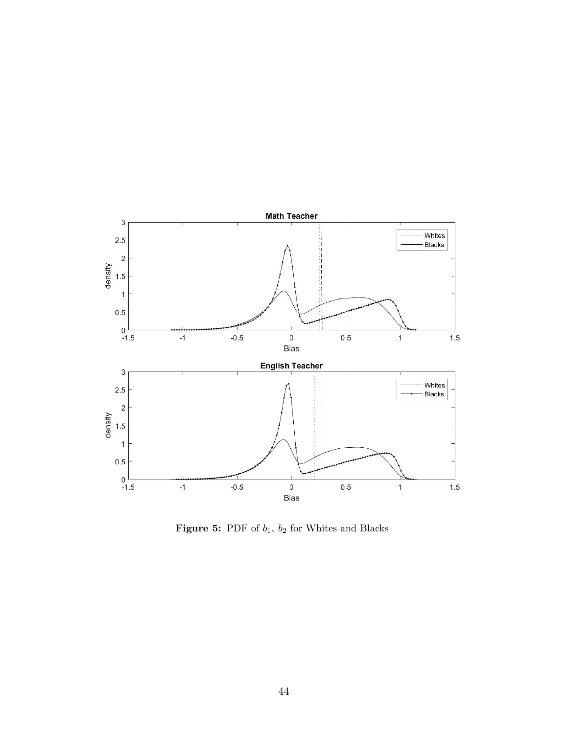<span id="page-44-0"></span>

**Figure 5:** PDF of  $b_1$ ,  $b_2$  for Whites and Blacks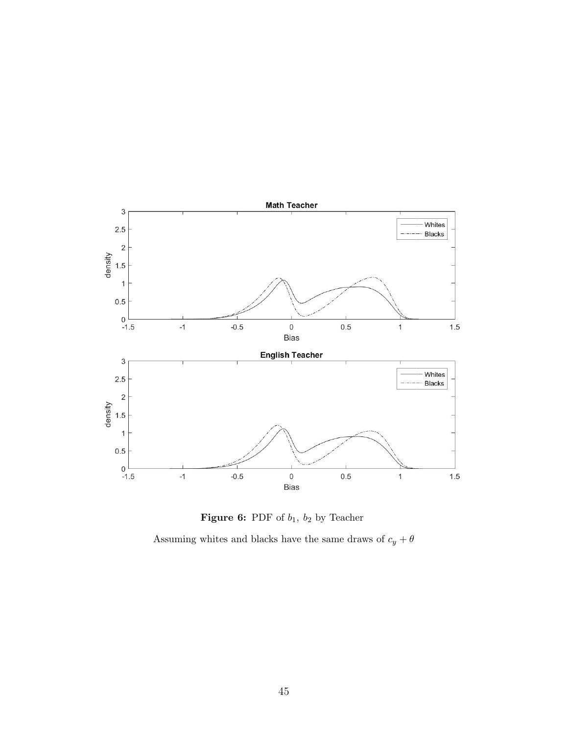<span id="page-45-0"></span>



Assuming whites and blacks have the same draws of  $c_y + \theta$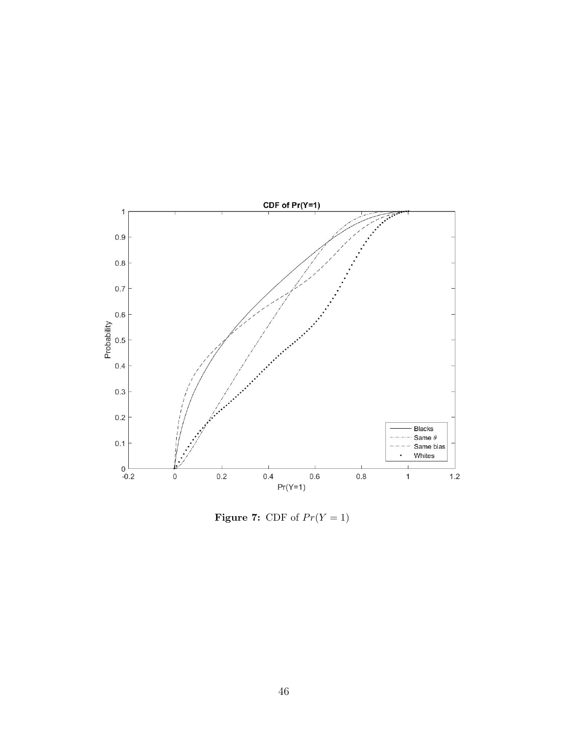<span id="page-46-0"></span>

Figure 7: CDF of  $Pr(Y = 1)$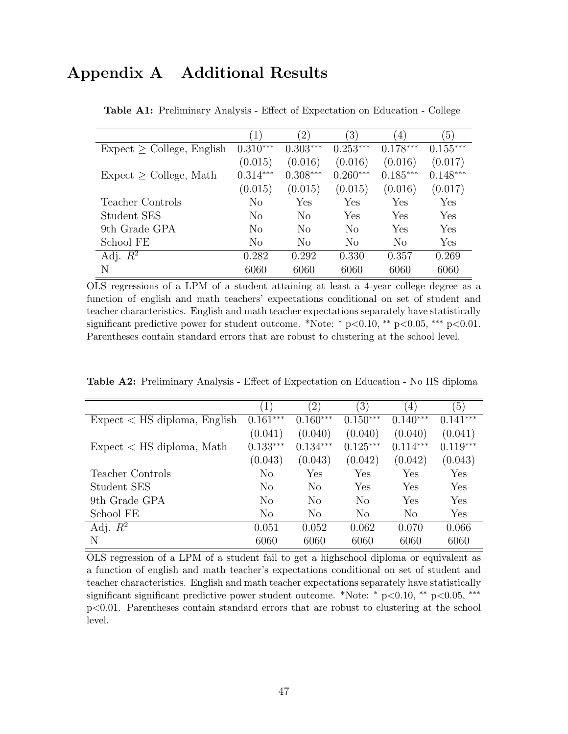# <span id="page-47-1"></span><span id="page-47-0"></span>Appendix A Additional Results

|                                 |                | $^{\prime}2)$  | $\left(3\right)$ | $\left(4\right)$ | $\left(5\right)$ |
|---------------------------------|----------------|----------------|------------------|------------------|------------------|
| $Expected \ge College, English$ | $0.310***$     | $0.303***$     | $0.253***$       | $0.178***$       | $0.155***$       |
|                                 | (0.015)        | (0.016)        | (0.016)          | (0.016)          | (0.017)          |
| $Expected \ge College, Math$    | $0.314***$     | $0.308***$     | $0.260***$       | $0.185***$       | $0.148***$       |
|                                 | (0.015)        | (0.015)        | (0.015)          | (0.016)          | (0.017)          |
| Teacher Controls                | No             | Yes            | Yes              | Yes              | Yes              |
| Student SES                     | No             | N <sub>0</sub> | Yes              | Yes              | Yes              |
| 9th Grade GPA                   | No             | $\rm No$       | No               | Yes              | Yes              |
| School FE                       | N <sub>o</sub> | $\rm No$       | $\rm No$         | $\rm No$         | Yes              |
| Adj. $R^2$                      | 0.282          | 0.292          | 0.330            | 0.357            | 0.269            |
| N                               | 6060           | 6060           | 6060             | 6060             | 6060             |

Table A1: Preliminary Analysis - Effect of Expectation on Education - College

OLS regressions of a LPM of a student attaining at least a 4-year college degree as a function of english and math teachers' expectations conditional on set of student and teacher characteristics. English and math teacher expectations separately have statistically significant predictive power for student outcome. \*Note: \* p<0.10, \*\* p<0.05, \*\*\* p<0.01. Parentheses contain standard errors that are robust to clustering at the school level.

<span id="page-47-2"></span>Table A2: Preliminary Analysis - Effect of Expectation on Education - No HS diploma

| $\left  \right $ | $^{\prime}2)$  | $\left(3\right)$ | $ 4\rangle$    | $\left(5\right)$ |
|------------------|----------------|------------------|----------------|------------------|
| $0.161***$       | $0.160***$     | $0.150***$       | $0.140***$     | $0.141***$       |
| (0.041)          | (0.040)        | (0.040)          | (0.040)        | (0.041)          |
| $0.133***$       | $0.134***$     | $0.125***$       | $0.114***$     | $0.119***$       |
| (0.043)          | (0.043)        | (0.042)          | (0.042)        | (0.043)          |
| No               | Yes            | Yes              | Yes            | Yes              |
| $\rm No$         | N <sub>o</sub> | Yes              | Yes            | Yes              |
| $\rm No$         | $\rm No$       | N <sub>o</sub>   | Yes            | Yes              |
| $\rm No$         | No             | N <sub>o</sub>   | N <sub>o</sub> | Yes              |
| 0.051            | 0.052          | 0.062            | 0.070          | 0.066            |
| 6060             | 6060           | 6060             | 6060           | 6060             |
|                  |                |                  |                |                  |

OLS regression of a LPM of a student fail to get a highschool diploma or equivalent as a function of english and math teacher's expectations conditional on set of student and teacher characteristics. English and math teacher expectations separately have statistically significant significant predictive power student outcome. \*Note: \* p<0.10, \*\* p<0.05, \*\*\* p<0.01. Parentheses contain standard errors that are robust to clustering at the school level.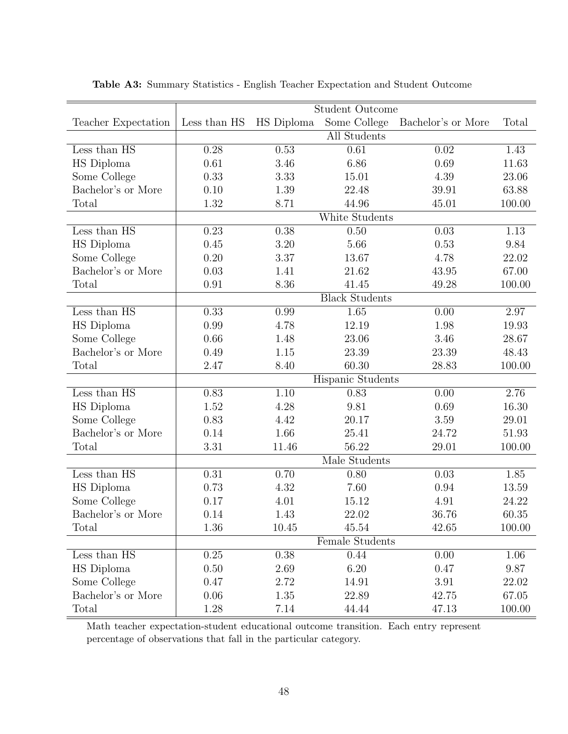|                                  |              |                   | <b>Student Outcome</b> |                    |                   |
|----------------------------------|--------------|-------------------|------------------------|--------------------|-------------------|
| Teacher Expectation              | Less than HS | <b>HS</b> Diploma | Some College           | Bachelor's or More | Total             |
|                                  |              |                   | All Students           |                    |                   |
| Less than HS                     | 0.28         | 0.53              | 0.61                   | 0.02               | 1.43              |
| HS Diploma                       | 0.61         | 3.46              | 6.86                   | 0.69               | 11.63             |
| Some College                     | 0.33         | 3.33              | 15.01                  | 4.39               | 23.06             |
| Bachelor's or More               | 0.10         | 1.39              | 22.48                  | 39.91              | 63.88             |
| Total                            | 1.32         | 8.71              | 44.96                  | 45.01              | 100.00            |
|                                  |              |                   | White Students         |                    |                   |
| Less than HS                     | 0.23         | 0.38              | 0.50                   | 0.03               | 1.13              |
| HS Diploma                       | 0.45         | 3.20              | 5.66                   | 0.53               | 9.84              |
| Some College                     | 0.20         | 3.37              | 13.67                  | 4.78               | 22.02             |
| Bachelor's or More               | 0.03         | 1.41              | 21.62                  | $43.95\,$          | 67.00             |
| Total                            | 0.91         | 8.36              | 41.45                  | 49.28              | 100.00            |
|                                  |              |                   | <b>Black Students</b>  |                    |                   |
| Less than HS                     | 0.33         | 0.99              | 1.65                   | 0.00               | 2.97              |
| HS Diploma                       | 0.99         | 4.78              | 12.19                  | 1.98               | 19.93             |
| Some College                     | 0.66         | 1.48              | 23.06                  | 3.46               | 28.67             |
| Bachelor's or More               | 0.49         | 1.15              | 23.39                  | 23.39              | 48.43             |
| Total                            | 2.47         | 8.40              | 60.30                  | 28.83              | 100.00            |
|                                  |              |                   | Hispanic Students      |                    |                   |
| Less than HS                     | 0.83         | $\overline{1.10}$ | 0.83                   | 0.00               | $\overline{2.76}$ |
| HS Diploma                       | 1.52         | 4.28              | 9.81                   | 0.69               | 16.30             |
| Some College                     | 0.83         | 4.42              | 20.17                  | 3.59               | 29.01             |
| Bachelor's or More               | 0.14         | 1.66              | 25.41                  | 24.72              | 51.93             |
| Total                            | 3.31         | 11.46             | 56.22                  | 29.01              | 100.00            |
|                                  |              |                   | Male Students          |                    |                   |
| Less than $\overline{\text{HS}}$ | 0.31         | 0.70              | 0.80                   | 0.03               | 1.85              |
| HS Diploma                       | 0.73         | 4.32              | 7.60                   | 0.94               | 13.59             |
| Some College                     | 0.17         | 4.01              | 15.12                  | 4.91               | 24.22             |
| Bachelor's or More               | 0.14         | 1.43              | 22.02                  | 36.76              | 60.35             |
| Total                            | 1.36         | 10.45             | 45.54                  | 42.65              | 100.00            |
|                                  |              |                   | Female Students        |                    |                   |
| Less than HS                     | $0.25\,$     | 0.38              | 0.44                   | 0.00               | 1.06              |
| HS Diploma                       | 0.50         | 2.69              | 6.20                   | 0.47               | 9.87              |
| Some College                     | 0.47         | 2.72              | 14.91                  | 3.91               | 22.02             |
| Bachelor's or More               | 0.06         | 1.35              | 22.89                  | 42.75              | 67.05             |
| Total                            | 1.28         | 7.14              | 44.44                  | 47.13              | 100.00            |

<span id="page-48-0"></span>Table A3: Summary Statistics - English Teacher Expectation and Student Outcome

Math teacher expectation-student educational outcome transition. Each entry represent percentage of observations that fall in the particular category.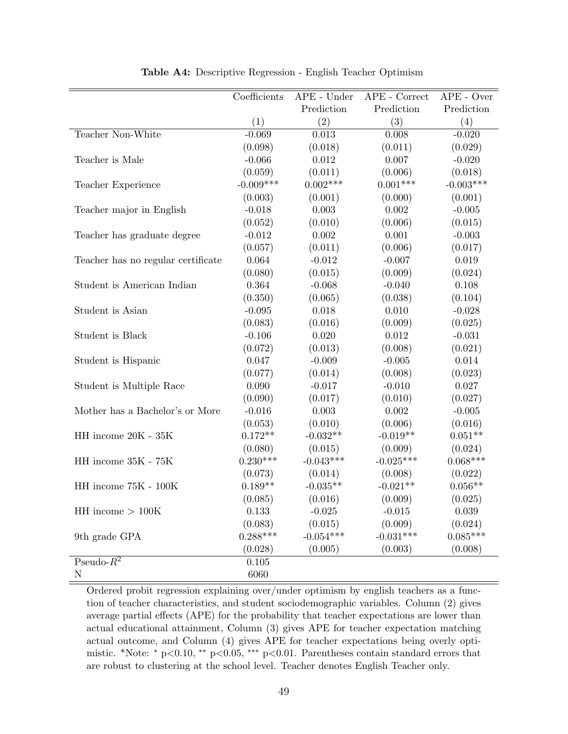<span id="page-49-0"></span>

|                                    | Coefficients | $APE$ - Under | $APE$ - $Correct$ | $APE$ - Over |
|------------------------------------|--------------|---------------|-------------------|--------------|
|                                    |              | Prediction    | Prediction        | Prediction   |
|                                    | (1)          | (2)           | (3)               | (4)          |
| Teacher Non-White                  | $-0.069$     | 0.013         | 0.008             | $-0.020$     |
|                                    | (0.098)      | (0.018)       | (0.011)           | (0.029)      |
| Teacher is Male                    | $-0.066$     | $0.012\,$     | 0.007             | $-0.020$     |
|                                    | (0.059)      | (0.011)       | (0.006)           | (0.018)      |
| Teacher Experience                 | $-0.009***$  | $0.002***$    | $0.001***$        | $-0.003***$  |
|                                    | (0.003)      | (0.001)       | (0.000)           | (0.001)      |
| Teacher major in English           | $-0.018$     | 0.003         | $0.002\,$         | $-0.005$     |
|                                    | (0.052)      | (0.010)       | (0.006)           | (0.015)      |
| Teacher has graduate degree        | $-0.012$     | $0.002\,$     | 0.001             | $-0.003$     |
|                                    | (0.057)      | (0.011)       | (0.006)           | (0.017)      |
| Teacher has no regular certificate | 0.064        | $-0.012$      | $-0.007$          | 0.019        |
|                                    | (0.080)      | (0.015)       | (0.009)           | (0.024)      |
| Student is American Indian         | 0.364        | $-0.068$      | $-0.040$          | 0.108        |
|                                    | (0.350)      | (0.065)       | (0.038)           | (0.104)      |
| Student is Asian                   | $-0.095$     | 0.018         | 0.010             | $-0.028$     |
|                                    | (0.083)      | (0.016)       | (0.009)           | (0.025)      |
| Student is Black                   | $-0.106$     | 0.020         | 0.012             | $-0.031$     |
|                                    | (0.072)      | (0.013)       | (0.008)           | (0.021)      |
| Student is Hispanic                | 0.047        | $-0.009$      | $-0.005$          | 0.014        |
|                                    | (0.077)      | (0.014)       | (0.008)           | (0.023)      |
| Student is Multiple Race           | 0.090        | $-0.017$      | $-0.010$          | 0.027        |
|                                    | (0.090)      | (0.017)       | (0.010)           | (0.027)      |
| Mother has a Bachelor's or More    | $-0.016$     | 0.003         | 0.002             | $-0.005$     |
|                                    | (0.053)      | (0.010)       | (0.006)           | (0.016)      |
| HH income 20K - 35K                | $0.172**$    | $-0.032**$    | $-0.019**$        | $0.051**$    |
|                                    | (0.080)      | (0.015)       | (0.009)           | (0.024)      |
| HH income 35K - 75K                | $0.230***$   | $-0.043***$   | $-0.025***$       | $0.068***$   |
|                                    | (0.073)      | (0.014)       | (0.008)           | (0.022)      |
| HH income 75K - 100K               | $0.189**$    | $-0.035**$    | $-0.021**$        | $0.056**$    |
|                                    | (0.085)      | (0.016)       | (0.009)           | (0.025)      |
| $HH$ income $> 100K$               | 0.133        | $-0.025$      | $-0.015$          | 0.039        |
|                                    | (0.083)      | (0.015)       | (0.009)           | (0.024)      |
| 9th grade GPA                      | $0.288***$   | $-0.054***$   | $-0.031***$       | $0.085***$   |
|                                    | (0.028)      | (0.005)       | (0.003)           | (0.008)      |
| Pseudo- $R^2$                      | 0.105        |               |                   |              |
| ${\rm N}$                          | 6060         |               |                   |              |

Table A4: Descriptive Regression - English Teacher Optimism

Ordered probit regression explaining over/under optimism by english teachers as a function of teacher characteristics, and student sociodemographic variables. Column (2) gives average partial effects (APE) for the probability that teacher expectations are lower than actual educational attainment, Column (3) gives APE for teacher expectation matching actual outcome, and Column (4) gives APE for teacher expectations being overly optimistic. \*Note: <sup>∗</sup> p<0.10, ∗∗ p<0.05, ∗∗∗ p<0.01. Parentheses contain standard errors that are robust to clustering at the school level. Teacher denotes English Teacher only.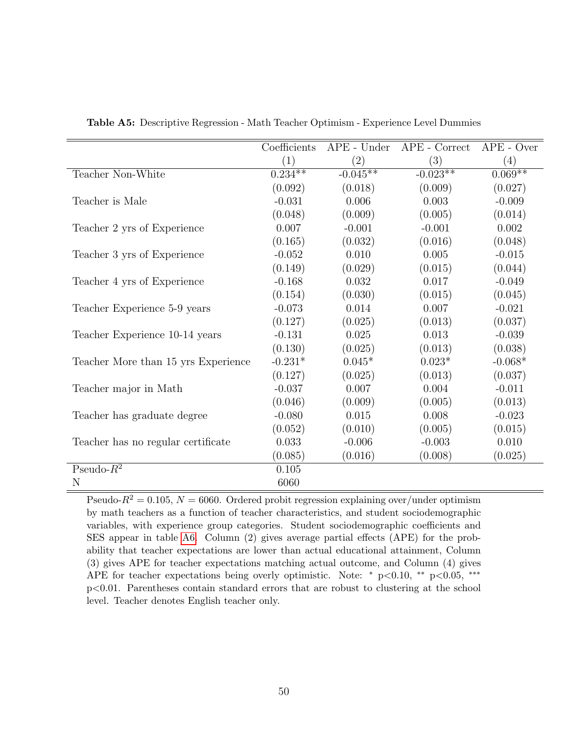|                                     | Coefficients |                   | APE - Under APE - Correct | $APE - Over$ |
|-------------------------------------|--------------|-------------------|---------------------------|--------------|
|                                     | (1)          | $\left( 2\right)$ | (3)                       | (4)          |
| Teacher Non-White                   | $0.234***$   | $-0.045**$        | $-0.023**$                | $0.069**$    |
|                                     | (0.092)      | (0.018)           | (0.009)                   | (0.027)      |
| Teacher is Male                     | $-0.031$     | 0.006             | 0.003                     | $-0.009$     |
|                                     | (0.048)      | (0.009)           | (0.005)                   | (0.014)      |
| Teacher 2 yrs of Experience         | 0.007        | $-0.001$          | $-0.001$                  | 0.002        |
|                                     | (0.165)      | (0.032)           | (0.016)                   | (0.048)      |
| Teacher 3 yrs of Experience         | $-0.052$     | 0.010             | 0.005                     | $-0.015$     |
|                                     | (0.149)      | (0.029)           | (0.015)                   | (0.044)      |
| Teacher 4 yrs of Experience         | $-0.168$     | 0.032             | 0.017                     | $-0.049$     |
|                                     | (0.154)      | (0.030)           | (0.015)                   | (0.045)      |
| Teacher Experience 5-9 years        | $-0.073$     | 0.014             | 0.007                     | $-0.021$     |
|                                     | (0.127)      | (0.025)           | (0.013)                   | (0.037)      |
| Teacher Experience 10-14 years      | $-0.131$     | 0.025             | 0.013                     | $-0.039$     |
|                                     | (0.130)      | (0.025)           | (0.013)                   | (0.038)      |
| Teacher More than 15 yrs Experience | $-0.231*$    | $0.045*$          | $0.023*$                  | $-0.068*$    |
|                                     | (0.127)      | (0.025)           | (0.013)                   | (0.037)      |
| Teacher major in Math               | $-0.037$     | 0.007             | 0.004                     | $-0.011$     |
|                                     | (0.046)      | (0.009)           | (0.005)                   | (0.013)      |
| Teacher has graduate degree         | $-0.080$     | 0.015             | 0.008                     | $-0.023$     |
|                                     | (0.052)      | (0.010)           | (0.005)                   | (0.015)      |
| Teacher has no regular certificate  | 0.033        | $-0.006$          | $-0.003$                  | 0.010        |
|                                     | (0.085)      | (0.016)           | (0.008)                   | (0.025)      |
| Pseudo- $R^2$                       | 0.105        |                   |                           |              |
| N                                   | 6060         |                   |                           |              |

<span id="page-50-0"></span>Table A5: Descriptive Regression - Math Teacher Optimism - Experience Level Dummies

Pseudo- $R^2 = 0.105$ ,  $N = 6060$ . Ordered probit regression explaining over/under optimism by math teachers as a function of teacher characteristics, and student sociodemographic variables, with experience group categories. Student sociodemographic coefficients and SES appear in table [A6.](#page-51-0) Column (2) gives average partial effects (APE) for the probability that teacher expectations are lower than actual educational attainment, Column (3) gives APE for teacher expectations matching actual outcome, and Column (4) gives APE for teacher expectations being overly optimistic. Note: <sup>∗</sup> p<0.10, ∗∗ p<0.05, ∗∗∗ p<0.01. Parentheses contain standard errors that are robust to clustering at the school level. Teacher denotes English teacher only.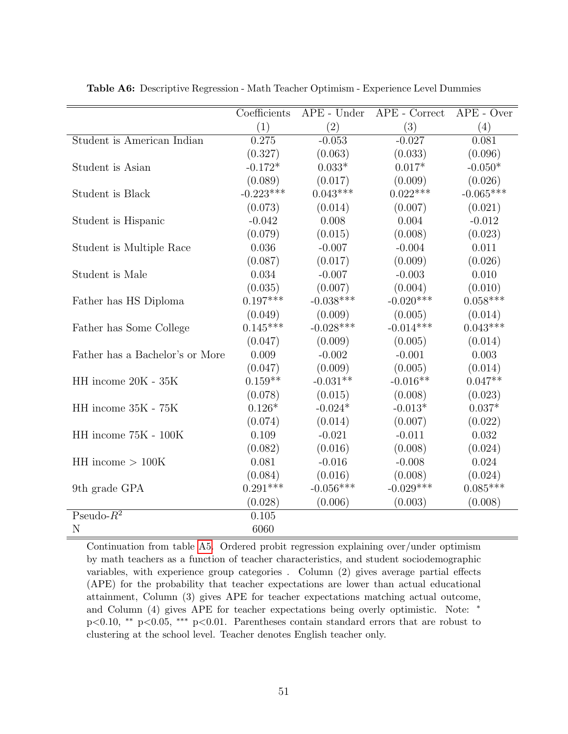|                                 | Coefficients | $APE$ - Under | APE - Correct | $APE$ - Over |
|---------------------------------|--------------|---------------|---------------|--------------|
|                                 | (1)          | (2)           | (3)           | (4)          |
| Student is American Indian      | 0.275        | $-0.053$      | $-0.027$      | 0.081        |
|                                 | (0.327)      | (0.063)       | (0.033)       | (0.096)      |
| Student is Asian                | $-0.172*$    | $0.033*$      | $0.017*$      | $-0.050*$    |
|                                 | (0.089)      | (0.017)       | (0.009)       | (0.026)      |
| Student is Black                | $-0.223***$  | $0.043***$    | $0.022***$    | $-0.065***$  |
|                                 | (0.073)      | (0.014)       | (0.007)       | (0.021)      |
| Student is Hispanic             | $-0.042$     | 0.008         | 0.004         | $-0.012$     |
|                                 | (0.079)      | (0.015)       | (0.008)       | (0.023)      |
| Student is Multiple Race        | 0.036        | $-0.007$      | $-0.004$      | 0.011        |
|                                 | (0.087)      | (0.017)       | (0.009)       | (0.026)      |
| Student is Male                 | 0.034        | $-0.007$      | $-0.003$      | 0.010        |
|                                 | (0.035)      | (0.007)       | (0.004)       | (0.010)      |
| Father has HS Diploma           | $0.197***$   | $-0.038***$   | $-0.020***$   | $0.058***$   |
|                                 | (0.049)      | (0.009)       | (0.005)       | (0.014)      |
| Father has Some College         | $0.145***$   | $-0.028***$   | $-0.014***$   | $0.043***$   |
|                                 | (0.047)      | (0.009)       | (0.005)       | (0.014)      |
| Father has a Bachelor's or More | 0.009        | $-0.002$      | $-0.001$      | 0.003        |
|                                 | (0.047)      | (0.009)       | (0.005)       | (0.014)      |
| HH income 20K - 35K             | $0.159**$    | $-0.031**$    | $-0.016**$    | $0.047**$    |
|                                 | (0.078)      | (0.015)       | (0.008)       | (0.023)      |
| HH income 35K - 75K             | $0.126*$     | $-0.024*$     | $-0.013*$     | $0.037*$     |
|                                 | (0.074)      | (0.014)       | (0.007)       | (0.022)      |
| HH income 75K - 100K            | 0.109        | $-0.021$      | $-0.011$      | 0.032        |
|                                 | (0.082)      | (0.016)       | (0.008)       | (0.024)      |
| $HH$ income $> 100K$            | 0.081        | $-0.016$      | $-0.008$      | 0.024        |
|                                 | (0.084)      | (0.016)       | (0.008)       | (0.024)      |
| 9th grade GPA                   | $0.291***$   | $-0.056***$   | $-0.029***$   | $0.085***$   |
|                                 | (0.028)      | (0.006)       | (0.003)       | (0.008)      |
| Pseudo- $R^2$                   | 0.105        |               |               |              |
| N                               | 6060         |               |               |              |

<span id="page-51-0"></span>Table A6: Descriptive Regression - Math Teacher Optimism - Experience Level Dummies

Continuation from table [A5.](#page-50-0) Ordered probit regression explaining over/under optimism by math teachers as a function of teacher characteristics, and student sociodemographic variables, with experience group categories . Column (2) gives average partial effects (APE) for the probability that teacher expectations are lower than actual educational attainment, Column (3) gives APE for teacher expectations matching actual outcome, and Column (4) gives APE for teacher expectations being overly optimistic. Note: <sup>\*</sup> p<0.10, ∗∗ p<0.05, ∗∗∗ p<0.01. Parentheses contain standard errors that are robust to clustering at the school level. Teacher denotes English teacher only.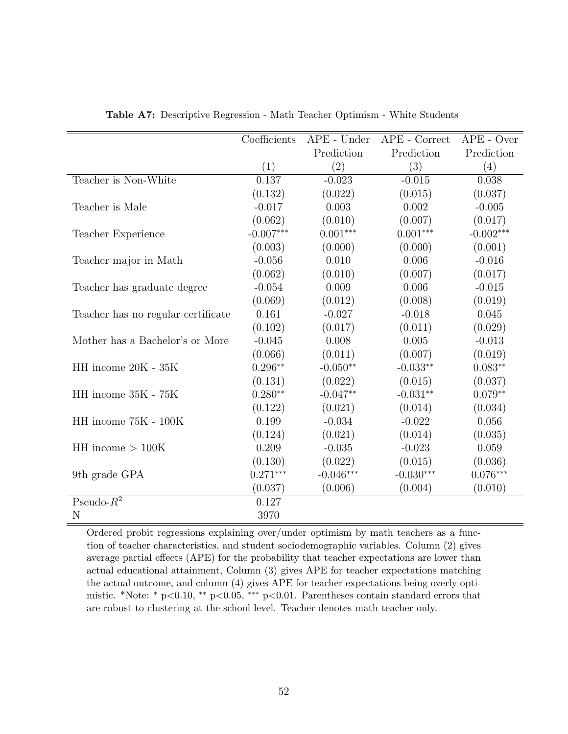<span id="page-52-0"></span>

|                                    | Coefficients | APE - Under | APE - Correct | APE - Over  |
|------------------------------------|--------------|-------------|---------------|-------------|
|                                    |              | Prediction  | Prediction    | Prediction  |
|                                    | (1)          | (2)         | (3)           | (4)         |
| Teacher is Non-White               | 0.137        | $-0.023$    | $-0.015$      | 0.038       |
|                                    | (0.132)      | (0.022)     | (0.015)       | (0.037)     |
| Teacher is Male                    | $-0.017$     | 0.003       | 0.002         | $-0.005$    |
|                                    | (0.062)      | (0.010)     | (0.007)       | (0.017)     |
| Teacher Experience                 | $-0.007***$  | $0.001***$  | $0.001***$    | $-0.002***$ |
|                                    | (0.003)      | (0.000)     | (0.000)       | (0.001)     |
| Teacher major in Math              | $-0.056$     | 0.010       | 0.006         | $-0.016$    |
|                                    | (0.062)      | (0.010)     | (0.007)       | (0.017)     |
| Teacher has graduate degree        | $-0.054$     | 0.009       | 0.006         | $-0.015$    |
|                                    | (0.069)      | (0.012)     | (0.008)       | (0.019)     |
| Teacher has no regular certificate | 0.161        | $-0.027$    | $-0.018$      | 0.045       |
|                                    | (0.102)      | (0.017)     | (0.011)       | (0.029)     |
| Mother has a Bachelor's or More    | $-0.045$     | 0.008       | 0.005         | $-0.013$    |
|                                    | (0.066)      | (0.011)     | (0.007)       | (0.019)     |
| $\rm HH$ income 20K - 35K          | $0.296**$    | $-0.050**$  | $-0.033**$    | $0.083**$   |
|                                    | (0.131)      | (0.022)     | (0.015)       | (0.037)     |
| HH income 35K - 75K                | $0.280**$    | $-0.047**$  | $-0.031**$    | $0.079**$   |
|                                    | (0.122)      | (0.021)     | (0.014)       | (0.034)     |
| HH income 75K - 100K               | 0.199        | $-0.034$    | $-0.022$      | 0.056       |
|                                    | (0.124)      | (0.021)     | (0.014)       | (0.035)     |
| $HH$ income $> 100K$               | 0.209        | $-0.035$    | $-0.023$      | 0.059       |
|                                    | (0.130)      | (0.022)     | (0.015)       | (0.036)     |
| 9th grade GPA                      | $0.271***$   | $-0.046***$ | $-0.030***$   | $0.076***$  |
|                                    | (0.037)      | (0.006)     | (0.004)       | (0.010)     |
| Pseudo- $R^2$                      | 0.127        |             |               |             |
| N                                  | 3970         |             |               |             |

Table A7: Descriptive Regression - Math Teacher Optimism - White Students

Ordered probit regressions explaining over/under optimism by math teachers as a function of teacher characteristics, and student sociodemographic variables. Column (2) gives average partial effects (APE) for the probability that teacher expectations are lower than actual educational attainment, Column (3) gives APE for teacher expectations matching the actual outcome, and column (4) gives APE for teacher expectations being overly optimistic. \*Note: <sup>∗</sup> p<0.10, ∗∗ p<0.05, ∗∗∗ p<0.01. Parentheses contain standard errors that are robust to clustering at the school level. Teacher denotes math teacher only.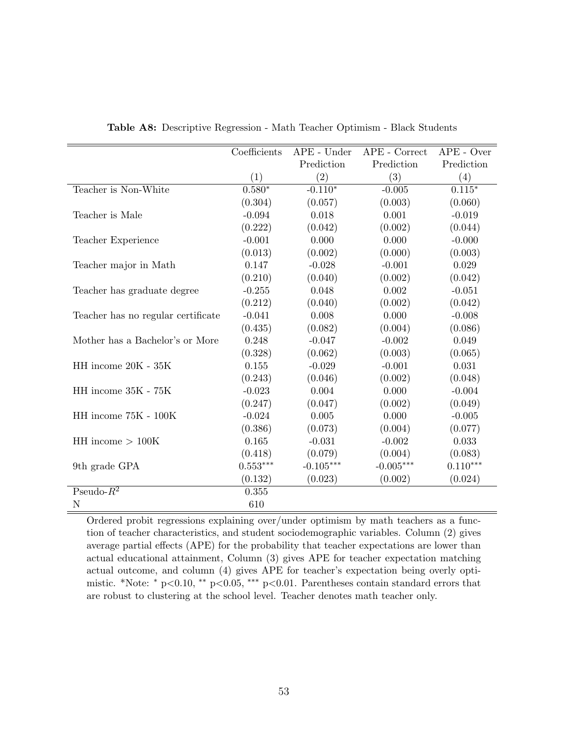|                                    | $\overline{\text{Coefficients}}$ | $APE$ - Under | APE - Correct | $APE$ - Over |
|------------------------------------|----------------------------------|---------------|---------------|--------------|
|                                    |                                  | Prediction    | Prediction    | Prediction   |
|                                    | (1)                              | (2)           | (3)           | (4)          |
| Teacher is Non-White               | $0.580*$                         | $-0.110*$     | $-0.005$      | $0.115*$     |
|                                    | (0.304)                          | (0.057)       | (0.003)       | (0.060)      |
| Teacher is Male                    | $-0.094$                         | 0.018         | 0.001         | $-0.019$     |
|                                    | (0.222)                          | (0.042)       | (0.002)       | (0.044)      |
| Teacher Experience                 | $-0.001$                         | 0.000         | 0.000         | $-0.000$     |
|                                    | (0.013)                          | (0.002)       | (0.000)       | (0.003)      |
| Teacher major in Math              | 0.147                            | $-0.028$      | $-0.001$      | 0.029        |
|                                    | (0.210)                          | (0.040)       | (0.002)       | (0.042)      |
| Teacher has graduate degree        | $-0.255$                         | 0.048         | 0.002         | $-0.051$     |
|                                    | (0.212)                          | (0.040)       | (0.002)       | (0.042)      |
| Teacher has no regular certificate | $-0.041$                         | 0.008         | 0.000         | $-0.008$     |
|                                    | (0.435)                          | (0.082)       | (0.004)       | (0.086)      |
| Mother has a Bachelor's or More    | 0.248                            | $-0.047$      | $-0.002$      | 0.049        |
|                                    | (0.328)                          | (0.062)       | (0.003)       | (0.065)      |
| HH income 20K - 35K                | 0.155                            | $-0.029$      | $-0.001$      | 0.031        |
|                                    | (0.243)                          | (0.046)       | (0.002)       | (0.048)      |
| HH income 35K - 75K                | $-0.023$                         | 0.004         | 0.000         | $-0.004$     |
|                                    | (0.247)                          | (0.047)       | (0.002)       | (0.049)      |
| HH income 75K - 100K               | $-0.024$                         | 0.005         | 0.000         | $-0.005$     |
|                                    | (0.386)                          | (0.073)       | (0.004)       | (0.077)      |
| $HH$ income $> 100K$               | 0.165                            | $-0.031$      | $-0.002$      | 0.033        |
|                                    | (0.418)                          | (0.079)       | (0.004)       | (0.083)      |
| 9th grade GPA                      | $0.553***$                       | $-0.105***$   | $-0.005***$   | $0.110***$   |
|                                    | (0.132)                          | (0.023)       | (0.002)       | (0.024)      |
| Pseudo- $R^2$                      | 0.355                            |               |               |              |
| N                                  | 610                              |               |               |              |

Table A8: Descriptive Regression - Math Teacher Optimism - Black Students

Ordered probit regressions explaining over/under optimism by math teachers as a function of teacher characteristics, and student sociodemographic variables. Column (2) gives average partial effects (APE) for the probability that teacher expectations are lower than actual educational attainment, Column (3) gives APE for teacher expectation matching actual outcome, and column (4) gives APE for teacher's expectation being overly optimistic. \*Note: <sup>∗</sup> p<0.10, ∗∗ p<0.05, ∗∗∗ p<0.01. Parentheses contain standard errors that are robust to clustering at the school level. Teacher denotes math teacher only.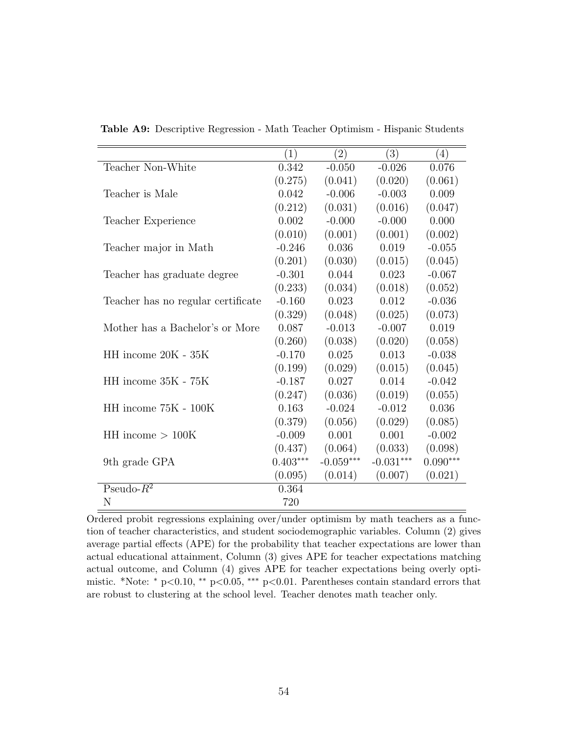|                                    | (1)        | (2)         | (3)         | $\left(4\right)$ |
|------------------------------------|------------|-------------|-------------|------------------|
| Teacher Non-White                  | 0.342      | $-0.050$    | $-0.026$    | 0.076            |
|                                    | (0.275)    | (0.041)     | (0.020)     | (0.061)          |
| Teacher is Male                    | 0.042      | $-0.006$    | $-0.003$    | 0.009            |
|                                    | (0.212)    | (0.031)     | (0.016)     | (0.047)          |
| Teacher Experience                 | 0.002      | $-0.000$    | $-0.000$    | 0.000            |
|                                    | (0.010)    | (0.001)     | (0.001)     | (0.002)          |
| Teacher major in Math              | $-0.246$   | 0.036       | 0.019       | $-0.055$         |
|                                    | (0.201)    | (0.030)     | (0.015)     | (0.045)          |
| Teacher has graduate degree        | $-0.301$   | 0.044       | 0.023       | $-0.067$         |
|                                    | (0.233)    | (0.034)     | (0.018)     | (0.052)          |
| Teacher has no regular certificate | $-0.160$   | 0.023       | 0.012       | $-0.036$         |
|                                    | (0.329)    | (0.048)     | (0.025)     | (0.073)          |
| Mother has a Bachelor's or More    | 0.087      | $-0.013$    | $-0.007$    | 0.019            |
|                                    | (0.260)    | (0.038)     | (0.020)     | (0.058)          |
| HH income 20K - 35K                | $-0.170$   | 0.025       | 0.013       | $-0.038$         |
|                                    | (0.199)    | (0.029)     | (0.015)     | (0.045)          |
| HH income 35K - 75K                | $-0.187$   | 0.027       | 0.014       | $-0.042$         |
|                                    | (0.247)    | (0.036)     | (0.019)     | (0.055)          |
| HH income 75K - 100K               | 0.163      | $-0.024$    | $-0.012$    | 0.036            |
|                                    | (0.379)    | (0.056)     | (0.029)     | (0.085)          |
| $HH$ income $> 100K$               | $-0.009$   | 0.001       | 0.001       | $-0.002$         |
|                                    | (0.437)    | (0.064)     | (0.033)     | (0.098)          |
| 9th grade GPA                      | $0.403***$ | $-0.059***$ | $-0.031***$ | $0.090***$       |
|                                    | (0.095)    | (0.014)     | (0.007)     | (0.021)          |
| Pseudo- $R^2$                      | 0.364      |             |             |                  |
| N                                  | 720        |             |             |                  |

Table A9: Descriptive Regression - Math Teacher Optimism - Hispanic Students

Ordered probit regressions explaining over/under optimism by math teachers as a function of teacher characteristics, and student sociodemographic variables. Column (2) gives average partial effects (APE) for the probability that teacher expectations are lower than actual educational attainment, Column (3) gives APE for teacher expectations matching actual outcome, and Column (4) gives APE for teacher expectations being overly optimistic. \*Note: <sup>∗</sup> p<0.10, ∗∗ p<0.05, ∗∗∗ p<0.01. Parentheses contain standard errors that are robust to clustering at the school level. Teacher denotes math teacher only.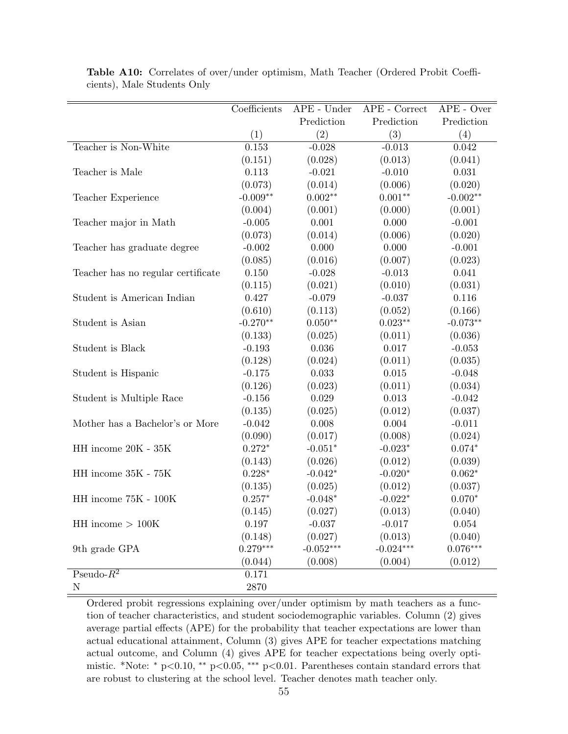|                                    | Coefficients   | APE - Under | APE - Correct | $APE$ - Over |
|------------------------------------|----------------|-------------|---------------|--------------|
|                                    |                | Prediction  | Prediction    | Prediction   |
|                                    | (1)            | (2)         | (3)           | (4)          |
| Teacher is Non-White               | 0.153          | $-0.028$    | $-0.013$      | 0.042        |
|                                    | (0.151)        | (0.028)     | (0.013)       | (0.041)      |
| Teacher is Male                    | 0.113          | $-0.021$    | $-0.010$      | 0.031        |
|                                    | (0.073)        | (0.014)     | (0.006)       | (0.020)      |
| Teacher Experience                 | $-0.009**$     | $0.002**$   | $0.001**$     | $-0.002**$   |
|                                    | (0.004)        | (0.001)     | (0.000)       | (0.001)      |
| Teacher major in Math              | $-0.005$       | 0.001       | 0.000         | $-0.001$     |
|                                    | (0.073)        | (0.014)     | (0.006)       | (0.020)      |
| Teacher has graduate degree        | $-0.002$       | 0.000       | 0.000         | $-0.001$     |
|                                    | (0.085)        | (0.016)     | (0.007)       | (0.023)      |
| Teacher has no regular certificate | $0.150\,$      | $-0.028$    | $-0.013$      | 0.041        |
|                                    | (0.115)        | (0.021)     | (0.010)       | (0.031)      |
| Student is American Indian         | 0.427          | $-0.079$    | $-0.037$      | 0.116        |
|                                    | (0.610)        | (0.113)     | (0.052)       | (0.166)      |
| Student is Asian                   | $-0.270**$     | $0.050**$   | $0.023**$     | $-0.073**$   |
|                                    | (0.133)        | (0.025)     | (0.011)       | (0.036)      |
| Student is Black                   | $-0.193$       | 0.036       | 0.017         | $-0.053$     |
|                                    | (0.128)        | (0.024)     | (0.011)       | (0.035)      |
| Student is Hispanic                | $-0.175$       | $\,0.033\,$ | $0.015\,$     | $-0.048$     |
|                                    | (0.126)        | (0.023)     | (0.011)       | (0.034)      |
| Student is Multiple Race           | $-0.156$       | 0.029       | 0.013         | $-0.042$     |
|                                    | (0.135)        | (0.025)     | (0.012)       | (0.037)      |
| Mother has a Bachelor's or More    | $-0.042$       | 0.008       | 0.004         | $-0.011$     |
|                                    | (0.090)        | (0.017)     | (0.008)       | (0.024)      |
| HH income $20K$ - $35K$            | $0.272*$       | $-0.051*$   | $-0.023*$     | $0.074*$     |
|                                    | (0.143)        | (0.026)     | (0.012)       | (0.039)      |
| HH income 35K - 75K                | $0.228^{\ast}$ | $-0.042*$   | $-0.020*$     | $0.062*$     |
|                                    | (0.135)        | (0.025)     | (0.012)       | (0.037)      |
| HH income $75K - 100K$             | $0.257*$       | $-0.048*$   | $-0.022*$     | $0.070*$     |
|                                    | (0.145)        | (0.027)     | (0.013)       | (0.040)      |
| $HH$ income $> 100K$               | 0.197          | $-0.037$    | $-0.017$      | 0.054        |
|                                    | (0.148)        | (0.027)     | (0.013)       | (0.040)      |
| 9th grade GPA                      | $0.279***$     | $-0.052***$ | $-0.024***$   | $0.076***$   |
|                                    | (0.044)        | (0.008)     | (0.004)       | (0.012)      |
| Pseudo- $R^2$                      | 0.171          |             |               |              |
| $\mathbf N$                        | $2870\,$       |             |               |              |

Table A10: Correlates of over/under optimism, Math Teacher (Ordered Probit Coefficients), Male Students Only

Ordered probit regressions explaining over/under optimism by math teachers as a function of teacher characteristics, and student sociodemographic variables. Column (2) gives average partial effects (APE) for the probability that teacher expectations are lower than actual educational attainment, Column (3) gives APE for teacher expectations matching actual outcome, and Column (4) gives APE for teacher expectations being overly optimistic. \*Note: <sup>∗</sup> p<0.10, ∗∗ p<0.05, ∗∗∗ p<0.01. Parentheses contain standard errors that are robust to clustering at the school level. Teacher denotes math teacher only.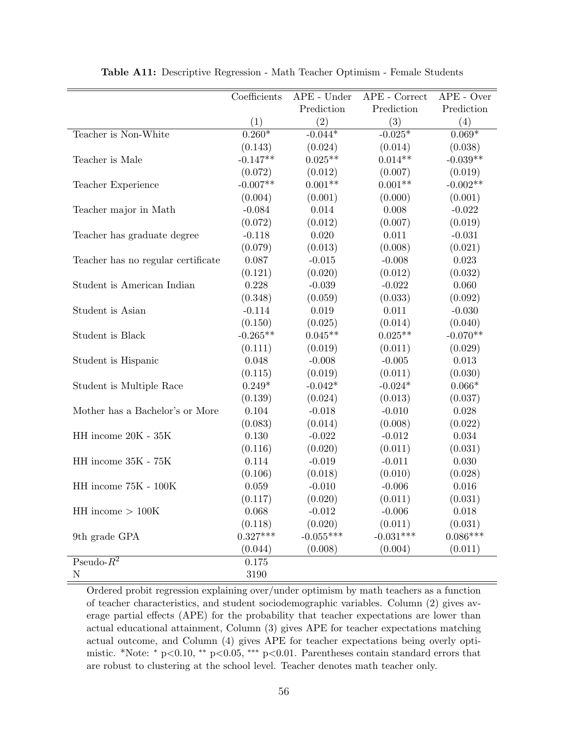<span id="page-56-0"></span>

|                                    | Coefficients | APE - Under | APE - Correct | $APE - Over$ |
|------------------------------------|--------------|-------------|---------------|--------------|
|                                    |              | Prediction  | Prediction    | Prediction   |
|                                    | (1)          | (2)         | (3)           | (4)          |
| Teacher is Non-White               | $0.260*$     | $-0.044*$   | $-0.025*$     | $0.069*$     |
|                                    | (0.143)      | (0.024)     | (0.014)       | (0.038)      |
| Teacher is Male                    | $-0.147**$   | $0.025**$   | $0.014**$     | $-0.039**$   |
|                                    | (0.072)      | (0.012)     | (0.007)       | (0.019)      |
| Teacher Experience                 | $-0.007**$   | $0.001**$   | $0.001**$     | $-0.002**$   |
|                                    | (0.004)      | (0.001)     | (0.000)       | (0.001)      |
| Teacher major in Math              | $-0.084$     | 0.014       | 0.008         | $-0.022$     |
|                                    | (0.072)      | (0.012)     | (0.007)       | (0.019)      |
| Teacher has graduate degree        | $-0.118$     | 0.020       | 0.011         | $-0.031$     |
|                                    | (0.079)      | (0.013)     | (0.008)       | (0.021)      |
| Teacher has no regular certificate | 0.087        | $-0.015$    | $-0.008$      | 0.023        |
|                                    | (0.121)      | (0.020)     | (0.012)       | (0.032)      |
| Student is American Indian         | 0.228        | $-0.039$    | $-0.022$      | 0.060        |
|                                    | (0.348)      | (0.059)     | (0.033)       | (0.092)      |
| Student is Asian                   | $-0.114$     | 0.019       | $0.011\,$     | $-0.030$     |
|                                    | (0.150)      | (0.025)     | (0.014)       | (0.040)      |
| <b>Student is Black</b>            | $-0.265**$   | $0.045**$   | $0.025**$     | $-0.070**$   |
|                                    | (0.111)      | (0.019)     | (0.011)       | (0.029)      |
| Student is Hispanic                | 0.048        | $-0.008$    | $-0.005$      | 0.013        |
|                                    | (0.115)      | (0.019)     | (0.011)       | (0.030)      |
| Student is Multiple Race           | $0.249*$     | $-0.042*$   | $-0.024*$     | $0.066*$     |
|                                    | (0.139)      | (0.024)     | (0.013)       | (0.037)      |
| Mother has a Bachelor's or More    | 0.104        | $-0.018$    | $-0.010$      | 0.028        |
|                                    | (0.083)      | (0.014)     | (0.008)       | (0.022)      |
| HH income 20K - 35K                | $0.130\,$    | $-0.022$    | $-0.012$      | $\,0.034\,$  |
|                                    | (0.116)      | (0.020)     | (0.011)       | (0.031)      |
| HH income 35K - 75K                | 0.114        | $-0.019$    | $-0.011$      | 0.030        |
|                                    | (0.106)      | (0.018)     | (0.010)       | (0.028)      |
| HH income 75K - 100K               | 0.059        | $-0.010$    | $-0.006$      | 0.016        |
|                                    | (0.117)      | (0.020)     | (0.011)       | (0.031)      |
| $HH$ income $> 100K$               | 0.068        | $-0.012$    | $-0.006$      | 0.018        |
|                                    | (0.118)      | (0.020)     | (0.011)       | (0.031)      |
| 9th grade GPA                      | $0.327***$   | $-0.055***$ | $-0.031***$   | $0.086***$   |
|                                    | (0.044)      | (0.008)     | (0.004)       | (0.011)      |
| Pseudo- $R^2$                      | 0.175        |             |               |              |
| ${\bf N}$                          | 3190         |             |               |              |

Table A11: Descriptive Regression - Math Teacher Optimism - Female Students

Ordered probit regression explaining over/under optimism by math teachers as a function of teacher characteristics, and student sociodemographic variables. Column (2) gives average partial effects (APE) for the probability that teacher expectations are lower than actual educational attainment, Column (3) gives APE for teacher expectations matching actual outcome, and Column (4) gives APE for teacher expectations being overly optimistic. \*Note: <sup>∗</sup> p<0.10, ∗∗ p<0.05, ∗∗∗ p<0.01. Parentheses contain standard errors that are robust to clustering at the school level. Teacher denotes math teacher only.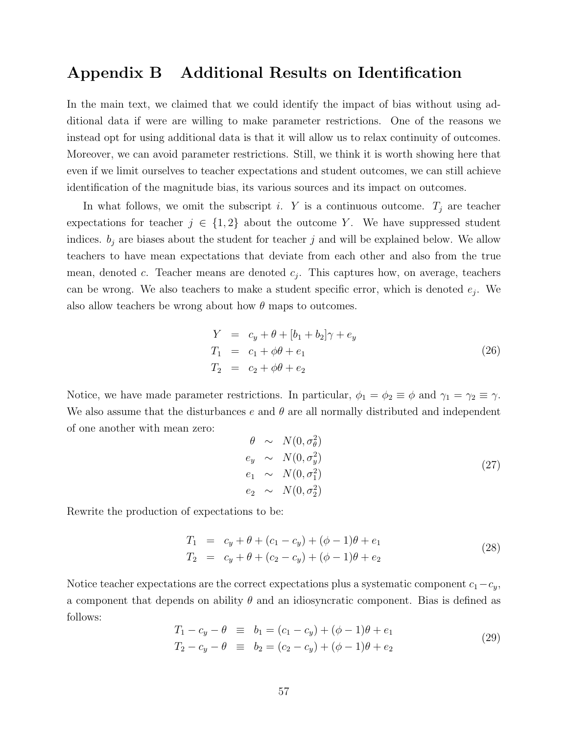## <span id="page-57-0"></span>Appendix B Additional Results on Identification

In the main text, we claimed that we could identify the impact of bias without using additional data if were are willing to make parameter restrictions. One of the reasons we instead opt for using additional data is that it will allow us to relax continuity of outcomes. Moreover, we can avoid parameter restrictions. Still, we think it is worth showing here that even if we limit ourselves to teacher expectations and student outcomes, we can still achieve identification of the magnitude bias, its various sources and its impact on outcomes.

In what follows, we omit the subscript i. Y is a continuous outcome.  $T_i$  are teacher expectations for teacher  $j \in \{1,2\}$  about the outcome Y. We have suppressed student indices.  $b_j$  are biases about the student for teacher j and will be explained below. We allow teachers to have mean expectations that deviate from each other and also from the true mean, denoted c. Teacher means are denoted  $c_j$ . This captures how, on average, teachers can be wrong. We also teachers to make a student specific error, which is denoted  $e_j$ . We also allow teachers be wrong about how  $\theta$  maps to outcomes.

$$
Y = c_y + \theta + [b_1 + b_2]\gamma + e_y
$$
  
\n
$$
T_1 = c_1 + \phi\theta + e_1
$$
  
\n
$$
T_2 = c_2 + \phi\theta + e_2
$$
\n(26)

Notice, we have made parameter restrictions. In particular,  $\phi_1 = \phi_2 \equiv \phi$  and  $\gamma_1 = \gamma_2 \equiv \gamma$ . We also assume that the disturbances e and  $\theta$  are all normally distributed and independent of one another with mean zero:

$$
\begin{array}{rcl}\n\theta & \sim & N(0, \sigma_{\theta}^2) \\
e_y & \sim & N(0, \sigma_y^2) \\
e_1 & \sim & N(0, \sigma_1^2) \\
e_2 & \sim & N(0, \sigma_2^2)\n\end{array} \tag{27}
$$

Rewrite the production of expectations to be:

$$
T_1 = c_y + \theta + (c_1 - c_y) + (\phi - 1)\theta + e_1
$$
  
\n
$$
T_2 = c_y + \theta + (c_2 - c_y) + (\phi - 1)\theta + e_2
$$
\n(28)

Notice teacher expectations are the correct expectations plus a systematic component  $c_1-c_y$ , a component that depends on ability  $\theta$  and an idiosyncratic component. Bias is defined as follows:

$$
T_1 - c_y - \theta \equiv b_1 = (c_1 - c_y) + (\phi - 1)\theta + e_1
$$
  
\n
$$
T_2 - c_y - \theta \equiv b_2 = (c_2 - c_y) + (\phi - 1)\theta + e_2
$$
\n(29)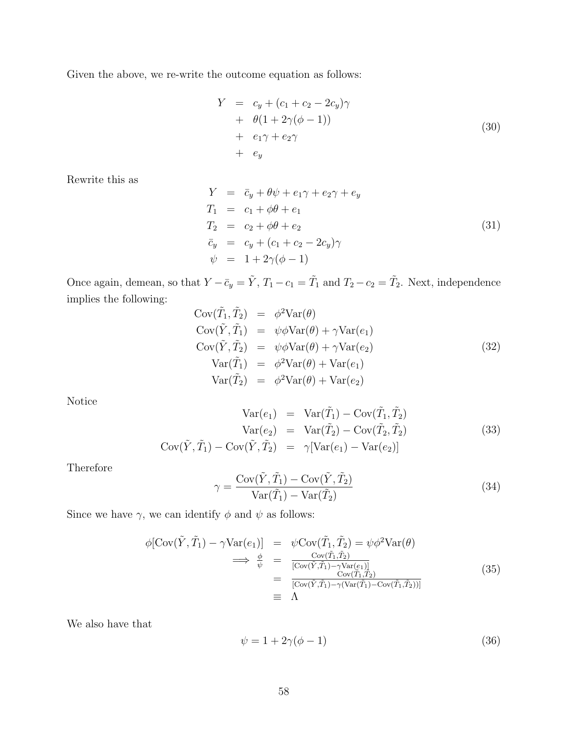Given the above, we re-write the outcome equation as follows:

$$
Y = c_y + (c_1 + c_2 - 2c_y)\gamma
$$
  
+ 
$$
\theta(1 + 2\gamma(\phi - 1))
$$
  
+ 
$$
e_1\gamma + e_2\gamma
$$
  
+ 
$$
e_y
$$
 (30)

Rewrite this as

$$
Y = \bar{c}_y + \theta \psi + e_1 \gamma + e_2 \gamma + e_y
$$
  
\n
$$
T_1 = c_1 + \phi \theta + e_1
$$
  
\n
$$
T_2 = c_2 + \phi \theta + e_2
$$
  
\n
$$
\bar{c}_y = c_y + (c_1 + c_2 - 2c_y) \gamma
$$
  
\n
$$
\psi = 1 + 2\gamma(\phi - 1)
$$
\n(31)

Once again, demean, so that  $Y - \bar{c}_y = \tilde{Y}$ ,  $T_1 - c_1 = \tilde{T}_1$  and  $T_2 - c_2 = \tilde{T}_2$ . Next, independence implies the following:

$$
Cov(\tilde{T}_1, \tilde{T}_2) = \phi^2 Var(\theta)
$$
  
\n
$$
Cov(\tilde{Y}, \tilde{T}_1) = \psi \phi Var(\theta) + \gamma Var(e_1)
$$
  
\n
$$
Cov(\tilde{Y}, \tilde{T}_2) = \psi \phi Var(\theta) + \gamma Var(e_2)
$$
  
\n
$$
Var(\tilde{T}_1) = \phi^2 Var(\theta) + Var(e_1)
$$
  
\n
$$
Var(\tilde{T}_2) = \phi^2 Var(\theta) + Var(e_2)
$$
\n(32)

Notice

$$
Var(e_1) = Var(\tilde{T}_1) - Cov(\tilde{T}_1, \tilde{T}_2)
$$
  
\n
$$
Var(e_2) = Var(\tilde{T}_2) - Cov(\tilde{T}_2, \tilde{T}_2)
$$
  
\n
$$
Cov(\tilde{Y}, \tilde{T}_1) - Cov(\tilde{Y}, \tilde{T}_2) = \gamma[Var(e_1) - Var(e_2)]
$$
\n(33)

Therefore

$$
\gamma = \frac{\text{Cov}(\tilde{Y}, \tilde{T}_1) - \text{Cov}(\tilde{Y}, \tilde{T}_2)}{\text{Var}(\tilde{T}_1) - \text{Var}(\tilde{T}_2)}\tag{34}
$$

Since we have  $\gamma$ , we can identify  $\phi$  and  $\psi$  as follows:

$$
\phi[\text{Cov}(\tilde{Y}, \tilde{T}_1) - \gamma \text{Var}(e_1)] = \psi \text{Cov}(\tilde{T}_1, \tilde{T}_2) = \psi \phi^2 \text{Var}(\theta)
$$
  
\n
$$
\implies \frac{\phi}{\psi} = \frac{\text{Cov}(\tilde{T}_1, \tilde{T}_2)}{[\text{Cov}(\tilde{Y}, \tilde{T}_1) - \gamma \text{Var}(e_1)]}
$$
  
\n
$$
= \frac{\text{Cov}(\tilde{T}_1, \tilde{T}_2)}{[\text{Cov}(\tilde{Y}, \tilde{T}_1) - \gamma (\text{Var}(\tilde{T}_1) - \text{Cov}(\tilde{T}_1, \tilde{T}_2))]}
$$
  
\n
$$
\equiv \Lambda
$$
\n(35)

We also have that

$$
\psi = 1 + 2\gamma(\phi - 1) \tag{36}
$$